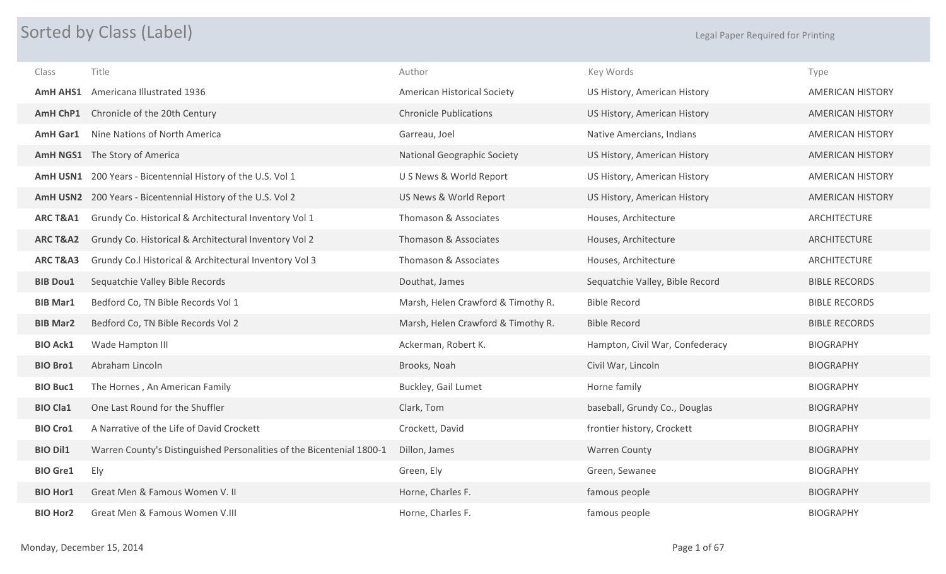## Sorted by Class (Label) and the control of the control of the control of the control of the control of Printing

| Class               | Title                                                                 | Author                             | Key Words                       | Type                    |
|---------------------|-----------------------------------------------------------------------|------------------------------------|---------------------------------|-------------------------|
| <b>AmH AHS1</b>     | Americana Illustrated 1936                                            | <b>American Historical Society</b> | US History, American History    | <b>AMERICAN HISTORY</b> |
| AmH ChP1            | Chronicle of the 20th Century                                         | <b>Chronicle Publications</b>      | US History, American History    | <b>AMERICAN HISTORY</b> |
| <b>AmH Gar1</b>     | Nine Nations of North America                                         | Garreau, Joel                      | Native Amercians, Indians       | <b>AMERICAN HISTORY</b> |
|                     | AmH NGS1 The Story of America                                         | <b>National Geographic Society</b> | US History, American History    | <b>AMERICAN HISTORY</b> |
|                     | AmH USN1 200 Years - Bicentennial History of the U.S. Vol 1           | U S News & World Report            | US History, American History    | <b>AMERICAN HISTORY</b> |
|                     | AmH USN2 200 Years - Bicentennial History of the U.S. Vol 2           | US News & World Report             | US History, American History    | <b>AMERICAN HISTORY</b> |
| ARC T&A1            | Grundy Co. Historical & Architectural Inventory Vol 1                 | Thomason & Associates              | Houses, Architecture            | ARCHITECTURE            |
| <b>ARCT&amp;A2</b>  | Grundy Co. Historical & Architectural Inventory Vol 2                 | Thomason & Associates              | Houses, Architecture            | ARCHITECTURE            |
| <b>ARC T&amp;A3</b> | Grundy Co.l Historical & Architectural Inventory Vol 3                | Thomason & Associates              | Houses, Architecture            | ARCHITECTURE            |
| <b>BIB Dou1</b>     | Sequatchie Valley Bible Records                                       | Douthat, James                     | Sequatchie Valley, Bible Record | <b>BIBLE RECORDS</b>    |
| <b>BIB Mar1</b>     | Bedford Co, TN Bible Records Vol 1                                    | Marsh, Helen Crawford & Timothy R. | <b>Bible Record</b>             | <b>BIBLE RECORDS</b>    |
| <b>BIB Mar2</b>     | Bedford Co, TN Bible Records Vol 2                                    | Marsh, Helen Crawford & Timothy R. | <b>Bible Record</b>             | <b>BIBLE RECORDS</b>    |
| <b>BIO Ack1</b>     | Wade Hampton III                                                      | Ackerman, Robert K.                | Hampton, Civil War, Confederacy | <b>BIOGRAPHY</b>        |
| <b>BIO Bro1</b>     | Abraham Lincoln                                                       | Brooks, Noah                       | Civil War, Lincoln              | <b>BIOGRAPHY</b>        |
| <b>BIO Buc1</b>     | The Hornes, An American Family                                        | Buckley, Gail Lumet                | Horne family                    | <b>BIOGRAPHY</b>        |
| <b>BIO Cla1</b>     | One Last Round for the Shuffler                                       | Clark, Tom                         | baseball, Grundy Co., Douglas   | <b>BIOGRAPHY</b>        |
| <b>BIO Cro1</b>     | A Narrative of the Life of David Crockett                             | Crockett, David                    | frontier history, Crockett      | <b>BIOGRAPHY</b>        |
| <b>BIO Dil1</b>     | Warren County's Distinguished Personalities of the Bicentenial 1800-1 | Dillon, James                      | <b>Warren County</b>            | <b>BIOGRAPHY</b>        |
| <b>BIO Gre1</b>     | Ely                                                                   | Green, Ely                         | Green, Sewanee                  | <b>BIOGRAPHY</b>        |
| <b>BIO Hor1</b>     | Great Men & Famous Women V. II                                        | Horne, Charles F.                  | famous people                   | <b>BIOGRAPHY</b>        |
| <b>BIO Hor2</b>     | Great Men & Famous Women V.III                                        | Horne, Charles F.                  | famous people                   | <b>BIOGRAPHY</b>        |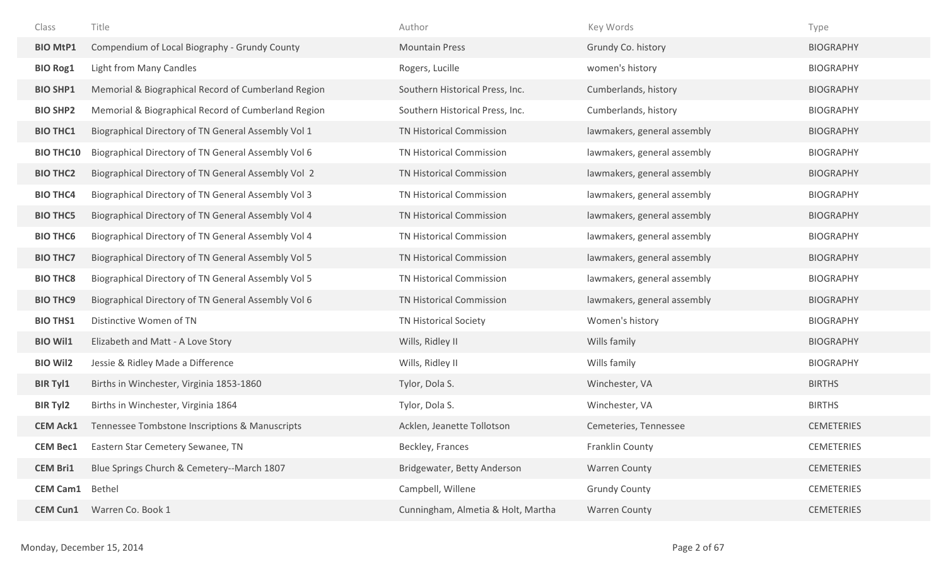| Class            | Title                                               | Author                             | Key Words                   | Type              |
|------------------|-----------------------------------------------------|------------------------------------|-----------------------------|-------------------|
| <b>BIO MtP1</b>  | Compendium of Local Biography - Grundy County       | <b>Mountain Press</b>              | Grundy Co. history          | <b>BIOGRAPHY</b>  |
| <b>BIO Rog1</b>  | Light from Many Candles                             | Rogers, Lucille                    | women's history             | <b>BIOGRAPHY</b>  |
| <b>BIO SHP1</b>  | Memorial & Biographical Record of Cumberland Region | Southern Historical Press, Inc.    | Cumberlands, history        | <b>BIOGRAPHY</b>  |
| <b>BIO SHP2</b>  | Memorial & Biographical Record of Cumberland Region | Southern Historical Press, Inc.    | Cumberlands, history        | <b>BIOGRAPHY</b>  |
| <b>BIO THC1</b>  | Biographical Directory of TN General Assembly Vol 1 | <b>TN Historical Commission</b>    | lawmakers, general assembly | <b>BIOGRAPHY</b>  |
| <b>BIO THC10</b> | Biographical Directory of TN General Assembly Vol 6 | TN Historical Commission           | lawmakers, general assembly | <b>BIOGRAPHY</b>  |
| <b>BIO THC2</b>  | Biographical Directory of TN General Assembly Vol 2 | TN Historical Commission           | lawmakers, general assembly | <b>BIOGRAPHY</b>  |
| <b>BIO THC4</b>  | Biographical Directory of TN General Assembly Vol 3 | TN Historical Commission           | lawmakers, general assembly | <b>BIOGRAPHY</b>  |
| <b>BIO THC5</b>  | Biographical Directory of TN General Assembly Vol 4 | TN Historical Commission           | lawmakers, general assembly | <b>BIOGRAPHY</b>  |
| <b>BIO THC6</b>  | Biographical Directory of TN General Assembly Vol 4 | TN Historical Commission           | lawmakers, general assembly | <b>BIOGRAPHY</b>  |
| <b>BIO THC7</b>  | Biographical Directory of TN General Assembly Vol 5 | TN Historical Commission           | lawmakers, general assembly | <b>BIOGRAPHY</b>  |
| <b>BIO THC8</b>  | Biographical Directory of TN General Assembly Vol 5 | TN Historical Commission           | lawmakers, general assembly | <b>BIOGRAPHY</b>  |
| <b>BIO THC9</b>  | Biographical Directory of TN General Assembly Vol 6 | TN Historical Commission           | lawmakers, general assembly | <b>BIOGRAPHY</b>  |
| <b>BIO THS1</b>  | Distinctive Women of TN                             | <b>TN Historical Society</b>       | Women's history             | <b>BIOGRAPHY</b>  |
| <b>BIO Wil1</b>  | Elizabeth and Matt - A Love Story                   | Wills, Ridley II                   | Wills family                | <b>BIOGRAPHY</b>  |
| <b>BIO Wil2</b>  | Jessie & Ridley Made a Difference                   | Wills, Ridley II                   | Wills family                | <b>BIOGRAPHY</b>  |
| <b>BIR Tyl1</b>  | Births in Winchester, Virginia 1853-1860            | Tylor, Dola S.                     | Winchester, VA              | <b>BIRTHS</b>     |
| <b>BIR Tyl2</b>  | Births in Winchester, Virginia 1864                 | Tylor, Dola S.                     | Winchester, VA              | <b>BIRTHS</b>     |
| <b>CEM Ack1</b>  | Tennessee Tombstone Inscriptions & Manuscripts      | Acklen, Jeanette Tollotson         | Cemeteries, Tennessee       | <b>CEMETERIES</b> |
| <b>CEM Bec1</b>  | Eastern Star Cemetery Sewanee, TN                   | Beckley, Frances                   | Franklin County             | <b>CEMETERIES</b> |
| <b>CEM Bri1</b>  | Blue Springs Church & Cemetery--March 1807          | Bridgewater, Betty Anderson        | <b>Warren County</b>        | <b>CEMETERIES</b> |
| <b>CEM Cam1</b>  | Bethel                                              | Campbell, Willene                  | <b>Grundy County</b>        | <b>CEMETERIES</b> |
| <b>CEM Cun1</b>  | Warren Co. Book 1                                   | Cunningham, Almetia & Holt, Martha | <b>Warren County</b>        | <b>CEMETERIES</b> |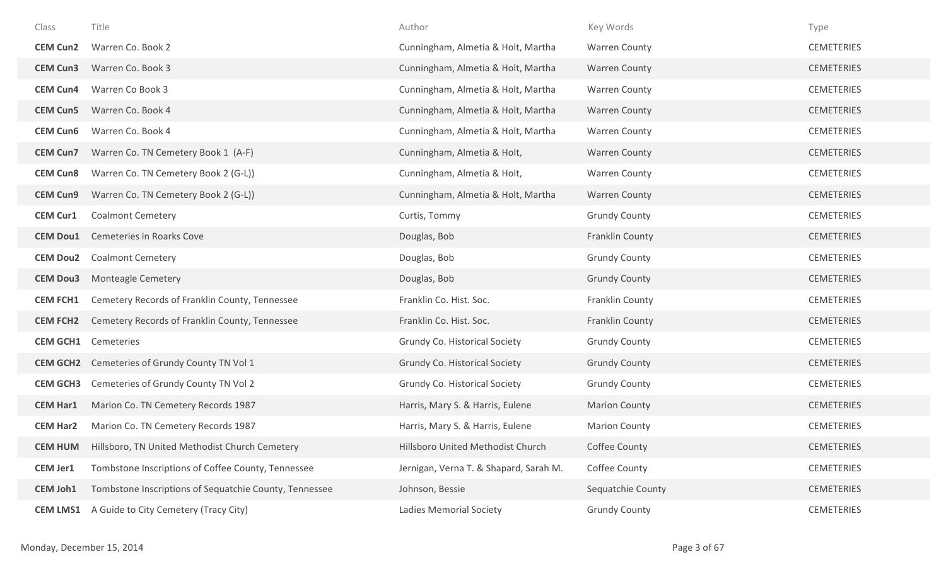| Class           | Title                                                  | Author                                 | Key Words            | Type              |
|-----------------|--------------------------------------------------------|----------------------------------------|----------------------|-------------------|
| <b>CEM Cun2</b> | Warren Co. Book 2                                      | Cunningham, Almetia & Holt, Martha     | <b>Warren County</b> | <b>CEMETERIES</b> |
| <b>CEM Cun3</b> | Warren Co. Book 3                                      | Cunningham, Almetia & Holt, Martha     | <b>Warren County</b> | <b>CEMETERIES</b> |
| <b>CEM Cun4</b> | Warren Co Book 3                                       | Cunningham, Almetia & Holt, Martha     | <b>Warren County</b> | <b>CEMETERIES</b> |
| <b>CEM Cun5</b> | Warren Co. Book 4                                      | Cunningham, Almetia & Holt, Martha     | <b>Warren County</b> | <b>CEMETERIES</b> |
| <b>CEM Cun6</b> | Warren Co. Book 4                                      | Cunningham, Almetia & Holt, Martha     | <b>Warren County</b> | <b>CEMETERIES</b> |
| <b>CEM Cun7</b> | Warren Co. TN Cemetery Book 1 (A-F)                    | Cunningham, Almetia & Holt,            | <b>Warren County</b> | <b>CEMETERIES</b> |
| <b>CEM Cun8</b> | Warren Co. TN Cemetery Book 2 (G-L))                   | Cunningham, Almetia & Holt,            | <b>Warren County</b> | <b>CEMETERIES</b> |
| <b>CEM Cun9</b> | Warren Co. TN Cemetery Book 2 (G-L))                   | Cunningham, Almetia & Holt, Martha     | <b>Warren County</b> | <b>CEMETERIES</b> |
| <b>CEM Cur1</b> | <b>Coalmont Cemetery</b>                               | Curtis, Tommy                          | <b>Grundy County</b> | <b>CEMETERIES</b> |
| <b>CEM Dou1</b> | Cemeteries in Roarks Cove                              | Douglas, Bob                           | Franklin County      | <b>CEMETERIES</b> |
| <b>CEM Dou2</b> | <b>Coalmont Cemetery</b>                               | Douglas, Bob                           | <b>Grundy County</b> | <b>CEMETERIES</b> |
| <b>CEM Dou3</b> | <b>Monteagle Cemetery</b>                              | Douglas, Bob                           | <b>Grundy County</b> | <b>CEMETERIES</b> |
| <b>CEM FCH1</b> | Cemetery Records of Franklin County, Tennessee         | Franklin Co. Hist. Soc.                | Franklin County      | <b>CEMETERIES</b> |
| <b>CEM FCH2</b> | Cemetery Records of Franklin County, Tennessee         | Franklin Co. Hist. Soc.                | Franklin County      | <b>CEMETERIES</b> |
| <b>CEM GCH1</b> | Cemeteries                                             | Grundy Co. Historical Society          | <b>Grundy County</b> | <b>CEMETERIES</b> |
|                 | <b>CEM GCH2</b> Cemeteries of Grundy County TN Vol 1   | Grundy Co. Historical Society          | <b>Grundy County</b> | <b>CEMETERIES</b> |
| <b>CEM GCH3</b> | Cemeteries of Grundy County TN Vol 2                   | Grundy Co. Historical Society          | <b>Grundy County</b> | <b>CEMETERIES</b> |
| <b>CEM Har1</b> | Marion Co. TN Cemetery Records 1987                    | Harris, Mary S. & Harris, Eulene       | <b>Marion County</b> | <b>CEMETERIES</b> |
| <b>CEM Har2</b> | Marion Co. TN Cemetery Records 1987                    | Harris, Mary S. & Harris, Eulene       | <b>Marion County</b> | <b>CEMETERIES</b> |
| <b>CEM HUM</b>  | Hillsboro, TN United Methodist Church Cemetery         | Hillsboro United Methodist Church      | Coffee County        | <b>CEMETERIES</b> |
| <b>CEM Jer1</b> | Tombstone Inscriptions of Coffee County, Tennessee     | Jernigan, Verna T. & Shapard, Sarah M. | Coffee County        | <b>CEMETERIES</b> |
| <b>CEM Joh1</b> | Tombstone Inscriptions of Sequatchie County, Tennessee | Johnson, Bessie                        | Sequatchie County    | <b>CEMETERIES</b> |
| <b>CEM LMS1</b> | A Guide to City Cemetery (Tracy City)                  | <b>Ladies Memorial Society</b>         | <b>Grundy County</b> | <b>CEMETERIES</b> |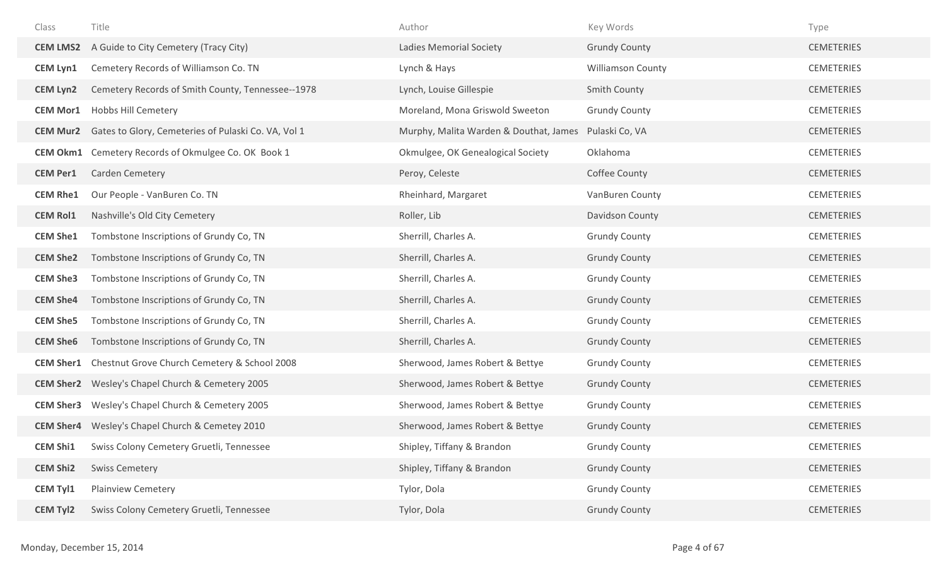| Class            | Title                                                      | Author                                 | Key Words                | Type              |
|------------------|------------------------------------------------------------|----------------------------------------|--------------------------|-------------------|
| <b>CEM LMS2</b>  | A Guide to City Cemetery (Tracy City)                      | <b>Ladies Memorial Society</b>         | <b>Grundy County</b>     | <b>CEMETERIES</b> |
| <b>CEM Lyn1</b>  | Cemetery Records of Williamson Co. TN                      | Lynch & Hays                           | <b>Williamson County</b> | <b>CEMETERIES</b> |
| <b>CEM Lyn2</b>  | Cemetery Records of Smith County, Tennessee--1978          | Lynch, Louise Gillespie                | <b>Smith County</b>      | <b>CEMETERIES</b> |
| <b>CEM Mor1</b>  | <b>Hobbs Hill Cemetery</b>                                 | Moreland, Mona Griswold Sweeton        | <b>Grundy County</b>     | <b>CEMETERIES</b> |
| <b>CEM Mur2</b>  | Gates to Glory, Cemeteries of Pulaski Co. VA, Vol 1        | Murphy, Malita Warden & Douthat, James | Pulaski Co, VA           | <b>CEMETERIES</b> |
|                  | <b>CEM Okm1</b> Cemetery Records of Okmulgee Co. OK Book 1 | Okmulgee, OK Genealogical Society      | Oklahoma                 | <b>CEMETERIES</b> |
| <b>CEM Per1</b>  | Carden Cemetery                                            | Peroy, Celeste                         | Coffee County            | <b>CEMETERIES</b> |
| <b>CEM Rhe1</b>  | Our People - VanBuren Co. TN                               | Rheinhard, Margaret                    | VanBuren County          | <b>CEMETERIES</b> |
| <b>CEM Rol1</b>  | Nashville's Old City Cemetery                              | Roller, Lib                            | Davidson County          | <b>CEMETERIES</b> |
| <b>CEM She1</b>  | Tombstone Inscriptions of Grundy Co, TN                    | Sherrill, Charles A.                   | <b>Grundy County</b>     | <b>CEMETERIES</b> |
| <b>CEM She2</b>  | Tombstone Inscriptions of Grundy Co, TN                    | Sherrill, Charles A.                   | <b>Grundy County</b>     | <b>CEMETERIES</b> |
| <b>CEM She3</b>  | Tombstone Inscriptions of Grundy Co, TN                    | Sherrill, Charles A.                   | <b>Grundy County</b>     | <b>CEMETERIES</b> |
| <b>CEM She4</b>  | Tombstone Inscriptions of Grundy Co, TN                    | Sherrill, Charles A.                   | <b>Grundy County</b>     | <b>CEMETERIES</b> |
| <b>CEM She5</b>  | Tombstone Inscriptions of Grundy Co, TN                    | Sherrill, Charles A.                   | <b>Grundy County</b>     | <b>CEMETERIES</b> |
| <b>CEM She6</b>  | Tombstone Inscriptions of Grundy Co, TN                    | Sherrill, Charles A.                   | <b>Grundy County</b>     | <b>CEMETERIES</b> |
| <b>CEM Sher1</b> | Chestnut Grove Church Cemetery & School 2008               | Sherwood, James Robert & Bettye        | <b>Grundy County</b>     | <b>CEMETERIES</b> |
| <b>CEM Sher2</b> | Wesley's Chapel Church & Cemetery 2005                     | Sherwood, James Robert & Bettye        | <b>Grundy County</b>     | <b>CEMETERIES</b> |
| <b>CEM Sher3</b> | Wesley's Chapel Church & Cemetery 2005                     | Sherwood, James Robert & Bettye        | <b>Grundy County</b>     | <b>CEMETERIES</b> |
|                  | <b>CEM Sher4</b> Wesley's Chapel Church & Cemetey 2010     | Sherwood, James Robert & Bettye        | <b>Grundy County</b>     | <b>CEMETERIES</b> |
| <b>CEM Shi1</b>  | Swiss Colony Cemetery Gruetli, Tennessee                   | Shipley, Tiffany & Brandon             | <b>Grundy County</b>     | <b>CEMETERIES</b> |
| <b>CEM Shi2</b>  | <b>Swiss Cemetery</b>                                      | Shipley, Tiffany & Brandon             | <b>Grundy County</b>     | <b>CEMETERIES</b> |
| <b>CEM Tyl1</b>  | <b>Plainview Cemetery</b>                                  | Tylor, Dola                            | <b>Grundy County</b>     | <b>CEMETERIES</b> |
| <b>CEM Tyl2</b>  | Swiss Colony Cemetery Gruetli, Tennessee                   | Tylor, Dola                            | <b>Grundy County</b>     | <b>CEMETERIES</b> |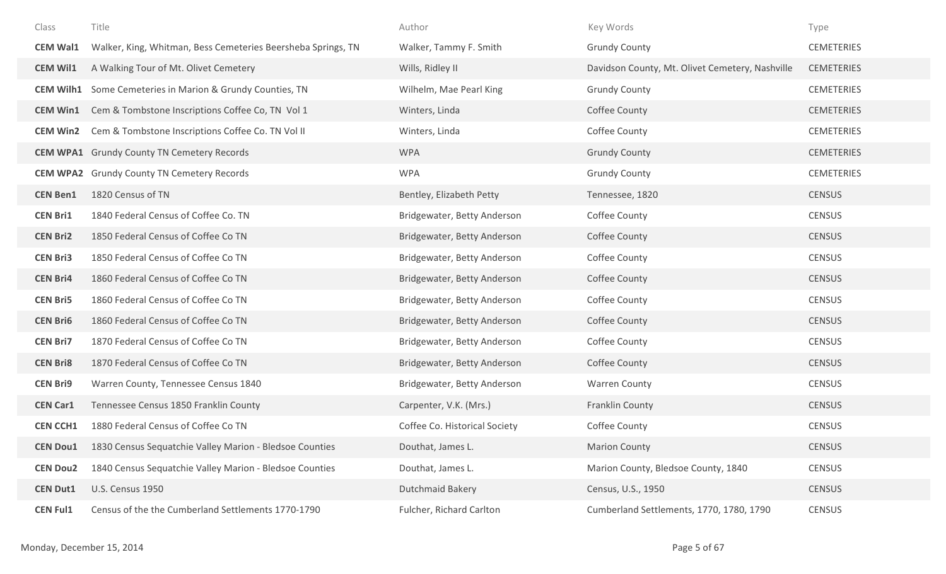| Class            | Title                                                        | Author                        | Key Words                                       | Type              |
|------------------|--------------------------------------------------------------|-------------------------------|-------------------------------------------------|-------------------|
| <b>CEM Wal1</b>  | Walker, King, Whitman, Bess Cemeteries Beersheba Springs, TN | Walker, Tammy F. Smith        | <b>Grundy County</b>                            | <b>CEMETERIES</b> |
| <b>CEM Wil1</b>  | A Walking Tour of Mt. Olivet Cemetery                        | Wills, Ridley II              | Davidson County, Mt. Olivet Cemetery, Nashville | <b>CEMETERIES</b> |
| <b>CEM Wilh1</b> | Some Cemeteries in Marion & Grundy Counties, TN              | Wilhelm, Mae Pearl King       | <b>Grundy County</b>                            | <b>CEMETERIES</b> |
| <b>CEM Win1</b>  | Cem & Tombstone Inscriptions Coffee Co, TN Vol 1             | Winters, Linda                | Coffee County                                   | <b>CEMETERIES</b> |
| <b>CEM Win2</b>  | Cem & Tombstone Inscriptions Coffee Co. TN Vol II            | Winters, Linda                | Coffee County                                   | <b>CEMETERIES</b> |
|                  | <b>CEM WPA1</b> Grundy County TN Cemetery Records            | <b>WPA</b>                    | <b>Grundy County</b>                            | <b>CEMETERIES</b> |
|                  | <b>CEM WPA2</b> Grundy County TN Cemetery Records            | <b>WPA</b>                    | <b>Grundy County</b>                            | <b>CEMETERIES</b> |
| <b>CEN Ben1</b>  | 1820 Census of TN                                            | Bentley, Elizabeth Petty      | Tennessee, 1820                                 | <b>CENSUS</b>     |
| <b>CEN Bri1</b>  | 1840 Federal Census of Coffee Co. TN                         | Bridgewater, Betty Anderson   | Coffee County                                   | <b>CENSUS</b>     |
| <b>CEN Bri2</b>  | 1850 Federal Census of Coffee Co TN                          | Bridgewater, Betty Anderson   | Coffee County                                   | <b>CENSUS</b>     |
| <b>CEN Bri3</b>  | 1850 Federal Census of Coffee Co TN                          | Bridgewater, Betty Anderson   | Coffee County                                   | <b>CENSUS</b>     |
| <b>CEN Bri4</b>  | 1860 Federal Census of Coffee Co TN                          | Bridgewater, Betty Anderson   | Coffee County                                   | <b>CENSUS</b>     |
| <b>CEN Bri5</b>  | 1860 Federal Census of Coffee Co TN                          | Bridgewater, Betty Anderson   | Coffee County                                   | <b>CENSUS</b>     |
| <b>CEN Bri6</b>  | 1860 Federal Census of Coffee Co TN                          | Bridgewater, Betty Anderson   | Coffee County                                   | <b>CENSUS</b>     |
| <b>CEN Bri7</b>  | 1870 Federal Census of Coffee Co TN                          | Bridgewater, Betty Anderson   | Coffee County                                   | <b>CENSUS</b>     |
| <b>CEN Bri8</b>  | 1870 Federal Census of Coffee Co TN                          | Bridgewater, Betty Anderson   | Coffee County                                   | <b>CENSUS</b>     |
| <b>CEN Bri9</b>  | Warren County, Tennessee Census 1840                         | Bridgewater, Betty Anderson   | <b>Warren County</b>                            | <b>CENSUS</b>     |
| <b>CEN Car1</b>  | Tennessee Census 1850 Franklin County                        | Carpenter, V.K. (Mrs.)        | Franklin County                                 | <b>CENSUS</b>     |
| <b>CEN CCH1</b>  | 1880 Federal Census of Coffee Co TN                          | Coffee Co. Historical Society | Coffee County                                   | <b>CENSUS</b>     |
| <b>CEN Dou1</b>  | 1830 Census Sequatchie Valley Marion - Bledsoe Counties      | Douthat, James L.             | <b>Marion County</b>                            | <b>CENSUS</b>     |
| <b>CEN Dou2</b>  | 1840 Census Sequatchie Valley Marion - Bledsoe Counties      | Douthat, James L.             | Marion County, Bledsoe County, 1840             | <b>CENSUS</b>     |
| <b>CEN Dut1</b>  | U.S. Census 1950                                             | <b>Dutchmaid Bakery</b>       | Census, U.S., 1950                              | <b>CENSUS</b>     |
| <b>CEN Ful1</b>  | Census of the the Cumberland Settlements 1770-1790           | Fulcher, Richard Carlton      | Cumberland Settlements, 1770, 1780, 1790        | <b>CENSUS</b>     |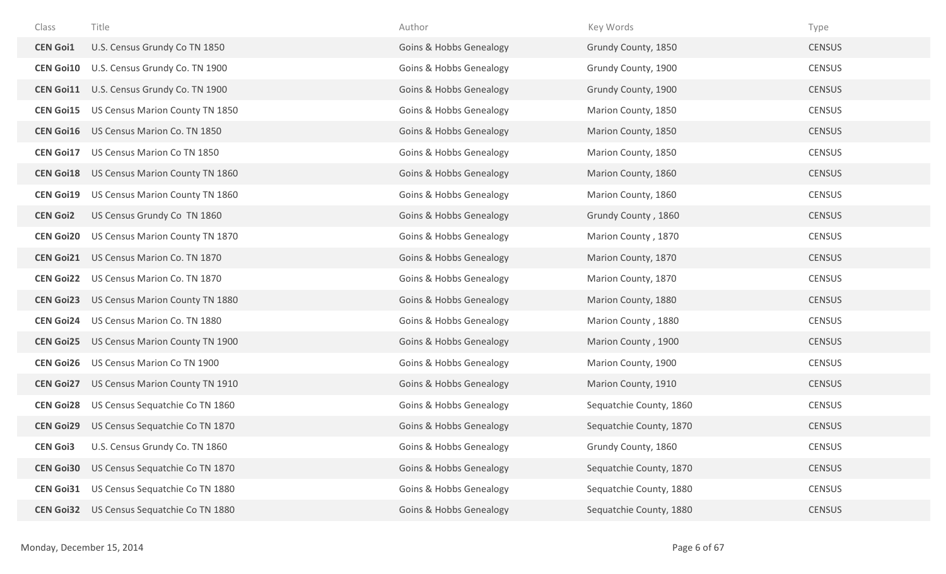| Class            | Title                           | Author                             | Key Words               | Type          |
|------------------|---------------------------------|------------------------------------|-------------------------|---------------|
| <b>CEN Goi1</b>  | U.S. Census Grundy Co TN 1850   | Goins & Hobbs Genealogy            | Grundy County, 1850     | <b>CENSUS</b> |
| <b>CEN Goi10</b> | U.S. Census Grundy Co. TN 1900  | Goins & Hobbs Genealogy            | Grundy County, 1900     | <b>CENSUS</b> |
| <b>CEN Goi11</b> | U.S. Census Grundy Co. TN 1900  | Goins & Hobbs Genealogy            | Grundy County, 1900     | <b>CENSUS</b> |
| <b>CEN Goi15</b> | US Census Marion County TN 1850 | <b>Goins &amp; Hobbs Genealogy</b> | Marion County, 1850     | CENSUS        |
| <b>CEN Goi16</b> | US Census Marion Co. TN 1850    | <b>Goins &amp; Hobbs Genealogy</b> | Marion County, 1850     | <b>CENSUS</b> |
| <b>CEN Goi17</b> | US Census Marion Co TN 1850     | <b>Goins &amp; Hobbs Genealogy</b> | Marion County, 1850     | <b>CENSUS</b> |
| <b>CEN Goi18</b> | US Census Marion County TN 1860 | Goins & Hobbs Genealogy            | Marion County, 1860     | <b>CENSUS</b> |
| <b>CEN Goi19</b> | US Census Marion County TN 1860 | <b>Goins &amp; Hobbs Genealogy</b> | Marion County, 1860     | CENSUS        |
| <b>CEN Goi2</b>  | US Census Grundy Co TN 1860     | Goins & Hobbs Genealogy            | Grundy County, 1860     | <b>CENSUS</b> |
| <b>CEN Goi20</b> | US Census Marion County TN 1870 | <b>Goins &amp; Hobbs Genealogy</b> | Marion County, 1870     | <b>CENSUS</b> |
| <b>CEN Goi21</b> | US Census Marion Co. TN 1870    | <b>Goins &amp; Hobbs Genealogy</b> | Marion County, 1870     | <b>CENSUS</b> |
| <b>CEN Goi22</b> | US Census Marion Co. TN 1870    | <b>Goins &amp; Hobbs Genealogy</b> | Marion County, 1870     | <b>CENSUS</b> |
| <b>CEN Goi23</b> | US Census Marion County TN 1880 | <b>Goins &amp; Hobbs Genealogy</b> | Marion County, 1880     | <b>CENSUS</b> |
| <b>CEN Goi24</b> | US Census Marion Co. TN 1880    | Goins & Hobbs Genealogy            | Marion County, 1880     | <b>CENSUS</b> |
| <b>CEN Goi25</b> | US Census Marion County TN 1900 | Goins & Hobbs Genealogy            | Marion County, 1900     | <b>CENSUS</b> |
| <b>CEN Goi26</b> | US Census Marion Co TN 1900     | <b>Goins &amp; Hobbs Genealogy</b> | Marion County, 1900     | <b>CENSUS</b> |
| <b>CEN Goi27</b> | US Census Marion County TN 1910 | <b>Goins &amp; Hobbs Genealogy</b> | Marion County, 1910     | <b>CENSUS</b> |
| <b>CEN Goi28</b> | US Census Sequatchie Co TN 1860 | <b>Goins &amp; Hobbs Genealogy</b> | Sequatchie County, 1860 | <b>CENSUS</b> |
| <b>CEN Goi29</b> | US Census Sequatchie Co TN 1870 | Goins & Hobbs Genealogy            | Sequatchie County, 1870 | <b>CENSUS</b> |
| <b>CEN Goi3</b>  | U.S. Census Grundy Co. TN 1860  | <b>Goins &amp; Hobbs Genealogy</b> | Grundy County, 1860     | <b>CENSUS</b> |
| <b>CEN Goi30</b> | US Census Sequatchie Co TN 1870 | <b>Goins &amp; Hobbs Genealogy</b> | Sequatchie County, 1870 | <b>CENSUS</b> |
| <b>CEN Goi31</b> | US Census Sequatchie Co TN 1880 | <b>Goins &amp; Hobbs Genealogy</b> | Sequatchie County, 1880 | CENSUS        |
| <b>CEN Goi32</b> | US Census Sequatchie Co TN 1880 | <b>Goins &amp; Hobbs Genealogy</b> | Sequatchie County, 1880 | <b>CENSUS</b> |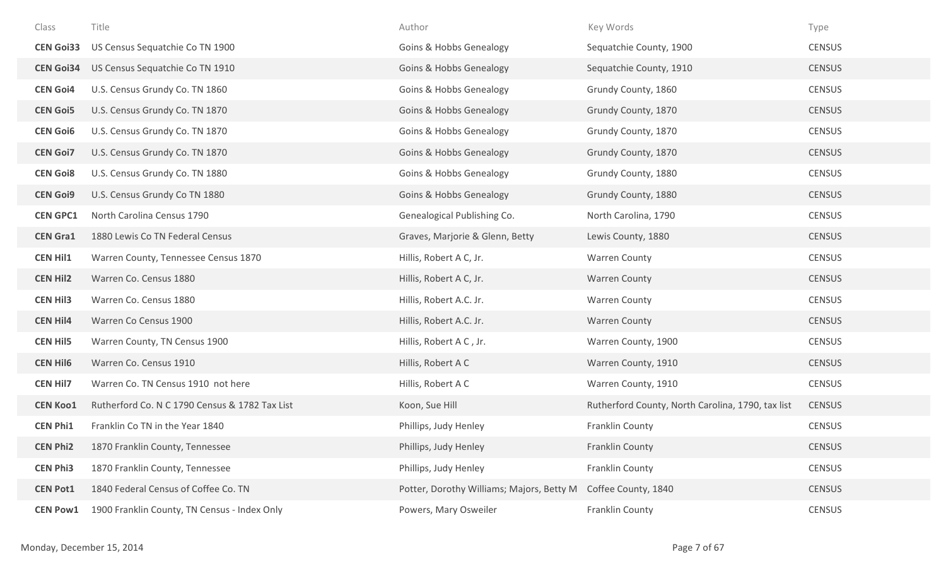| Class            | Title                                          | Author                                    | Key Words                                         | Type          |
|------------------|------------------------------------------------|-------------------------------------------|---------------------------------------------------|---------------|
| <b>CEN Goi33</b> | US Census Sequatchie Co TN 1900                | <b>Goins &amp; Hobbs Genealogy</b>        | Sequatchie County, 1900                           | <b>CENSUS</b> |
| <b>CEN Goi34</b> | US Census Sequatchie Co TN 1910                | <b>Goins &amp; Hobbs Genealogy</b>        | Sequatchie County, 1910                           | <b>CENSUS</b> |
| <b>CEN Goi4</b>  | U.S. Census Grundy Co. TN 1860                 | <b>Goins &amp; Hobbs Genealogy</b>        | Grundy County, 1860                               | <b>CENSUS</b> |
| <b>CEN Goi5</b>  | U.S. Census Grundy Co. TN 1870                 | <b>Goins &amp; Hobbs Genealogy</b>        | Grundy County, 1870                               | <b>CENSUS</b> |
| <b>CEN Goi6</b>  | U.S. Census Grundy Co. TN 1870                 | <b>Goins &amp; Hobbs Genealogy</b>        | Grundy County, 1870                               | <b>CENSUS</b> |
| <b>CEN Goi7</b>  | U.S. Census Grundy Co. TN 1870                 | <b>Goins &amp; Hobbs Genealogy</b>        | Grundy County, 1870                               | <b>CENSUS</b> |
| <b>CEN Goi8</b>  | U.S. Census Grundy Co. TN 1880                 | <b>Goins &amp; Hobbs Genealogy</b>        | Grundy County, 1880                               | <b>CENSUS</b> |
| <b>CEN Goi9</b>  | U.S. Census Grundy Co TN 1880                  | <b>Goins &amp; Hobbs Genealogy</b>        | Grundy County, 1880                               | <b>CENSUS</b> |
| <b>CEN GPC1</b>  | North Carolina Census 1790                     | Genealogical Publishing Co.               | North Carolina, 1790                              | <b>CENSUS</b> |
| <b>CEN Gra1</b>  | 1880 Lewis Co TN Federal Census                | Graves, Marjorie & Glenn, Betty           | Lewis County, 1880                                | <b>CENSUS</b> |
| <b>CEN Hil1</b>  | Warren County, Tennessee Census 1870           | Hillis, Robert A C, Jr.                   | <b>Warren County</b>                              | <b>CENSUS</b> |
| <b>CEN Hil2</b>  | Warren Co. Census 1880                         | Hillis, Robert A C, Jr.                   | <b>Warren County</b>                              | <b>CENSUS</b> |
| <b>CEN Hil3</b>  | Warren Co. Census 1880                         | Hillis, Robert A.C. Jr.                   | <b>Warren County</b>                              | <b>CENSUS</b> |
| <b>CEN Hil4</b>  | Warren Co Census 1900                          | Hillis, Robert A.C. Jr.                   | Warren County                                     | <b>CENSUS</b> |
| <b>CEN Hil5</b>  | Warren County, TN Census 1900                  | Hillis, Robert A C, Jr.                   | Warren County, 1900                               | <b>CENSUS</b> |
| <b>CEN Hil6</b>  | Warren Co. Census 1910                         | Hillis, Robert A C                        | Warren County, 1910                               | <b>CENSUS</b> |
| <b>CEN Hil7</b>  | Warren Co. TN Census 1910 not here             | Hillis, Robert A C                        | Warren County, 1910                               | <b>CENSUS</b> |
| <b>CEN Koo1</b>  | Rutherford Co. N C 1790 Census & 1782 Tax List | Koon, Sue Hill                            | Rutherford County, North Carolina, 1790, tax list | <b>CENSUS</b> |
| <b>CEN Phi1</b>  | Franklin Co TN in the Year 1840                | Phillips, Judy Henley                     | Franklin County                                   | <b>CENSUS</b> |
| <b>CEN Phi2</b>  | 1870 Franklin County, Tennessee                | Phillips, Judy Henley                     | Franklin County                                   | <b>CENSUS</b> |
| <b>CEN Phi3</b>  | 1870 Franklin County, Tennessee                | Phillips, Judy Henley                     | Franklin County                                   | <b>CENSUS</b> |
| <b>CEN Pot1</b>  | 1840 Federal Census of Coffee Co. TN           | Potter, Dorothy Williams; Majors, Betty M | Coffee County, 1840                               | <b>CENSUS</b> |
| <b>CEN Pow1</b>  | 1900 Franklin County, TN Census - Index Only   | Powers, Mary Osweiler                     | Franklin County                                   | <b>CENSUS</b> |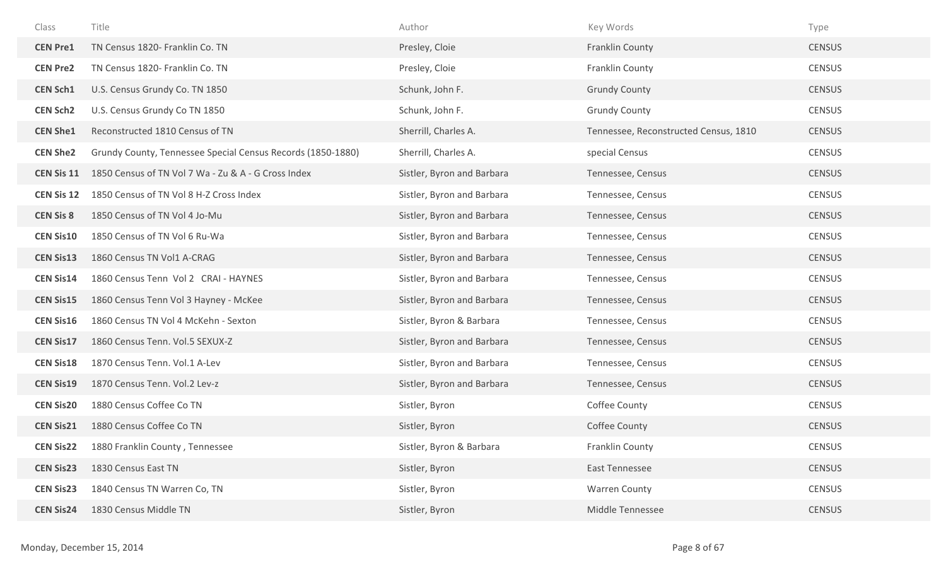| Class             | Title                                                       | Author                     | Key Words                             | Type          |
|-------------------|-------------------------------------------------------------|----------------------------|---------------------------------------|---------------|
| <b>CEN Pre1</b>   | TN Census 1820- Franklin Co. TN                             | Presley, Cloie             | Franklin County                       | <b>CENSUS</b> |
| <b>CEN Pre2</b>   | TN Census 1820- Franklin Co. TN                             | Presley, Cloie             | Franklin County                       | <b>CENSUS</b> |
| <b>CEN Sch1</b>   | U.S. Census Grundy Co. TN 1850                              | Schunk, John F.            | <b>Grundy County</b>                  | <b>CENSUS</b> |
| <b>CEN Sch2</b>   | U.S. Census Grundy Co TN 1850                               | Schunk, John F.            | <b>Grundy County</b>                  | <b>CENSUS</b> |
| <b>CEN She1</b>   | Reconstructed 1810 Census of TN                             | Sherrill, Charles A.       | Tennessee, Reconstructed Census, 1810 | <b>CENSUS</b> |
| <b>CEN She2</b>   | Grundy County, Tennessee Special Census Records (1850-1880) | Sherrill, Charles A.       | special Census                        | <b>CENSUS</b> |
| <b>CEN Sis 11</b> | 1850 Census of TN Vol 7 Wa - Zu & A - G Cross Index         | Sistler, Byron and Barbara | Tennessee, Census                     | <b>CENSUS</b> |
| <b>CEN Sis 12</b> | 1850 Census of TN Vol 8 H-Z Cross Index                     | Sistler, Byron and Barbara | Tennessee, Census                     | <b>CENSUS</b> |
| <b>CEN Sis 8</b>  | 1850 Census of TN Vol 4 Jo-Mu                               | Sistler, Byron and Barbara | Tennessee, Census                     | <b>CENSUS</b> |
| <b>CEN Sis10</b>  | 1850 Census of TN Vol 6 Ru-Wa                               | Sistler, Byron and Barbara | Tennessee, Census                     | <b>CENSUS</b> |
| <b>CEN Sis13</b>  | 1860 Census TN Vol1 A-CRAG                                  | Sistler, Byron and Barbara | Tennessee, Census                     | <b>CENSUS</b> |
| <b>CEN Sis14</b>  | 1860 Census Tenn Vol 2 CRAI - HAYNES                        | Sistler, Byron and Barbara | Tennessee, Census                     | <b>CENSUS</b> |
| <b>CEN Sis15</b>  | 1860 Census Tenn Vol 3 Hayney - McKee                       | Sistler, Byron and Barbara | Tennessee, Census                     | <b>CENSUS</b> |
| <b>CEN Sis16</b>  | 1860 Census TN Vol 4 McKehn - Sexton                        | Sistler, Byron & Barbara   | Tennessee, Census                     | <b>CENSUS</b> |
| <b>CEN Sis17</b>  | 1860 Census Tenn. Vol.5 SEXUX-Z                             | Sistler, Byron and Barbara | Tennessee, Census                     | <b>CENSUS</b> |
| <b>CEN Sis18</b>  | 1870 Census Tenn. Vol.1 A-Lev                               | Sistler, Byron and Barbara | Tennessee, Census                     | <b>CENSUS</b> |
| <b>CEN Sis19</b>  | 1870 Census Tenn. Vol.2 Lev-z                               | Sistler, Byron and Barbara | Tennessee, Census                     | <b>CENSUS</b> |
| <b>CEN Sis20</b>  | 1880 Census Coffee Co TN                                    | Sistler, Byron             | Coffee County                         | <b>CENSUS</b> |
| <b>CEN Sis21</b>  | 1880 Census Coffee Co TN                                    | Sistler, Byron             | Coffee County                         | <b>CENSUS</b> |
| <b>CEN Sis22</b>  | 1880 Franklin County, Tennessee                             | Sistler, Byron & Barbara   | Franklin County                       | <b>CENSUS</b> |
| <b>CEN Sis23</b>  | 1830 Census East TN                                         | Sistler, Byron             | <b>East Tennessee</b>                 | <b>CENSUS</b> |
| <b>CEN Sis23</b>  | 1840 Census TN Warren Co, TN                                | Sistler, Byron             | <b>Warren County</b>                  | <b>CENSUS</b> |
| <b>CEN Sis24</b>  | 1830 Census Middle TN                                       | Sistler, Byron             | Middle Tennessee                      | <b>CENSUS</b> |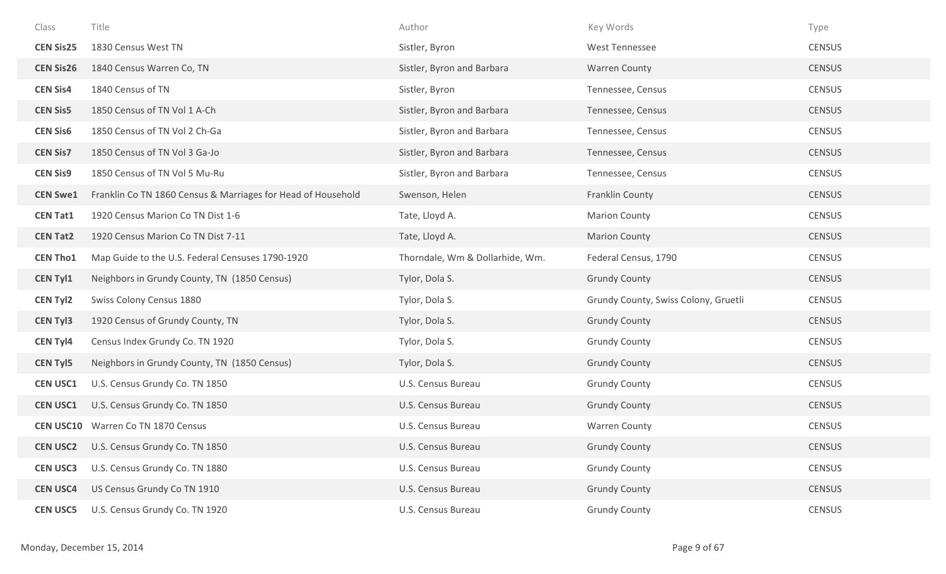| Class            | Title                                                        | Author                          | Key Words                            | Type          |
|------------------|--------------------------------------------------------------|---------------------------------|--------------------------------------|---------------|
| <b>CEN Sis25</b> | 1830 Census West TN                                          | Sistler, Byron                  | West Tennessee                       | <b>CENSUS</b> |
| <b>CEN Sis26</b> | 1840 Census Warren Co, TN                                    | Sistler, Byron and Barbara      | <b>Warren County</b>                 | <b>CENSUS</b> |
| <b>CEN Sis4</b>  | 1840 Census of TN                                            | Sistler, Byron                  | Tennessee, Census                    | <b>CENSUS</b> |
| <b>CEN Sis5</b>  | 1850 Census of TN Vol 1 A-Ch                                 | Sistler, Byron and Barbara      | Tennessee, Census                    | <b>CENSUS</b> |
| <b>CEN Sis6</b>  | 1850 Census of TN Vol 2 Ch-Ga                                | Sistler, Byron and Barbara      | Tennessee, Census                    | <b>CENSUS</b> |
| <b>CEN Sis7</b>  | 1850 Census of TN Vol 3 Ga-Jo                                | Sistler, Byron and Barbara      | Tennessee, Census                    | <b>CENSUS</b> |
| <b>CEN Sis9</b>  | 1850 Census of TN Vol 5 Mu-Ru                                | Sistler, Byron and Barbara      | Tennessee, Census                    | <b>CENSUS</b> |
| <b>CEN Swe1</b>  | Franklin Co TN 1860 Census & Marriages for Head of Household | Swenson, Helen                  | Franklin County                      | <b>CENSUS</b> |
| <b>CEN Tat1</b>  | 1920 Census Marion Co TN Dist 1-6                            | Tate, Lloyd A.                  | <b>Marion County</b>                 | <b>CENSUS</b> |
| <b>CEN Tat2</b>  | 1920 Census Marion Co TN Dist 7-11                           | Tate, Lloyd A.                  | <b>Marion County</b>                 | <b>CENSUS</b> |
| <b>CEN Tho1</b>  | Map Guide to the U.S. Federal Censuses 1790-1920             | Thorndale, Wm & Dollarhide, Wm. | Federal Census, 1790                 | <b>CENSUS</b> |
| <b>CEN Tyl1</b>  | Neighbors in Grundy County, TN (1850 Census)                 | Tylor, Dola S.                  | <b>Grundy County</b>                 | <b>CENSUS</b> |
| <b>CEN Tyl2</b>  | Swiss Colony Census 1880                                     | Tylor, Dola S.                  | Grundy County, Swiss Colony, Gruetli | <b>CENSUS</b> |
| <b>CEN Tyl3</b>  | 1920 Census of Grundy County, TN                             | Tylor, Dola S.                  | <b>Grundy County</b>                 | <b>CENSUS</b> |
| <b>CEN Tyl4</b>  | Census Index Grundy Co. TN 1920                              | Tylor, Dola S.                  | <b>Grundy County</b>                 | <b>CENSUS</b> |
| <b>CEN Tyl5</b>  | Neighbors in Grundy County, TN (1850 Census)                 | Tylor, Dola S.                  | <b>Grundy County</b>                 | <b>CENSUS</b> |
| <b>CEN USC1</b>  | U.S. Census Grundy Co. TN 1850                               | U.S. Census Bureau              | <b>Grundy County</b>                 | <b>CENSUS</b> |
| <b>CEN USC1</b>  | U.S. Census Grundy Co. TN 1850                               | U.S. Census Bureau              | <b>Grundy County</b>                 | <b>CENSUS</b> |
| <b>CEN USC10</b> | Warren Co TN 1870 Census                                     | U.S. Census Bureau              | <b>Warren County</b>                 | <b>CENSUS</b> |
| <b>CEN USC2</b>  | U.S. Census Grundy Co. TN 1850                               | U.S. Census Bureau              | <b>Grundy County</b>                 | <b>CENSUS</b> |
| <b>CEN USC3</b>  | U.S. Census Grundy Co. TN 1880                               | U.S. Census Bureau              | <b>Grundy County</b>                 | <b>CENSUS</b> |
| <b>CEN USC4</b>  | US Census Grundy Co TN 1910                                  | U.S. Census Bureau              | <b>Grundy County</b>                 | <b>CENSUS</b> |
| <b>CEN USC5</b>  | U.S. Census Grundy Co. TN 1920                               | U.S. Census Bureau              | <b>Grundy County</b>                 | <b>CENSUS</b> |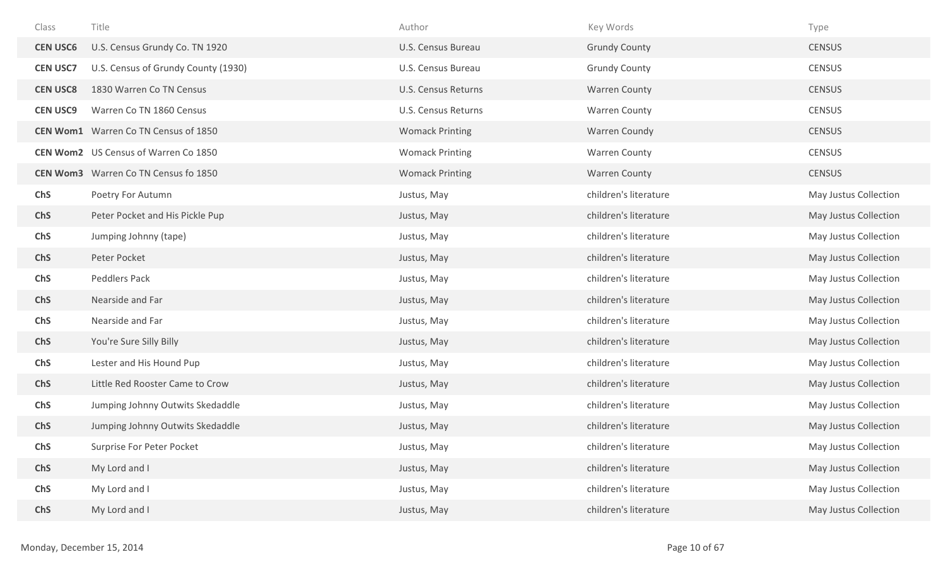| Class           | Title                                       | Author                 | Key Words             | Type                  |
|-----------------|---------------------------------------------|------------------------|-----------------------|-----------------------|
| <b>CEN USC6</b> | U.S. Census Grundy Co. TN 1920              | U.S. Census Bureau     | <b>Grundy County</b>  | <b>CENSUS</b>         |
| <b>CEN USC7</b> | U.S. Census of Grundy County (1930)         | U.S. Census Bureau     | <b>Grundy County</b>  | <b>CENSUS</b>         |
| <b>CEN USC8</b> | 1830 Warren Co TN Census                    | U.S. Census Returns    | <b>Warren County</b>  | <b>CENSUS</b>         |
| <b>CEN USC9</b> | Warren Co TN 1860 Census                    | U.S. Census Returns    | <b>Warren County</b>  | <b>CENSUS</b>         |
|                 | <b>CEN Wom1</b> Warren Co TN Census of 1850 | <b>Womack Printing</b> | Warren Coundy         | <b>CENSUS</b>         |
|                 | <b>CEN Wom2</b> US Census of Warren Co 1850 | <b>Womack Printing</b> | <b>Warren County</b>  | <b>CENSUS</b>         |
|                 | <b>CEN Wom3</b> Warren Co TN Census fo 1850 | <b>Womack Printing</b> | <b>Warren County</b>  | <b>CENSUS</b>         |
| <b>ChS</b>      | Poetry For Autumn                           | Justus, May            | children's literature | May Justus Collection |
| <b>ChS</b>      | Peter Pocket and His Pickle Pup             | Justus, May            | children's literature | May Justus Collection |
| <b>ChS</b>      | Jumping Johnny (tape)                       | Justus, May            | children's literature | May Justus Collection |
| <b>ChS</b>      | Peter Pocket                                | Justus, May            | children's literature | May Justus Collection |
| ChS             | Peddlers Pack                               | Justus, May            | children's literature | May Justus Collection |
| <b>ChS</b>      | Nearside and Far                            | Justus, May            | children's literature | May Justus Collection |
| ChS             | Nearside and Far                            | Justus, May            | children's literature | May Justus Collection |
| <b>ChS</b>      | You're Sure Silly Billy                     | Justus, May            | children's literature | May Justus Collection |
| ChS             | Lester and His Hound Pup                    | Justus, May            | children's literature | May Justus Collection |
| <b>ChS</b>      | Little Red Rooster Came to Crow             | Justus, May            | children's literature | May Justus Collection |
| <b>ChS</b>      | Jumping Johnny Outwits Skedaddle            | Justus, May            | children's literature | May Justus Collection |
| <b>ChS</b>      | Jumping Johnny Outwits Skedaddle            | Justus, May            | children's literature | May Justus Collection |
| ChS             | Surprise For Peter Pocket                   | Justus, May            | children's literature | May Justus Collection |
| ChS             | My Lord and I                               | Justus, May            | children's literature | May Justus Collection |
| <b>ChS</b>      | My Lord and I                               | Justus, May            | children's literature | May Justus Collection |
| <b>ChS</b>      | My Lord and I                               | Justus, May            | children's literature | May Justus Collection |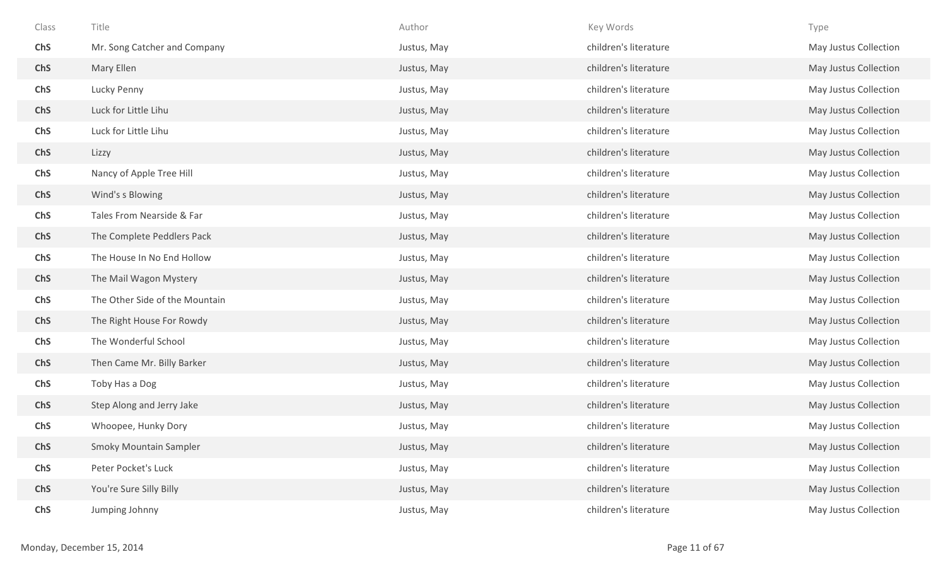| Class      | Title                          | Author      | Key Words             | Type                  |
|------------|--------------------------------|-------------|-----------------------|-----------------------|
| ChS        | Mr. Song Catcher and Company   | Justus, May | children's literature | May Justus Collection |
| ChS        | Mary Ellen                     | Justus, May | children's literature | May Justus Collection |
| ChS        | Lucky Penny                    | Justus, May | children's literature | May Justus Collection |
| ChS        | Luck for Little Lihu           | Justus, May | children's literature | May Justus Collection |
| ChS        | Luck for Little Lihu           | Justus, May | children's literature | May Justus Collection |
| ChS        | Lizzy                          | Justus, May | children's literature | May Justus Collection |
| ChS        | Nancy of Apple Tree Hill       | Justus, May | children's literature | May Justus Collection |
| <b>ChS</b> | Wind's s Blowing               | Justus, May | children's literature | May Justus Collection |
| ChS        | Tales From Nearside & Far      | Justus, May | children's literature | May Justus Collection |
| ChS        | The Complete Peddlers Pack     | Justus, May | children's literature | May Justus Collection |
| ChS        | The House In No End Hollow     | Justus, May | children's literature | May Justus Collection |
| <b>ChS</b> | The Mail Wagon Mystery         | Justus, May | children's literature | May Justus Collection |
| ChS        | The Other Side of the Mountain | Justus, May | children's literature | May Justus Collection |
| <b>ChS</b> | The Right House For Rowdy      | Justus, May | children's literature | May Justus Collection |
| ChS        | The Wonderful School           | Justus, May | children's literature | May Justus Collection |
| <b>ChS</b> | Then Came Mr. Billy Barker     | Justus, May | children's literature | May Justus Collection |
| ChS        | Toby Has a Dog                 | Justus, May | children's literature | May Justus Collection |
| <b>ChS</b> | Step Along and Jerry Jake      | Justus, May | children's literature | May Justus Collection |
| ChS        | Whoopee, Hunky Dory            | Justus, May | children's literature | May Justus Collection |
| ChS        | <b>Smoky Mountain Sampler</b>  | Justus, May | children's literature | May Justus Collection |
| ChS        | Peter Pocket's Luck            | Justus, May | children's literature | May Justus Collection |
| ChS        | You're Sure Silly Billy        | Justus, May | children's literature | May Justus Collection |
| ChS        | Jumping Johnny                 | Justus, May | children's literature | May Justus Collection |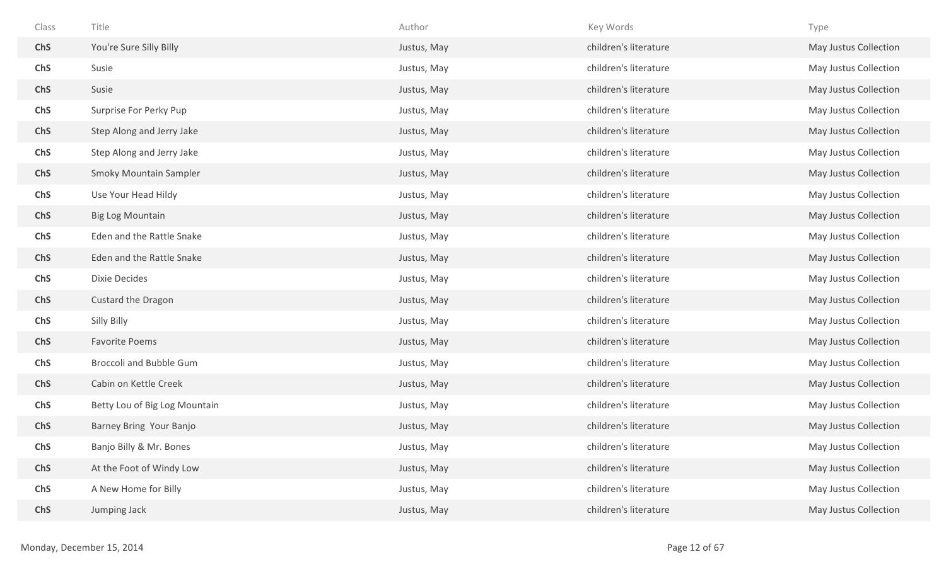| Class      | Title                         | Author      | Key Words             | Type                  |
|------------|-------------------------------|-------------|-----------------------|-----------------------|
| ChS        | You're Sure Silly Billy       | Justus, May | children's literature | May Justus Collection |
| ChS        | Susie                         | Justus, May | children's literature | May Justus Collection |
| ChS        | Susie                         | Justus, May | children's literature | May Justus Collection |
| ChS        | Surprise For Perky Pup        | Justus, May | children's literature | May Justus Collection |
| ChS        | Step Along and Jerry Jake     | Justus, May | children's literature | May Justus Collection |
| <b>ChS</b> | Step Along and Jerry Jake     | Justus, May | children's literature | May Justus Collection |
| ChS        | <b>Smoky Mountain Sampler</b> | Justus, May | children's literature | May Justus Collection |
| ChS        | Use Your Head Hildy           | Justus, May | children's literature | May Justus Collection |
| ChS        | <b>Big Log Mountain</b>       | Justus, May | children's literature | May Justus Collection |
| ChS        | Eden and the Rattle Snake     | Justus, May | children's literature | May Justus Collection |
| ChS        | Eden and the Rattle Snake     | Justus, May | children's literature | May Justus Collection |
| ChS        | Dixie Decides                 | Justus, May | children's literature | May Justus Collection |
| ChS        | Custard the Dragon            | Justus, May | children's literature | May Justus Collection |
| ChS        | Silly Billy                   | Justus, May | children's literature | May Justus Collection |
| ChS        | <b>Favorite Poems</b>         | Justus, May | children's literature | May Justus Collection |
| ChS        | Broccoli and Bubble Gum       | Justus, May | children's literature | May Justus Collection |
| ChS        | Cabin on Kettle Creek         | Justus, May | children's literature | May Justus Collection |
| ChS        | Betty Lou of Big Log Mountain | Justus, May | children's literature | May Justus Collection |
| <b>ChS</b> | Barney Bring Your Banjo       | Justus, May | children's literature | May Justus Collection |
| ChS        | Banjo Billy & Mr. Bones       | Justus, May | children's literature | May Justus Collection |
| ChS        | At the Foot of Windy Low      | Justus, May | children's literature | May Justus Collection |
| ChS        | A New Home for Billy          | Justus, May | children's literature | May Justus Collection |
| ChS        | Jumping Jack                  | Justus, May | children's literature | May Justus Collection |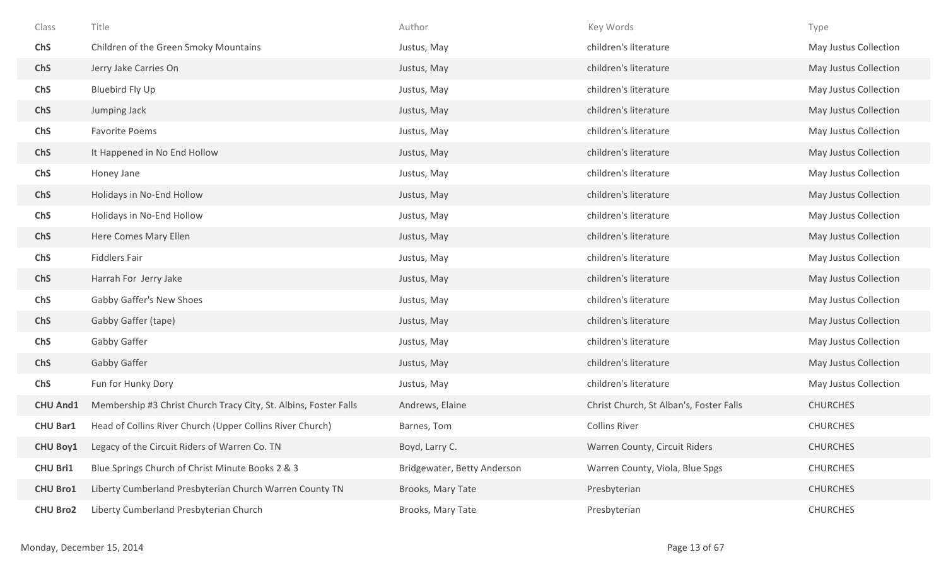| Class           | Title                                                            | Author                      | Key Words                               | Type                  |
|-----------------|------------------------------------------------------------------|-----------------------------|-----------------------------------------|-----------------------|
| <b>ChS</b>      | Children of the Green Smoky Mountains                            | Justus, May                 | children's literature                   | May Justus Collection |
| <b>ChS</b>      | Jerry Jake Carries On                                            | Justus, May                 | children's literature                   | May Justus Collection |
| <b>ChS</b>      | Bluebird Fly Up                                                  | Justus, May                 | children's literature                   | May Justus Collection |
| <b>ChS</b>      | Jumping Jack                                                     | Justus, May                 | children's literature                   | May Justus Collection |
| ChS             | <b>Favorite Poems</b>                                            | Justus, May                 | children's literature                   | May Justus Collection |
| <b>ChS</b>      | It Happened in No End Hollow                                     | Justus, May                 | children's literature                   | May Justus Collection |
| ChS             | Honey Jane                                                       | Justus, May                 | children's literature                   | May Justus Collection |
| <b>ChS</b>      | Holidays in No-End Hollow                                        | Justus, May                 | children's literature                   | May Justus Collection |
| ChS             | Holidays in No-End Hollow                                        | Justus, May                 | children's literature                   | May Justus Collection |
| <b>ChS</b>      | Here Comes Mary Ellen                                            | Justus, May                 | children's literature                   | May Justus Collection |
| <b>ChS</b>      | <b>Fiddlers Fair</b>                                             | Justus, May                 | children's literature                   | May Justus Collection |
| <b>ChS</b>      | Harrah For Jerry Jake                                            | Justus, May                 | children's literature                   | May Justus Collection |
| <b>ChS</b>      | Gabby Gaffer's New Shoes                                         | Justus, May                 | children's literature                   | May Justus Collection |
| <b>ChS</b>      | Gabby Gaffer (tape)                                              | Justus, May                 | children's literature                   | May Justus Collection |
| <b>ChS</b>      | Gabby Gaffer                                                     | Justus, May                 | children's literature                   | May Justus Collection |
| <b>ChS</b>      | Gabby Gaffer                                                     | Justus, May                 | children's literature                   | May Justus Collection |
| <b>ChS</b>      | Fun for Hunky Dory                                               | Justus, May                 | children's literature                   | May Justus Collection |
| <b>CHU And1</b> | Membership #3 Christ Church Tracy City, St. Albins, Foster Falls | Andrews, Elaine             | Christ Church, St Alban's, Foster Falls | <b>CHURCHES</b>       |
| <b>CHU Bar1</b> | Head of Collins River Church (Upper Collins River Church)        | Barnes, Tom                 | <b>Collins River</b>                    | <b>CHURCHES</b>       |
| <b>CHU Boy1</b> | Legacy of the Circuit Riders of Warren Co. TN                    | Boyd, Larry C.              | Warren County, Circuit Riders           | <b>CHURCHES</b>       |
| <b>CHU Bri1</b> | Blue Springs Church of Christ Minute Books 2 & 3                 | Bridgewater, Betty Anderson | Warren County, Viola, Blue Spgs         | <b>CHURCHES</b>       |
| <b>CHU Bro1</b> | Liberty Cumberland Presbyterian Church Warren County TN          | Brooks, Mary Tate           | Presbyterian                            | <b>CHURCHES</b>       |
| <b>CHU Bro2</b> | Liberty Cumberland Presbyterian Church                           | Brooks, Mary Tate           | Presbyterian                            | <b>CHURCHES</b>       |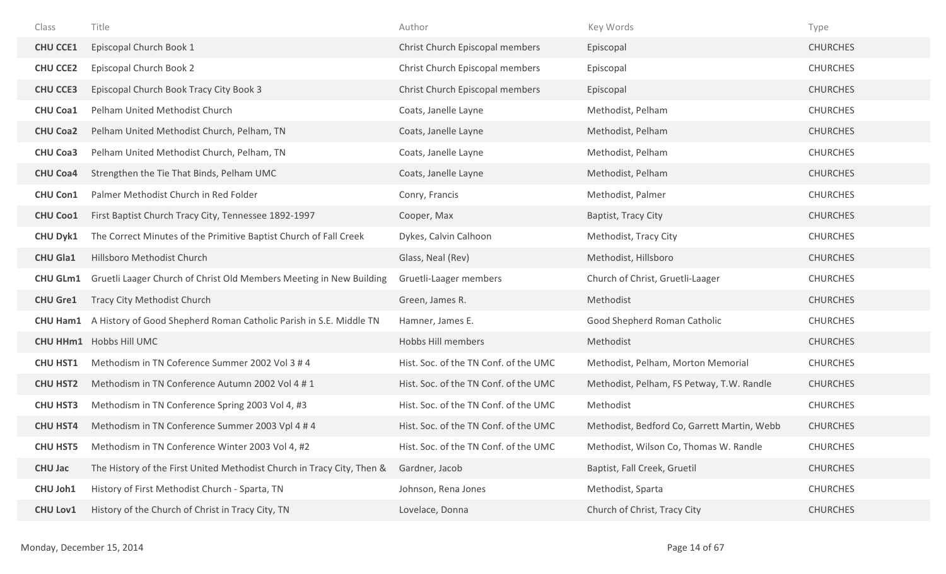| Class           | Title                                                                  | Author                                | Key Words                                   | Type            |
|-----------------|------------------------------------------------------------------------|---------------------------------------|---------------------------------------------|-----------------|
| <b>CHU CCE1</b> | Episcopal Church Book 1                                                | Christ Church Episcopal members       | Episcopal                                   | <b>CHURCHES</b> |
| <b>CHU CCE2</b> | Episcopal Church Book 2                                                | Christ Church Episcopal members       | Episcopal                                   | <b>CHURCHES</b> |
| <b>CHU CCE3</b> | Episcopal Church Book Tracy City Book 3                                | Christ Church Episcopal members       | Episcopal                                   | <b>CHURCHES</b> |
| <b>CHU Coa1</b> | Pelham United Methodist Church                                         | Coats, Janelle Layne                  | Methodist, Pelham                           | <b>CHURCHES</b> |
| <b>CHU Coa2</b> | Pelham United Methodist Church, Pelham, TN                             | Coats, Janelle Layne                  | Methodist, Pelham                           | <b>CHURCHES</b> |
| <b>CHU Coa3</b> | Pelham United Methodist Church, Pelham, TN                             | Coats, Janelle Layne                  | Methodist, Pelham                           | <b>CHURCHES</b> |
| <b>CHU Coa4</b> | Strengthen the Tie That Binds, Pelham UMC                              | Coats, Janelle Layne                  | Methodist, Pelham                           | <b>CHURCHES</b> |
| <b>CHU Con1</b> | Palmer Methodist Church in Red Folder                                  | Conry, Francis                        | Methodist, Palmer                           | <b>CHURCHES</b> |
| <b>CHU Coo1</b> | First Baptist Church Tracy City, Tennessee 1892-1997                   | Cooper, Max                           | Baptist, Tracy City                         | <b>CHURCHES</b> |
| <b>CHU Dyk1</b> | The Correct Minutes of the Primitive Baptist Church of Fall Creek      | Dykes, Calvin Calhoon                 | Methodist, Tracy City                       | <b>CHURCHES</b> |
| <b>CHU Gla1</b> | Hillsboro Methodist Church                                             | Glass, Neal (Rev)                     | Methodist, Hillsboro                        | <b>CHURCHES</b> |
| <b>CHU GLm1</b> | Gruetli Laager Church of Christ Old Members Meeting in New Building    | Gruetli-Laager members                | Church of Christ, Gruetli-Laager            | <b>CHURCHES</b> |
| <b>CHU Gre1</b> | Tracy City Methodist Church                                            | Green, James R.                       | Methodist                                   | <b>CHURCHES</b> |
| <b>CHU Ham1</b> | A History of Good Shepherd Roman Catholic Parish in S.E. Middle TN     | Hamner, James E.                      | Good Shepherd Roman Catholic                | <b>CHURCHES</b> |
|                 | <b>CHU HHm1</b> Hobbs Hill UMC                                         | Hobbs Hill members                    | Methodist                                   | <b>CHURCHES</b> |
| <b>CHU HST1</b> | Methodism in TN Coference Summer 2002 Vol 3 # 4                        | Hist. Soc. of the TN Conf. of the UMC | Methodist, Pelham, Morton Memorial          | <b>CHURCHES</b> |
| <b>CHU HST2</b> | Methodism in TN Conference Autumn 2002 Vol 4 # 1                       | Hist. Soc. of the TN Conf. of the UMC | Methodist, Pelham, FS Petway, T.W. Randle   | <b>CHURCHES</b> |
| <b>CHU HST3</b> | Methodism in TN Conference Spring 2003 Vol 4, #3                       | Hist. Soc. of the TN Conf. of the UMC | Methodist                                   | <b>CHURCHES</b> |
| <b>CHU HST4</b> | Methodism in TN Conference Summer 2003 Vpl 4 # 4                       | Hist. Soc. of the TN Conf. of the UMC | Methodist, Bedford Co, Garrett Martin, Webb | <b>CHURCHES</b> |
| <b>CHU HST5</b> | Methodism in TN Conference Winter 2003 Vol 4, #2                       | Hist. Soc. of the TN Conf. of the UMC | Methodist, Wilson Co, Thomas W. Randle      | <b>CHURCHES</b> |
| <b>CHU Jac</b>  | The History of the First United Methodist Church in Tracy City, Then & | Gardner, Jacob                        | Baptist, Fall Creek, Gruetil                | <b>CHURCHES</b> |
| CHU Joh1        | History of First Methodist Church - Sparta, TN                         | Johnson, Rena Jones                   | Methodist, Sparta                           | <b>CHURCHES</b> |
| <b>CHU Lov1</b> | History of the Church of Christ in Tracy City, TN                      | Lovelace, Donna                       | Church of Christ, Tracy City                | <b>CHURCHES</b> |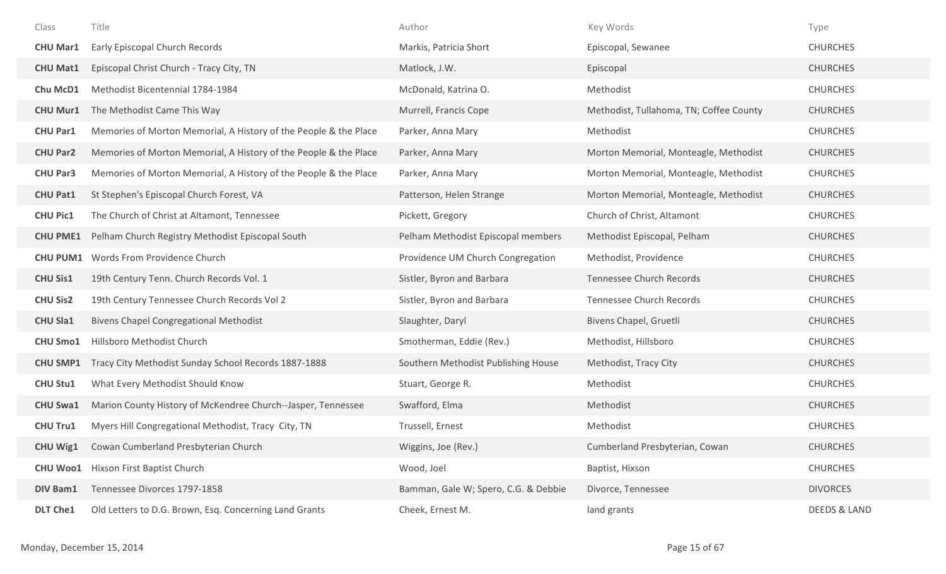| Class           | Title                                                            | Author                               | Key Words                               | Type                    |
|-----------------|------------------------------------------------------------------|--------------------------------------|-----------------------------------------|-------------------------|
| <b>CHU Mar1</b> | Early Episcopal Church Records                                   | Markis, Patricia Short               | Episcopal, Sewanee                      | <b>CHURCHES</b>         |
| <b>CHU Mat1</b> | Episcopal Christ Church - Tracy City, TN                         | Matlock, J.W.                        | Episcopal                               | <b>CHURCHES</b>         |
| Chu McD1        | Methodist Bicentennial 1784-1984                                 | McDonald, Katrina O.                 | Methodist                               | <b>CHURCHES</b>         |
| <b>CHU Mur1</b> | The Methodist Came This Way                                      | Murrell, Francis Cope                | Methodist, Tullahoma, TN; Coffee County | <b>CHURCHES</b>         |
| <b>CHU Par1</b> | Memories of Morton Memorial, A History of the People & the Place | Parker, Anna Mary                    | Methodist                               | <b>CHURCHES</b>         |
| <b>CHU Par2</b> | Memories of Morton Memorial, A History of the People & the Place | Parker, Anna Mary                    | Morton Memorial, Monteagle, Methodist   | <b>CHURCHES</b>         |
| <b>CHU Par3</b> | Memories of Morton Memorial, A History of the People & the Place | Parker, Anna Mary                    | Morton Memorial, Monteagle, Methodist   | <b>CHURCHES</b>         |
| <b>CHU Pat1</b> | St Stephen's Episcopal Church Forest, VA                         | Patterson, Helen Strange             | Morton Memorial, Monteagle, Methodist   | <b>CHURCHES</b>         |
| <b>CHU Pic1</b> | The Church of Christ at Altamont, Tennessee                      | Pickett, Gregory                     | Church of Christ, Altamont              | <b>CHURCHES</b>         |
| <b>CHU PME1</b> | Pelham Church Registry Methodist Episcopal South                 | Pelham Methodist Episcopal members   | Methodist Episcopal, Pelham             | <b>CHURCHES</b>         |
| <b>CHU PUM1</b> | Words From Providence Church                                     | Providence UM Church Congregation    | Methodist, Providence                   | <b>CHURCHES</b>         |
| <b>CHU Sis1</b> | 19th Century Tenn. Church Records Vol. 1                         | Sistler, Byron and Barbara           | <b>Tennessee Church Records</b>         | <b>CHURCHES</b>         |
| <b>CHU Sis2</b> | 19th Century Tennessee Church Records Vol 2                      | Sistler, Byron and Barbara           | <b>Tennessee Church Records</b>         | <b>CHURCHES</b>         |
| <b>CHU Sla1</b> | <b>Bivens Chapel Congregational Methodist</b>                    | Slaughter, Daryl                     | Bivens Chapel, Gruetli                  | <b>CHURCHES</b>         |
| <b>CHU Smo1</b> | Hillsboro Methodist Church                                       | Smotherman, Eddie (Rev.)             | Methodist, Hillsboro                    | <b>CHURCHES</b>         |
| <b>CHU SMP1</b> | Tracy City Methodist Sunday School Records 1887-1888             | Southern Methodist Publishing House  | Methodist, Tracy City                   | <b>CHURCHES</b>         |
| <b>CHU Stu1</b> | What Every Methodist Should Know                                 | Stuart, George R.                    | Methodist                               | <b>CHURCHES</b>         |
| <b>CHU Swa1</b> | Marion County History of McKendree Church--Jasper, Tennessee     | Swafford, Elma                       | Methodist                               | <b>CHURCHES</b>         |
| <b>CHU Tru1</b> | Myers Hill Congregational Methodist, Tracy City, TN              | Trussell, Ernest                     | Methodist                               | <b>CHURCHES</b>         |
| <b>CHU Wig1</b> | Cowan Cumberland Presbyterian Church                             | Wiggins, Joe (Rev.)                  | Cumberland Presbyterian, Cowan          | <b>CHURCHES</b>         |
| <b>CHU Woo1</b> | Hixson First Baptist Church                                      | Wood, Joel                           | Baptist, Hixson                         | <b>CHURCHES</b>         |
| <b>DIV Bam1</b> | Tennessee Divorces 1797-1858                                     | Bamman, Gale W; Spero, C.G. & Debbie | Divorce, Tennessee                      | <b>DIVORCES</b>         |
| <b>DLT Che1</b> | Old Letters to D.G. Brown, Esq. Concerning Land Grants           | Cheek, Ernest M.                     | land grants                             | <b>DEEDS &amp; LAND</b> |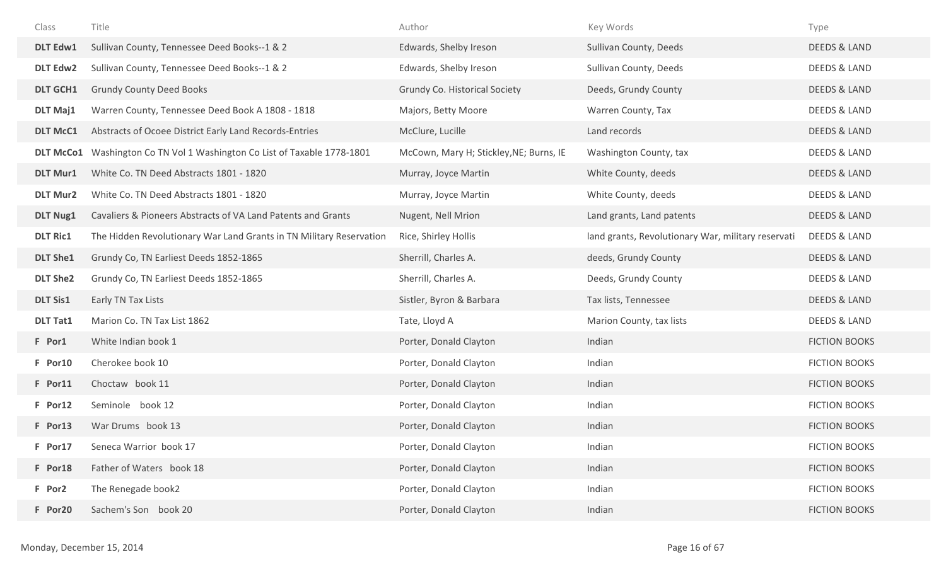| Class            | Title                                                               | Author                                  | Key Words                                          | Type                    |
|------------------|---------------------------------------------------------------------|-----------------------------------------|----------------------------------------------------|-------------------------|
| <b>DLT Edw1</b>  | Sullivan County, Tennessee Deed Books--1 & 2                        | Edwards, Shelby Ireson                  | Sullivan County, Deeds                             | <b>DEEDS &amp; LAND</b> |
| <b>DLT Edw2</b>  | Sullivan County, Tennessee Deed Books--1 & 2                        | Edwards, Shelby Ireson                  | Sullivan County, Deeds                             | <b>DEEDS &amp; LAND</b> |
| <b>DLT GCH1</b>  | <b>Grundy County Deed Books</b>                                     | Grundy Co. Historical Society           | Deeds, Grundy County                               | DEEDS & LAND            |
| <b>DLT Maj1</b>  | Warren County, Tennessee Deed Book A 1808 - 1818                    | Majors, Betty Moore                     | Warren County, Tax                                 | <b>DEEDS &amp; LAND</b> |
| <b>DLT McC1</b>  | Abstracts of Ocoee District Early Land Records-Entries              | McClure, Lucille                        | Land records                                       | <b>DEEDS &amp; LAND</b> |
| <b>DLT McCo1</b> | Washington Co TN Vol 1 Washington Co List of Taxable 1778-1801      | McCown, Mary H; Stickley, NE; Burns, IE | Washington County, tax                             | <b>DEEDS &amp; LAND</b> |
| <b>DLT Mur1</b>  | White Co. TN Deed Abstracts 1801 - 1820                             | Murray, Joyce Martin                    | White County, deeds                                | DEEDS & LAND            |
| <b>DLT Mur2</b>  | White Co. TN Deed Abstracts 1801 - 1820                             | Murray, Joyce Martin                    | White County, deeds                                | <b>DEEDS &amp; LAND</b> |
| <b>DLT Nug1</b>  | Cavaliers & Pioneers Abstracts of VA Land Patents and Grants        | Nugent, Nell Mrion                      | Land grants, Land patents                          | DEEDS & LAND            |
| <b>DLT Ric1</b>  | The Hidden Revolutionary War Land Grants in TN Military Reservation | Rice, Shirley Hollis                    | land grants, Revolutionary War, military reservati | <b>DEEDS &amp; LAND</b> |
| <b>DLT She1</b>  | Grundy Co, TN Earliest Deeds 1852-1865                              | Sherrill, Charles A.                    | deeds, Grundy County                               | DEEDS & LAND            |
| <b>DLT She2</b>  | Grundy Co, TN Earliest Deeds 1852-1865                              | Sherrill, Charles A.                    | Deeds, Grundy County                               | <b>DEEDS &amp; LAND</b> |
| <b>DLT Sis1</b>  | Early TN Tax Lists                                                  | Sistler, Byron & Barbara                | Tax lists, Tennessee                               | <b>DEEDS &amp; LAND</b> |
| <b>DLT Tat1</b>  | Marion Co. TN Tax List 1862                                         | Tate, Lloyd A                           | Marion County, tax lists                           | DEEDS & LAND            |
| F Por1           | White Indian book 1                                                 | Porter, Donald Clayton                  | Indian                                             | <b>FICTION BOOKS</b>    |
| F Por10          | Cherokee book 10                                                    | Porter, Donald Clayton                  | Indian                                             | <b>FICTION BOOKS</b>    |
| F Por11          | Choctaw book 11                                                     | Porter, Donald Clayton                  | Indian                                             | <b>FICTION BOOKS</b>    |
| F Por12          | Seminole book 12                                                    | Porter, Donald Clayton                  | Indian                                             | <b>FICTION BOOKS</b>    |
| F Por13          | War Drums book 13                                                   | Porter, Donald Clayton                  | Indian                                             | <b>FICTION BOOKS</b>    |
| F Por17          | Seneca Warrior book 17                                              | Porter, Donald Clayton                  | Indian                                             | <b>FICTION BOOKS</b>    |
| F Por18          | Father of Waters book 18                                            | Porter, Donald Clayton                  | Indian                                             | <b>FICTION BOOKS</b>    |
| F Por2           | The Renegade book2                                                  | Porter, Donald Clayton                  | Indian                                             | <b>FICTION BOOKS</b>    |
| F Por20          | Sachem's Son book 20                                                | Porter, Donald Clayton                  | Indian                                             | <b>FICTION BOOKS</b>    |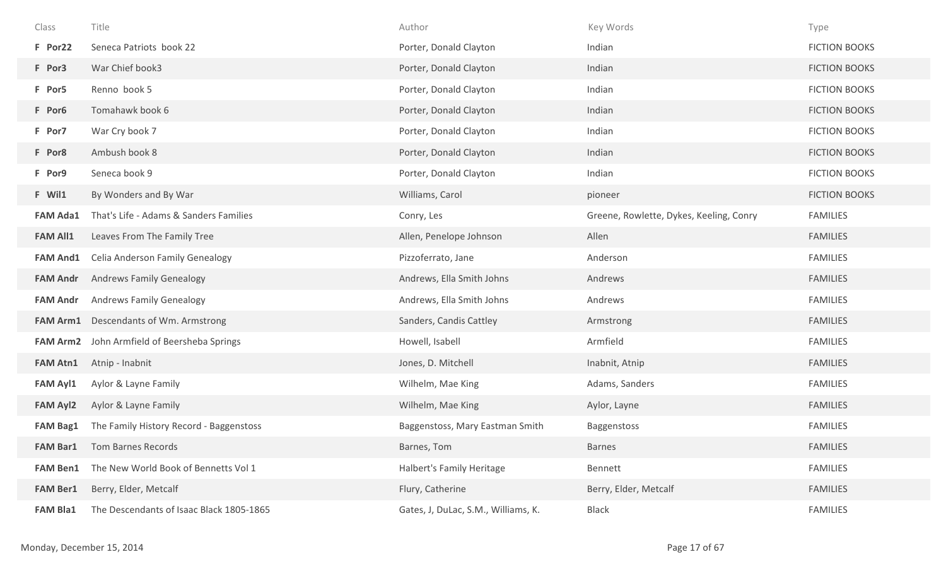| Class           | Title                                    | Author                              | Key Words                               | Type                 |
|-----------------|------------------------------------------|-------------------------------------|-----------------------------------------|----------------------|
| F Por22         | Seneca Patriots book 22                  | Porter, Donald Clayton              | Indian                                  | <b>FICTION BOOKS</b> |
| F Por3          | War Chief book3                          | Porter, Donald Clayton              | Indian                                  | <b>FICTION BOOKS</b> |
| F Por5          | Renno book 5                             | Porter, Donald Clayton              | Indian                                  | <b>FICTION BOOKS</b> |
| F Por6          | Tomahawk book 6                          | Porter, Donald Clayton              | Indian                                  | <b>FICTION BOOKS</b> |
| F Por7          | War Cry book 7                           | Porter, Donald Clayton              | Indian                                  | <b>FICTION BOOKS</b> |
| F Por8          | Ambush book 8                            | Porter, Donald Clayton              | Indian                                  | <b>FICTION BOOKS</b> |
| F Por9          | Seneca book 9                            | Porter, Donald Clayton              | Indian                                  | <b>FICTION BOOKS</b> |
| F Wil1          | By Wonders and By War                    | Williams, Carol                     | pioneer                                 | <b>FICTION BOOKS</b> |
| <b>FAM Ada1</b> | That's Life - Adams & Sanders Families   | Conry, Les                          | Greene, Rowlette, Dykes, Keeling, Conry | <b>FAMILIES</b>      |
| <b>FAM All1</b> | Leaves From The Family Tree              | Allen, Penelope Johnson             | Allen                                   | <b>FAMILIES</b>      |
| <b>FAM And1</b> | Celia Anderson Family Genealogy          | Pizzoferrato, Jane                  | Anderson                                | <b>FAMILIES</b>      |
| <b>FAM Andr</b> | <b>Andrews Family Genealogy</b>          | Andrews, Ella Smith Johns           | Andrews                                 | <b>FAMILIES</b>      |
| <b>FAM Andr</b> | <b>Andrews Family Genealogy</b>          | Andrews, Ella Smith Johns           | Andrews                                 | <b>FAMILIES</b>      |
| <b>FAM Arm1</b> | Descendants of Wm. Armstrong             | Sanders, Candis Cattley             | Armstrong                               | <b>FAMILIES</b>      |
| <b>FAM Arm2</b> | John Armfield of Beersheba Springs       | Howell, Isabell                     | Armfield                                | <b>FAMILIES</b>      |
| <b>FAM Atn1</b> | Atnip - Inabnit                          | Jones, D. Mitchell                  | Inabnit, Atnip                          | <b>FAMILIES</b>      |
| <b>FAM Ayl1</b> | Aylor & Layne Family                     | Wilhelm, Mae King                   | Adams, Sanders                          | <b>FAMILIES</b>      |
| <b>FAM Ayl2</b> | Aylor & Layne Family                     | Wilhelm, Mae King                   | Aylor, Layne                            | <b>FAMILIES</b>      |
| <b>FAM Bag1</b> | The Family History Record - Baggenstoss  | Baggenstoss, Mary Eastman Smith     | Baggenstoss                             | <b>FAMILIES</b>      |
| <b>FAM Bar1</b> | Tom Barnes Records                       | Barnes, Tom                         | <b>Barnes</b>                           | <b>FAMILIES</b>      |
| <b>FAM Ben1</b> | The New World Book of Bennetts Vol 1     | Halbert's Family Heritage           | Bennett                                 | <b>FAMILIES</b>      |
| <b>FAM Ber1</b> | Berry, Elder, Metcalf                    | Flury, Catherine                    | Berry, Elder, Metcalf                   | <b>FAMILIES</b>      |
| <b>FAM Bla1</b> | The Descendants of Isaac Black 1805-1865 | Gates, J, DuLac, S.M., Williams, K. | <b>Black</b>                            | <b>FAMILIES</b>      |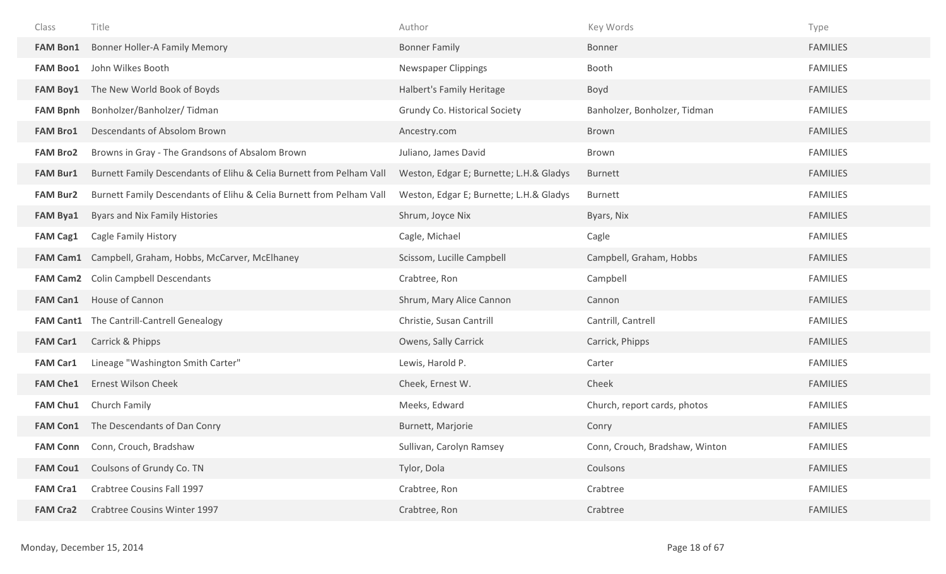| Class           | Title                                                                | Author                                  | Key Words                      | Type            |
|-----------------|----------------------------------------------------------------------|-----------------------------------------|--------------------------------|-----------------|
| <b>FAM Bon1</b> | <b>Bonner Holler-A Family Memory</b>                                 | <b>Bonner Family</b>                    | Bonner                         | <b>FAMILIES</b> |
| <b>FAM Boo1</b> | John Wilkes Booth                                                    | <b>Newspaper Clippings</b>              | Booth                          | <b>FAMILIES</b> |
| <b>FAM Boy1</b> | The New World Book of Boyds                                          | Halbert's Family Heritage               | Boyd                           | <b>FAMILIES</b> |
| <b>FAM Bpnh</b> | Bonholzer/Banholzer/ Tidman                                          | Grundy Co. Historical Society           | Banholzer, Bonholzer, Tidman   | <b>FAMILIES</b> |
| <b>FAM Bro1</b> | Descendants of Absolom Brown                                         | Ancestry.com                            | Brown                          | <b>FAMILIES</b> |
| <b>FAM Bro2</b> | Browns in Gray - The Grandsons of Absalom Brown                      | Juliano, James David                    | Brown                          | <b>FAMILIES</b> |
| <b>FAM Bur1</b> | Burnett Family Descendants of Elihu & Celia Burnett from Pelham Vall | Weston, Edgar E; Burnette; L.H.& Gladys | <b>Burnett</b>                 | <b>FAMILIES</b> |
| <b>FAM Bur2</b> | Burnett Family Descendants of Elihu & Celia Burnett from Pelham Vall | Weston, Edgar E; Burnette; L.H.& Gladys | Burnett                        | <b>FAMILIES</b> |
| <b>FAM Bya1</b> | Byars and Nix Family Histories                                       | Shrum, Joyce Nix                        | Byars, Nix                     | <b>FAMILIES</b> |
| <b>FAM Cag1</b> | Cagle Family History                                                 | Cagle, Michael                          | Cagle                          | <b>FAMILIES</b> |
| <b>FAM Cam1</b> | Campbell, Graham, Hobbs, McCarver, McElhaney                         | Scissom, Lucille Campbell               | Campbell, Graham, Hobbs        | <b>FAMILIES</b> |
| <b>FAM Cam2</b> | <b>Colin Campbell Descendants</b>                                    | Crabtree, Ron                           | Campbell                       | <b>FAMILIES</b> |
| <b>FAM Can1</b> | House of Cannon                                                      | Shrum, Mary Alice Cannon                | Cannon                         | <b>FAMILIES</b> |
|                 | FAM Cant1 The Cantrill-Cantrell Genealogy                            | Christie, Susan Cantrill                | Cantrill, Cantrell             | <b>FAMILIES</b> |
| <b>FAM Car1</b> | Carrick & Phipps                                                     | Owens, Sally Carrick                    | Carrick, Phipps                | <b>FAMILIES</b> |
| <b>FAM Car1</b> | Lineage "Washington Smith Carter"                                    | Lewis, Harold P.                        | Carter                         | <b>FAMILIES</b> |
| <b>FAM Che1</b> | <b>Ernest Wilson Cheek</b>                                           | Cheek, Ernest W.                        | Cheek                          | <b>FAMILIES</b> |
| <b>FAM Chu1</b> | Church Family                                                        | Meeks, Edward                           | Church, report cards, photos   | <b>FAMILIES</b> |
| <b>FAM Con1</b> | The Descendants of Dan Conry                                         | Burnett, Marjorie                       | Conry                          | <b>FAMILIES</b> |
| <b>FAM Conn</b> | Conn, Crouch, Bradshaw                                               | Sullivan, Carolyn Ramsey                | Conn, Crouch, Bradshaw, Winton | <b>FAMILIES</b> |
| <b>FAM Cou1</b> | Coulsons of Grundy Co. TN                                            | Tylor, Dola                             | Coulsons                       | <b>FAMILIES</b> |
| <b>FAM Cra1</b> | Crabtree Cousins Fall 1997                                           | Crabtree, Ron                           | Crabtree                       | <b>FAMILIES</b> |
| <b>FAM Cra2</b> | Crabtree Cousins Winter 1997                                         | Crabtree, Ron                           | Crabtree                       | <b>FAMILIES</b> |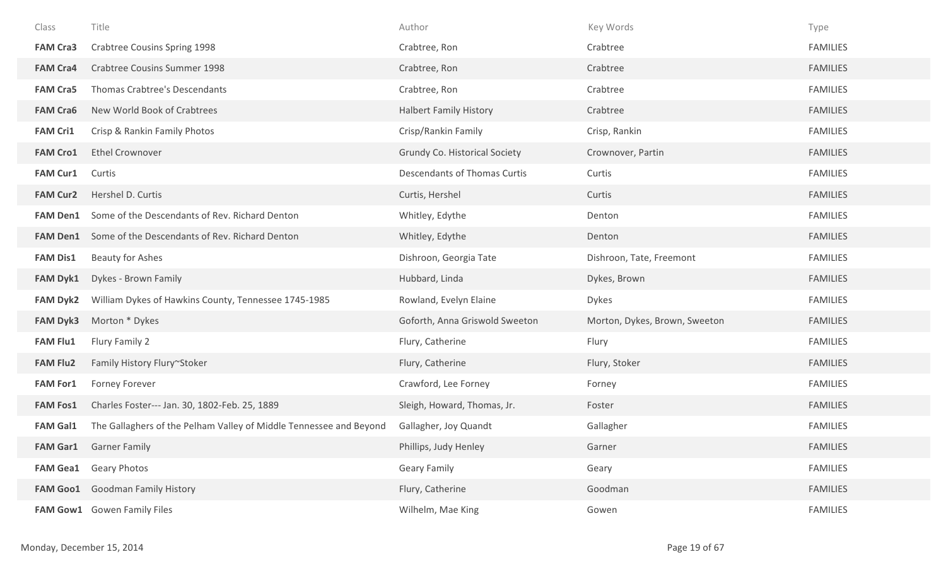| Class           | Title                                                              | Author                               | Key Words                     | Type            |
|-----------------|--------------------------------------------------------------------|--------------------------------------|-------------------------------|-----------------|
| <b>FAM Cra3</b> | Crabtree Cousins Spring 1998                                       | Crabtree, Ron                        | Crabtree                      | <b>FAMILIES</b> |
| <b>FAM Cra4</b> | <b>Crabtree Cousins Summer 1998</b>                                | Crabtree, Ron                        | Crabtree                      | <b>FAMILIES</b> |
| <b>FAM Cra5</b> | Thomas Crabtree's Descendants                                      | Crabtree, Ron                        | Crabtree                      | <b>FAMILIES</b> |
| <b>FAM Cra6</b> | New World Book of Crabtrees                                        | <b>Halbert Family History</b>        | Crabtree                      | <b>FAMILIES</b> |
| <b>FAM Cri1</b> | Crisp & Rankin Family Photos                                       | Crisp/Rankin Family                  | Crisp, Rankin                 | <b>FAMILIES</b> |
| <b>FAM Cro1</b> | <b>Ethel Crownover</b>                                             | <b>Grundy Co. Historical Society</b> | Crownover, Partin             | <b>FAMILIES</b> |
| <b>FAM Cur1</b> | Curtis                                                             | Descendants of Thomas Curtis         | Curtis                        | <b>FAMILIES</b> |
| <b>FAM Cur2</b> | Hershel D. Curtis                                                  | Curtis, Hershel                      | Curtis                        | <b>FAMILIES</b> |
| <b>FAM Den1</b> | Some of the Descendants of Rev. Richard Denton                     | Whitley, Edythe                      | Denton                        | <b>FAMILIES</b> |
| <b>FAM Den1</b> | Some of the Descendants of Rev. Richard Denton                     | Whitley, Edythe                      | Denton                        | <b>FAMILIES</b> |
| <b>FAM Dis1</b> | <b>Beauty for Ashes</b>                                            | Dishroon, Georgia Tate               | Dishroon, Tate, Freemont      | <b>FAMILIES</b> |
|                 |                                                                    |                                      |                               |                 |
| <b>FAM Dyk1</b> | Dykes - Brown Family                                               | Hubbard, Linda                       | Dykes, Brown                  | <b>FAMILIES</b> |
| <b>FAM Dyk2</b> | William Dykes of Hawkins County, Tennessee 1745-1985               | Rowland, Evelyn Elaine               | <b>Dykes</b>                  | <b>FAMILIES</b> |
| <b>FAM Dyk3</b> | Morton * Dykes                                                     | Goforth, Anna Griswold Sweeton       | Morton, Dykes, Brown, Sweeton | <b>FAMILIES</b> |
| <b>FAM Flu1</b> | Flury Family 2                                                     | Flury, Catherine                     | Flury                         | <b>FAMILIES</b> |
| <b>FAM Flu2</b> | Family History Flury~Stoker                                        | Flury, Catherine                     | Flury, Stoker                 | <b>FAMILIES</b> |
| <b>FAM For1</b> | Forney Forever                                                     | Crawford, Lee Forney                 | Forney                        | <b>FAMILIES</b> |
| <b>FAM Fos1</b> | Charles Foster--- Jan. 30, 1802-Feb. 25, 1889                      | Sleigh, Howard, Thomas, Jr.          | Foster                        | <b>FAMILIES</b> |
| <b>FAM Gal1</b> | The Gallaghers of the Pelham Valley of Middle Tennessee and Beyond | Gallagher, Joy Quandt                | Gallagher                     | <b>FAMILIES</b> |
| <b>FAM Gar1</b> | <b>Garner Family</b>                                               | Phillips, Judy Henley                | Garner                        | <b>FAMILIES</b> |
| <b>FAM Gea1</b> | <b>Geary Photos</b>                                                | <b>Geary Family</b>                  | Geary                         | <b>FAMILIES</b> |
| <b>FAM Goo1</b> | <b>Goodman Family History</b>                                      | Flury, Catherine                     | Goodman                       | <b>FAMILIES</b> |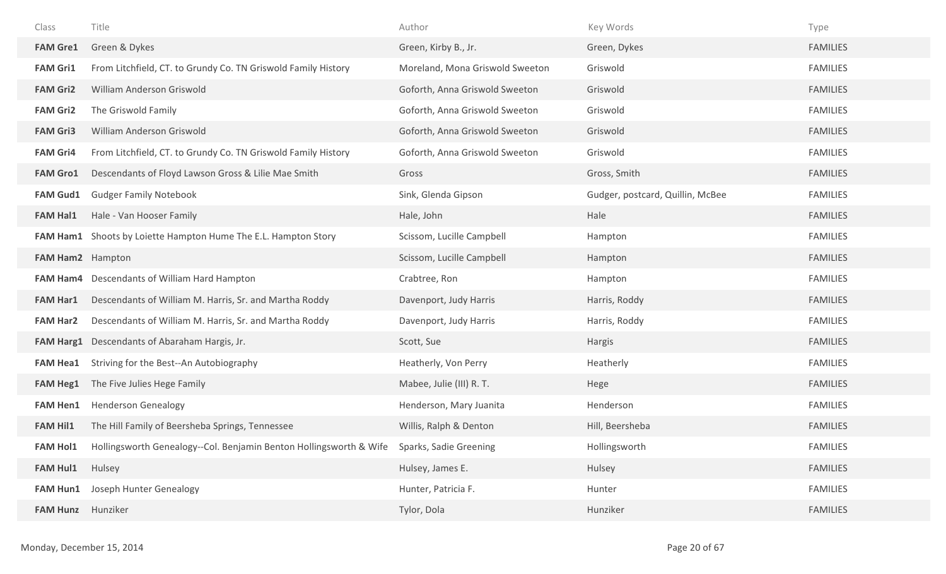| Class                   | Title                                                                                     | Author                          | Key Words                        | Type            |
|-------------------------|-------------------------------------------------------------------------------------------|---------------------------------|----------------------------------|-----------------|
| <b>FAM Gre1</b>         | Green & Dykes                                                                             | Green, Kirby B., Jr.            | Green, Dykes                     | <b>FAMILIES</b> |
| <b>FAM Gri1</b>         | From Litchfield, CT. to Grundy Co. TN Griswold Family History                             | Moreland, Mona Griswold Sweeton | Griswold                         | <b>FAMILIES</b> |
| <b>FAM Gri2</b>         | William Anderson Griswold                                                                 | Goforth, Anna Griswold Sweeton  | Griswold                         | <b>FAMILIES</b> |
| <b>FAM Gri2</b>         | The Griswold Family                                                                       | Goforth, Anna Griswold Sweeton  | Griswold                         | <b>FAMILIES</b> |
| <b>FAM Gri3</b>         | William Anderson Griswold                                                                 | Goforth, Anna Griswold Sweeton  | Griswold                         | <b>FAMILIES</b> |
| <b>FAM Gri4</b>         | From Litchfield, CT. to Grundy Co. TN Griswold Family History                             | Goforth, Anna Griswold Sweeton  | Griswold                         | <b>FAMILIES</b> |
| <b>FAM Gro1</b>         | Descendants of Floyd Lawson Gross & Lilie Mae Smith                                       | Gross                           | Gross, Smith                     | <b>FAMILIES</b> |
| <b>FAM Gud1</b>         | <b>Gudger Family Notebook</b>                                                             | Sink, Glenda Gipson             | Gudger, postcard, Quillin, McBee | <b>FAMILIES</b> |
| <b>FAM Hal1</b>         | Hale - Van Hooser Family                                                                  | Hale, John                      | Hale                             | <b>FAMILIES</b> |
|                         | FAM Ham1 Shoots by Loiette Hampton Hume The E.L. Hampton Story                            | Scissom, Lucille Campbell       | Hampton                          | <b>FAMILIES</b> |
| <b>FAM Ham2</b> Hampton |                                                                                           | Scissom, Lucille Campbell       | Hampton                          | <b>FAMILIES</b> |
|                         | FAM Ham4 Descendants of William Hard Hampton                                              | Crabtree, Ron                   | Hampton                          | <b>FAMILIES</b> |
| <b>FAM Har1</b>         | Descendants of William M. Harris, Sr. and Martha Roddy                                    | Davenport, Judy Harris          | Harris, Roddy                    | <b>FAMILIES</b> |
| <b>FAM Har2</b>         | Descendants of William M. Harris, Sr. and Martha Roddy                                    | Davenport, Judy Harris          | Harris, Roddy                    | <b>FAMILIES</b> |
|                         | FAM Harg1 Descendants of Abaraham Hargis, Jr.                                             | Scott, Sue                      | Hargis                           | <b>FAMILIES</b> |
| <b>FAM Hea1</b>         | Striving for the Best--An Autobiography                                                   | Heatherly, Von Perry            | Heatherly                        | <b>FAMILIES</b> |
| <b>FAM Heg1</b>         | The Five Julies Hege Family                                                               | Mabee, Julie (III) R. T.        | Hege                             | <b>FAMILIES</b> |
| <b>FAM Hen1</b>         | <b>Henderson Genealogy</b>                                                                | Henderson, Mary Juanita         | Henderson                        | <b>FAMILIES</b> |
| <b>FAM Hil1</b>         | The Hill Family of Beersheba Springs, Tennessee                                           | Willis, Ralph & Denton          | Hill, Beersheba                  | <b>FAMILIES</b> |
| <b>FAM Hol1</b>         | Hollingsworth Genealogy--Col. Benjamin Benton Hollingsworth & Wife Sparks, Sadie Greening |                                 | Hollingsworth                    | <b>FAMILIES</b> |
| <b>FAM Hul1</b>         | Hulsey                                                                                    | Hulsey, James E.                | Hulsey                           | <b>FAMILIES</b> |
| <b>FAM Hun1</b>         | Joseph Hunter Genealogy                                                                   | Hunter, Patricia F.             | Hunter                           | <b>FAMILIES</b> |
| <b>FAM Hunz</b>         | Hunziker                                                                                  | Tylor, Dola                     | Hunziker                         | <b>FAMILIES</b> |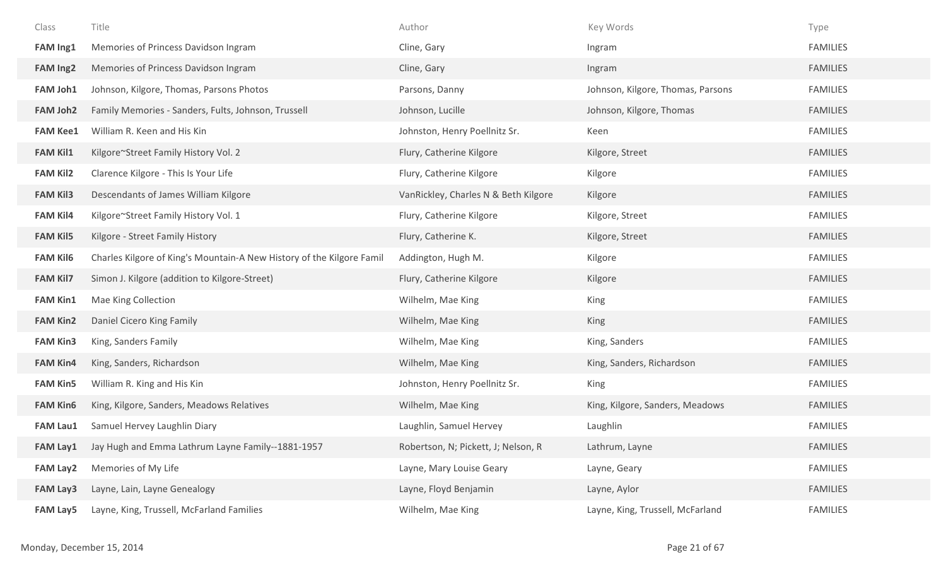| Class           | Title                                                                 | Author                               | Key Words                         | Type            |
|-----------------|-----------------------------------------------------------------------|--------------------------------------|-----------------------------------|-----------------|
| FAM Ing1        | Memories of Princess Davidson Ingram                                  | Cline, Gary                          | Ingram                            | <b>FAMILIES</b> |
| <b>FAM Ing2</b> | Memories of Princess Davidson Ingram                                  | Cline, Gary                          | Ingram                            | <b>FAMILIES</b> |
| <b>FAM Joh1</b> | Johnson, Kilgore, Thomas, Parsons Photos                              | Parsons, Danny                       | Johnson, Kilgore, Thomas, Parsons | <b>FAMILIES</b> |
| FAM Joh2        | Family Memories - Sanders, Fults, Johnson, Trussell                   | Johnson, Lucille                     | Johnson, Kilgore, Thomas          | <b>FAMILIES</b> |
| <b>FAM Kee1</b> | William R. Keen and His Kin                                           | Johnston, Henry Poellnitz Sr.        | Keen                              | <b>FAMILIES</b> |
| <b>FAM Kil1</b> | Kilgore~Street Family History Vol. 2                                  | Flury, Catherine Kilgore             | Kilgore, Street                   | <b>FAMILIES</b> |
| <b>FAM Kil2</b> | Clarence Kilgore - This Is Your Life                                  | Flury, Catherine Kilgore             | Kilgore                           | <b>FAMILIES</b> |
| <b>FAM Kil3</b> | Descendants of James William Kilgore                                  | VanRickley, Charles N & Beth Kilgore | Kilgore                           | <b>FAMILIES</b> |
| <b>FAM Kil4</b> | Kilgore~Street Family History Vol. 1                                  | Flury, Catherine Kilgore             | Kilgore, Street                   | <b>FAMILIES</b> |
| <b>FAM Kil5</b> | Kilgore - Street Family History                                       | Flury, Catherine K.                  | Kilgore, Street                   | <b>FAMILIES</b> |
| <b>FAM Kil6</b> | Charles Kilgore of King's Mountain-A New History of the Kilgore Famil | Addington, Hugh M.                   | Kilgore                           | <b>FAMILIES</b> |
| <b>FAM Kil7</b> | Simon J. Kilgore (addition to Kilgore-Street)                         | Flury, Catherine Kilgore             | Kilgore                           | <b>FAMILIES</b> |
| <b>FAM Kin1</b> | Mae King Collection                                                   | Wilhelm, Mae King                    | King                              | <b>FAMILIES</b> |
| <b>FAM Kin2</b> | Daniel Cicero King Family                                             | Wilhelm, Mae King                    | King                              | <b>FAMILIES</b> |
| <b>FAM Kin3</b> | King, Sanders Family                                                  | Wilhelm, Mae King                    | King, Sanders                     | <b>FAMILIES</b> |
| <b>FAM Kin4</b> | King, Sanders, Richardson                                             | Wilhelm, Mae King                    | King, Sanders, Richardson         | <b>FAMILIES</b> |
| <b>FAM Kin5</b> | William R. King and His Kin                                           | Johnston, Henry Poellnitz Sr.        | King                              | <b>FAMILIES</b> |
| <b>FAM Kin6</b> | King, Kilgore, Sanders, Meadows Relatives                             | Wilhelm, Mae King                    | King, Kilgore, Sanders, Meadows   | <b>FAMILIES</b> |
| <b>FAM Lau1</b> | Samuel Hervey Laughlin Diary                                          | Laughlin, Samuel Hervey              | Laughlin                          | <b>FAMILIES</b> |
| <b>FAM Lay1</b> | Jay Hugh and Emma Lathrum Layne Family--1881-1957                     | Robertson, N; Pickett, J; Nelson, R  | Lathrum, Layne                    | <b>FAMILIES</b> |
| <b>FAM Lay2</b> | Memories of My Life                                                   | Layne, Mary Louise Geary             | Layne, Geary                      | <b>FAMILIES</b> |
| <b>FAM Lay3</b> | Layne, Lain, Layne Genealogy                                          | Layne, Floyd Benjamin                | Layne, Aylor                      | <b>FAMILIES</b> |
| <b>FAM Lay5</b> | Layne, King, Trussell, McFarland Families                             | Wilhelm, Mae King                    | Layne, King, Trussell, McFarland  | <b>FAMILIES</b> |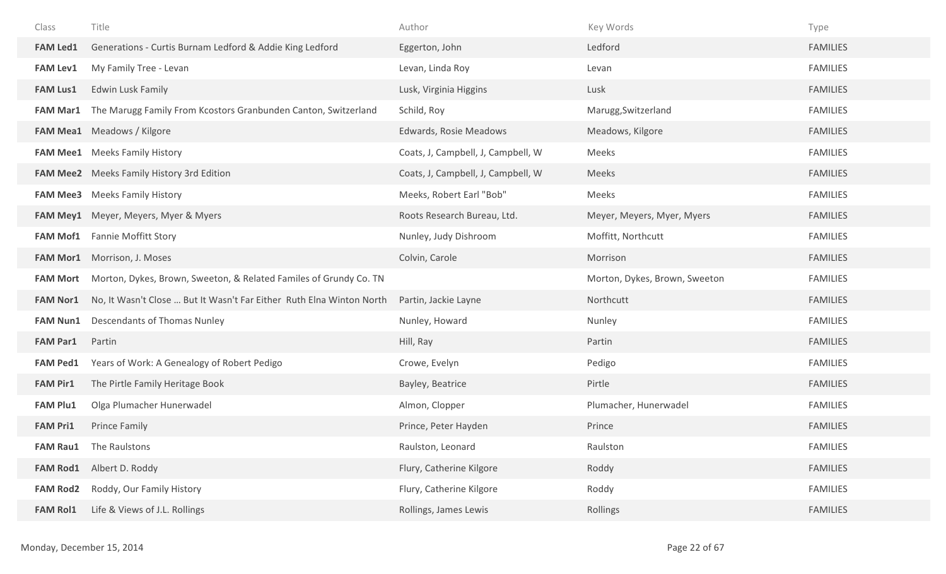| Class           | Title                                                                   | Author                             | Key Words                     | Type            |
|-----------------|-------------------------------------------------------------------------|------------------------------------|-------------------------------|-----------------|
| <b>FAM Led1</b> | Generations - Curtis Burnam Ledford & Addie King Ledford                | Eggerton, John                     | Ledford                       | <b>FAMILIES</b> |
| <b>FAM Lev1</b> | My Family Tree - Levan                                                  | Levan, Linda Roy                   | Levan                         | <b>FAMILIES</b> |
| <b>FAM Lus1</b> | <b>Edwin Lusk Family</b>                                                | Lusk, Virginia Higgins             | Lusk                          | <b>FAMILIES</b> |
|                 | FAM Mar1 The Marugg Family From Kcostors Granbunden Canton, Switzerland | Schild, Roy                        | Marugg, Switzerland           | <b>FAMILIES</b> |
|                 | FAM Mea1 Meadows / Kilgore                                              | Edwards, Rosie Meadows             | Meadows, Kilgore              | <b>FAMILIES</b> |
|                 | <b>FAM Mee1</b> Meeks Family History                                    | Coats, J, Campbell, J, Campbell, W | Meeks                         | <b>FAMILIES</b> |
|                 | <b>FAM Mee2</b> Meeks Family History 3rd Edition                        | Coats, J, Campbell, J, Campbell, W | Meeks                         | <b>FAMILIES</b> |
|                 | <b>FAM Mee3</b> Meeks Family History                                    | Meeks, Robert Earl "Bob"           | Meeks                         | <b>FAMILIES</b> |
|                 | FAM Mey1 Meyer, Meyers, Myer & Myers                                    | Roots Research Bureau, Ltd.        | Meyer, Meyers, Myer, Myers    | <b>FAMILIES</b> |
|                 | <b>FAM Mof1</b> Fannie Moffitt Story                                    | Nunley, Judy Dishroom              | Moffitt, Northcutt            | <b>FAMILIES</b> |
|                 | FAM Mor1 Morrison, J. Moses                                             | Colvin, Carole                     | Morrison                      | <b>FAMILIES</b> |
|                 |                                                                         |                                    |                               |                 |
| <b>FAM Mort</b> | Morton, Dykes, Brown, Sweeton, & Related Familes of Grundy Co. TN       |                                    | Morton, Dykes, Brown, Sweeton | <b>FAMILIES</b> |
| <b>FAM Nor1</b> | No, It Wasn't Close  But It Wasn't Far Either Ruth Elna Winton North    | Partin, Jackie Layne               | Northcutt                     | <b>FAMILIES</b> |
| <b>FAM Nun1</b> | Descendants of Thomas Nunley                                            | Nunley, Howard                     | Nunley                        | <b>FAMILIES</b> |
| <b>FAM Par1</b> | Partin                                                                  | Hill, Ray                          | Partin                        | <b>FAMILIES</b> |
| <b>FAM Ped1</b> | Years of Work: A Genealogy of Robert Pedigo                             | Crowe, Evelyn                      | Pedigo                        | <b>FAMILIES</b> |
| <b>FAM Pir1</b> | The Pirtle Family Heritage Book                                         | Bayley, Beatrice                   | Pirtle                        | <b>FAMILIES</b> |
| <b>FAM Plu1</b> | Olga Plumacher Hunerwadel                                               | Almon, Clopper                     | Plumacher, Hunerwadel         | <b>FAMILIES</b> |
| <b>FAM Pri1</b> | Prince Family                                                           | Prince, Peter Hayden               | Prince                        | <b>FAMILIES</b> |
| <b>FAM Rau1</b> | The Raulstons                                                           | Raulston, Leonard                  | Raulston                      | <b>FAMILIES</b> |
| <b>FAM Rod1</b> | Albert D. Roddy                                                         | Flury, Catherine Kilgore           | Roddy                         | <b>FAMILIES</b> |
| <b>FAM Rod2</b> | Roddy, Our Family History                                               | Flury, Catherine Kilgore           | Roddy                         | <b>FAMILIES</b> |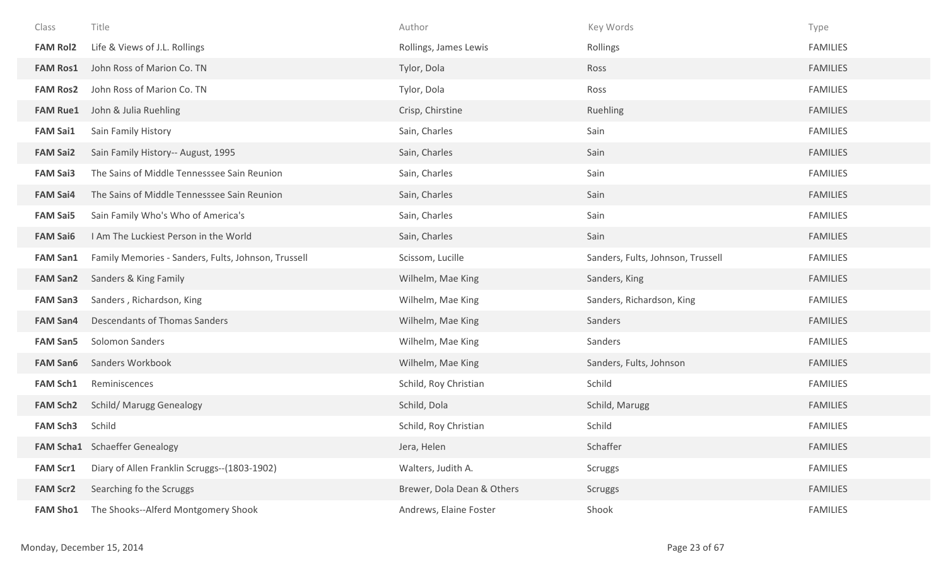| Class           | Title                                               | Author                     | Key Words                         | Type            |
|-----------------|-----------------------------------------------------|----------------------------|-----------------------------------|-----------------|
| <b>FAM Rol2</b> | Life & Views of J.L. Rollings                       | Rollings, James Lewis      | Rollings                          | <b>FAMILIES</b> |
| <b>FAM Ros1</b> | John Ross of Marion Co. TN                          | Tylor, Dola                | Ross                              | <b>FAMILIES</b> |
| <b>FAM Ros2</b> | John Ross of Marion Co. TN                          | Tylor, Dola                | Ross                              | <b>FAMILIES</b> |
| <b>FAM Rue1</b> | John & Julia Ruehling                               | Crisp, Chirstine           | <b>Ruehling</b>                   | <b>FAMILIES</b> |
| <b>FAM Sai1</b> | Sain Family History                                 | Sain, Charles              | Sain                              | <b>FAMILIES</b> |
| <b>FAM Sai2</b> | Sain Family History-- August, 1995                  | Sain, Charles              | Sain                              | <b>FAMILIES</b> |
| <b>FAM Sai3</b> | The Sains of Middle Tennesssee Sain Reunion         | Sain, Charles              | Sain                              | <b>FAMILIES</b> |
| <b>FAM Sai4</b> | The Sains of Middle Tennesssee Sain Reunion         | Sain, Charles              | Sain                              | <b>FAMILIES</b> |
| <b>FAM Sai5</b> | Sain Family Who's Who of America's                  | Sain, Charles              | Sain                              | <b>FAMILIES</b> |
| <b>FAM Sai6</b> | I Am The Luckiest Person in the World               | Sain, Charles              | Sain                              | <b>FAMILIES</b> |
| <b>FAM San1</b> | Family Memories - Sanders, Fults, Johnson, Trussell | Scissom, Lucille           | Sanders, Fults, Johnson, Trussell | <b>FAMILIES</b> |
| <b>FAM San2</b> | Sanders & King Family                               | Wilhelm, Mae King          | Sanders, King                     | <b>FAMILIES</b> |
| <b>FAM San3</b> | Sanders, Richardson, King                           | Wilhelm, Mae King          | Sanders, Richardson, King         | <b>FAMILIES</b> |
| <b>FAM San4</b> | Descendants of Thomas Sanders                       | Wilhelm, Mae King          | Sanders                           | <b>FAMILIES</b> |
| <b>FAM San5</b> | Solomon Sanders                                     | Wilhelm, Mae King          | Sanders                           | <b>FAMILIES</b> |
| <b>FAM San6</b> | Sanders Workbook                                    | Wilhelm, Mae King          | Sanders, Fults, Johnson           | <b>FAMILIES</b> |
| <b>FAM Sch1</b> | Reminiscences                                       | Schild, Roy Christian      | Schild                            | <b>FAMILIES</b> |
| <b>FAM Sch2</b> | <b>Schild/ Marugg Genealogy</b>                     | Schild, Dola               | Schild, Marugg                    | <b>FAMILIES</b> |
| <b>FAM Sch3</b> | Schild                                              | Schild, Roy Christian      | Schild                            | <b>FAMILIES</b> |
|                 | <b>FAM Scha1</b> Schaeffer Genealogy                | Jera, Helen                | Schaffer                          | <b>FAMILIES</b> |
| <b>FAM Scr1</b> | Diary of Allen Franklin Scruggs--(1803-1902)        | Walters, Judith A.         | <b>Scruggs</b>                    | <b>FAMILIES</b> |
| <b>FAM Scr2</b> | Searching fo the Scruggs                            | Brewer, Dola Dean & Others | <b>Scruggs</b>                    | <b>FAMILIES</b> |
| <b>FAM Sho1</b> | The Shooks--Alferd Montgomery Shook                 | Andrews, Elaine Foster     | Shook                             | <b>FAMILIES</b> |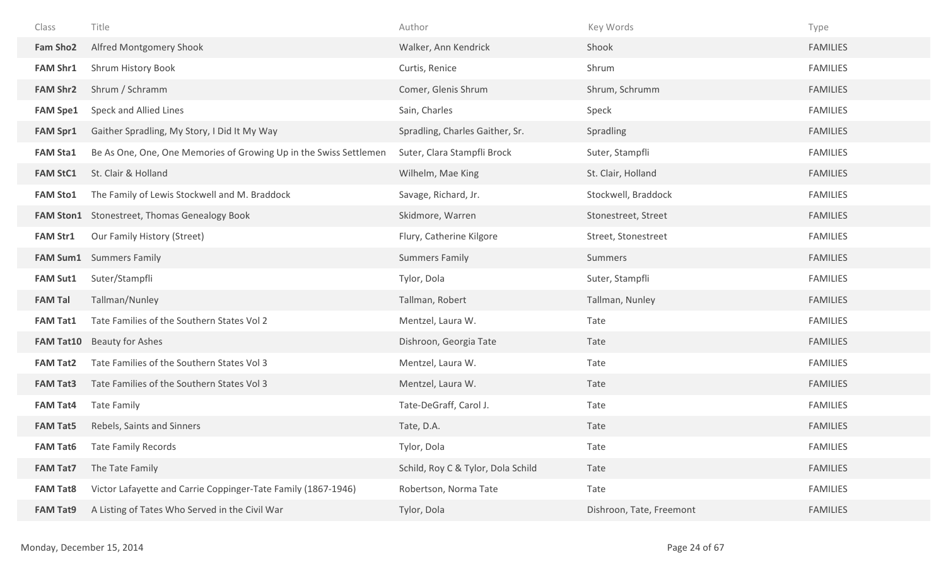| Class            | Title                                                             | Author                             | Key Words                | Type            |
|------------------|-------------------------------------------------------------------|------------------------------------|--------------------------|-----------------|
| <b>Fam Sho2</b>  | Alfred Montgomery Shook                                           | Walker, Ann Kendrick               | Shook                    | <b>FAMILIES</b> |
| <b>FAM Shr1</b>  | Shrum History Book                                                | Curtis, Renice                     | Shrum                    | <b>FAMILIES</b> |
| <b>FAM Shr2</b>  | Shrum / Schramm                                                   | Comer, Glenis Shrum                | Shrum, Schrumm           | <b>FAMILIES</b> |
| <b>FAM Spe1</b>  | Speck and Allied Lines                                            | Sain, Charles                      | Speck                    | <b>FAMILIES</b> |
| <b>FAM Spr1</b>  | Gaither Spradling, My Story, I Did It My Way                      | Spradling, Charles Gaither, Sr.    | Spradling                | <b>FAMILIES</b> |
| <b>FAM Sta1</b>  | Be As One, One, One Memories of Growing Up in the Swiss Settlemen | Suter, Clara Stampfli Brock        | Suter, Stampfli          | <b>FAMILIES</b> |
| <b>FAM StC1</b>  | St. Clair & Holland                                               | Wilhelm, Mae King                  | St. Clair, Holland       | <b>FAMILIES</b> |
| <b>FAM Sto1</b>  | The Family of Lewis Stockwell and M. Braddock                     | Savage, Richard, Jr.               | Stockwell, Braddock      | <b>FAMILIES</b> |
| <b>FAM Ston1</b> | Stonestreet, Thomas Genealogy Book                                | Skidmore, Warren                   | Stonestreet, Street      | <b>FAMILIES</b> |
| <b>FAM Str1</b>  | Our Family History (Street)                                       | Flury, Catherine Kilgore           | Street, Stonestreet      | <b>FAMILIES</b> |
| <b>FAM Sum1</b>  | <b>Summers Family</b>                                             | <b>Summers Family</b>              | Summers                  | <b>FAMILIES</b> |
| <b>FAM Sut1</b>  | Suter/Stampfli                                                    | Tylor, Dola                        | Suter, Stampfli          | <b>FAMILIES</b> |
| <b>FAM Tal</b>   | Tallman/Nunley                                                    | Tallman, Robert                    | Tallman, Nunley          | <b>FAMILIES</b> |
| <b>FAM Tat1</b>  | Tate Families of the Southern States Vol 2                        | Mentzel, Laura W.                  | Tate                     | <b>FAMILIES</b> |
| <b>FAM Tat10</b> | <b>Beauty for Ashes</b>                                           | Dishroon, Georgia Tate             | Tate                     | <b>FAMILIES</b> |
| <b>FAM Tat2</b>  | Tate Families of the Southern States Vol 3                        | Mentzel, Laura W.                  | Tate                     | <b>FAMILIES</b> |
| <b>FAM Tat3</b>  | Tate Families of the Southern States Vol 3                        | Mentzel, Laura W.                  | Tate                     | <b>FAMILIES</b> |
| <b>FAM Tat4</b>  | <b>Tate Family</b>                                                | Tate-DeGraff, Carol J.             | Tate                     | <b>FAMILIES</b> |
| <b>FAM Tat5</b>  | Rebels, Saints and Sinners                                        | Tate, D.A.                         | Tate                     | <b>FAMILIES</b> |
| <b>FAM Tat6</b>  | <b>Tate Family Records</b>                                        | Tylor, Dola                        | Tate                     | <b>FAMILIES</b> |
| <b>FAM Tat7</b>  | The Tate Family                                                   | Schild, Roy C & Tylor, Dola Schild | Tate                     | <b>FAMILIES</b> |
| <b>FAM Tat8</b>  | Victor Lafayette and Carrie Coppinger-Tate Family (1867-1946)     | Robertson, Norma Tate              | Tate                     | <b>FAMILIES</b> |
| <b>FAM Tat9</b>  | A Listing of Tates Who Served in the Civil War                    | Tylor, Dola                        | Dishroon, Tate, Freemont | <b>FAMILIES</b> |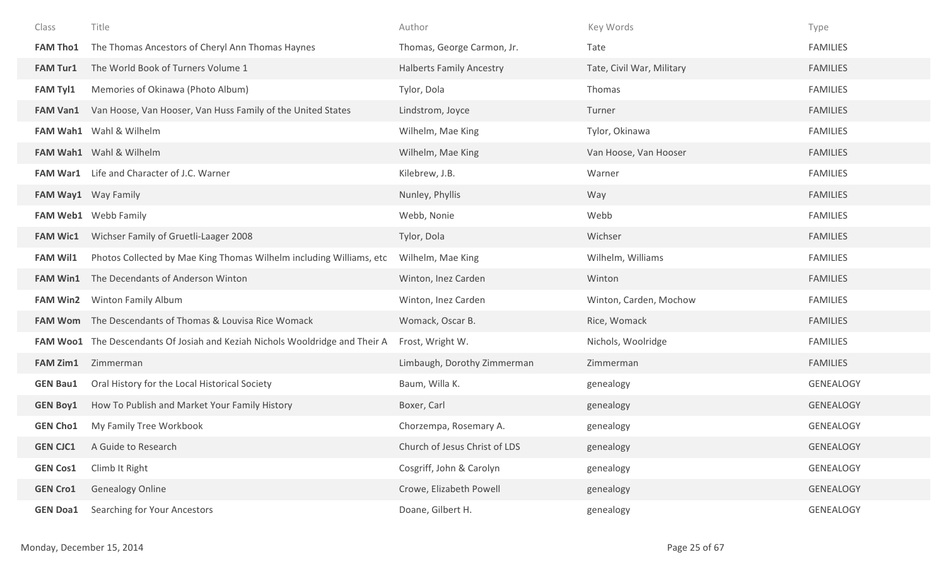| Class           | Title                                                                        | Author                          | Key Words                 | Type             |
|-----------------|------------------------------------------------------------------------------|---------------------------------|---------------------------|------------------|
| <b>FAM Tho1</b> | The Thomas Ancestors of Cheryl Ann Thomas Haynes                             | Thomas, George Carmon, Jr.      | Tate                      | <b>FAMILIES</b>  |
| <b>FAM Tur1</b> | The World Book of Turners Volume 1                                           | <b>Halberts Family Ancestry</b> | Tate, Civil War, Military | <b>FAMILIES</b>  |
| <b>FAM Tyl1</b> | Memories of Okinawa (Photo Album)                                            | Tylor, Dola                     | Thomas                    | <b>FAMILIES</b>  |
| <b>FAM Van1</b> | Van Hoose, Van Hooser, Van Huss Family of the United States                  | Lindstrom, Joyce                | Turner                    | <b>FAMILIES</b>  |
|                 | FAM Wah1 Wahl & Wilhelm                                                      | Wilhelm, Mae King               | Tylor, Okinawa            | <b>FAMILIES</b>  |
|                 | FAM Wah1 Wahl & Wilhelm                                                      | Wilhelm, Mae King               | Van Hoose, Van Hooser     | <b>FAMILIES</b>  |
|                 | FAM War1 Life and Character of J.C. Warner                                   | Kilebrew, J.B.                  | Warner                    | <b>FAMILIES</b>  |
|                 | FAM Way1 Way Family                                                          | Nunley, Phyllis                 | Way                       | <b>FAMILIES</b>  |
|                 | FAM Web1 Webb Family                                                         | Webb, Nonie                     | Webb                      | <b>FAMILIES</b>  |
| <b>FAM Wic1</b> | Wichser Family of Gruetli-Laager 2008                                        | Tylor, Dola                     | Wichser                   | <b>FAMILIES</b>  |
| <b>FAM Wil1</b> | Photos Collected by Mae King Thomas Wilhelm including Williams, etc          | Wilhelm, Mae King               | Wilhelm, Williams         | <b>FAMILIES</b>  |
| <b>FAM Win1</b> | The Decendants of Anderson Winton                                            | Winton, Inez Carden             | Winton                    | <b>FAMILIES</b>  |
| <b>FAM Win2</b> | Winton Family Album                                                          | Winton, Inez Carden             | Winton, Carden, Mochow    | <b>FAMILIES</b>  |
|                 | <b>FAM Wom</b> The Descendants of Thomas & Louvisa Rice Womack               | Womack, Oscar B.                | Rice, Womack              | <b>FAMILIES</b>  |
|                 | FAM Woo1 The Descendants Of Josiah and Keziah Nichols Wooldridge and Their A | Frost, Wright W.                | Nichols, Woolridge        | <b>FAMILIES</b>  |
| <b>FAM Zim1</b> | Zimmerman                                                                    | Limbaugh, Dorothy Zimmerman     | Zimmerman                 | <b>FAMILIES</b>  |
| <b>GEN Bau1</b> | Oral History for the Local Historical Society                                | Baum, Willa K.                  | genealogy                 | <b>GENEALOGY</b> |
| <b>GEN Boy1</b> | How To Publish and Market Your Family History                                | Boxer, Carl                     | genealogy                 | <b>GENEALOGY</b> |
| <b>GEN Cho1</b> | My Family Tree Workbook                                                      | Chorzempa, Rosemary A.          | genealogy                 | <b>GENEALOGY</b> |
| <b>GEN CJC1</b> | A Guide to Research                                                          | Church of Jesus Christ of LDS   | genealogy                 | <b>GENEALOGY</b> |
| <b>GEN Cos1</b> | Climb It Right                                                               | Cosgriff, John & Carolyn        | genealogy                 | GENEALOGY        |
| <b>GEN Cro1</b> | <b>Genealogy Online</b>                                                      | Crowe, Elizabeth Powell         | genealogy                 | <b>GENEALOGY</b> |
| <b>GEN Doa1</b> | Searching for Your Ancestors                                                 | Doane, Gilbert H.               | genealogy                 | GENEALOGY        |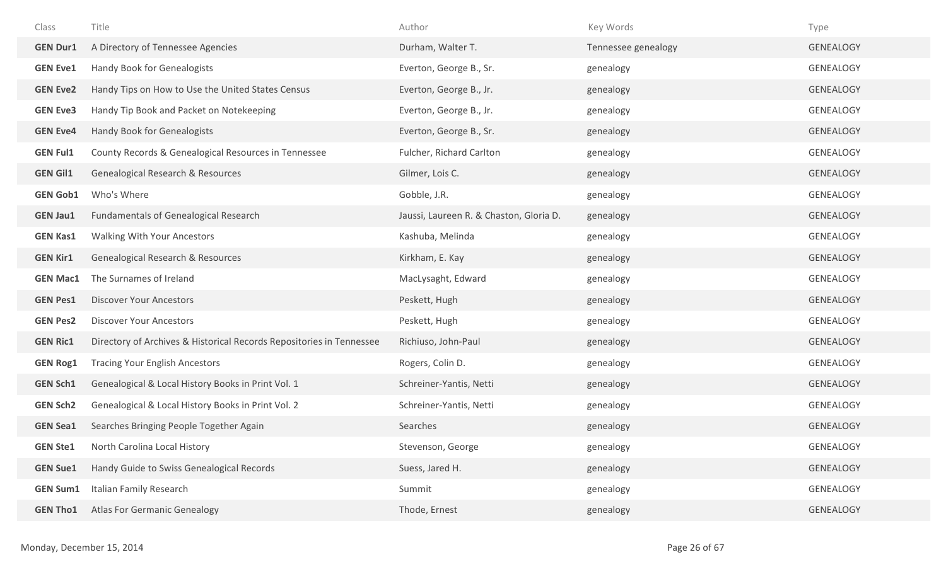| Class           | Title                                                                | Author                                  | Key Words           | Type             |
|-----------------|----------------------------------------------------------------------|-----------------------------------------|---------------------|------------------|
| <b>GEN Dur1</b> | A Directory of Tennessee Agencies                                    | Durham, Walter T.                       | Tennessee genealogy | <b>GENEALOGY</b> |
| <b>GEN Eve1</b> | Handy Book for Genealogists                                          | Everton, George B., Sr.                 | genealogy           | GENEALOGY        |
| <b>GEN Eve2</b> | Handy Tips on How to Use the United States Census                    | Everton, George B., Jr.                 | genealogy           | <b>GENEALOGY</b> |
| <b>GEN Eve3</b> | Handy Tip Book and Packet on Notekeeping                             | Everton, George B., Jr.                 | genealogy           | GENEALOGY        |
| <b>GEN Eve4</b> | Handy Book for Genealogists                                          | Everton, George B., Sr.                 | genealogy           | GENEALOGY        |
| <b>GEN Ful1</b> | County Records & Genealogical Resources in Tennessee                 | Fulcher, Richard Carlton                | genealogy           | GENEALOGY        |
| <b>GEN Gil1</b> | Genealogical Research & Resources                                    | Gilmer, Lois C.                         | genealogy           | <b>GENEALOGY</b> |
| <b>GEN Gob1</b> | Who's Where                                                          | Gobble, J.R.                            | genealogy           | GENEALOGY        |
| <b>GEN Jau1</b> | <b>Fundamentals of Genealogical Research</b>                         | Jaussi, Laureen R. & Chaston, Gloria D. | genealogy           | <b>GENEALOGY</b> |
| <b>GEN Kas1</b> | Walking With Your Ancestors                                          | Kashuba, Melinda                        | genealogy           | GENEALOGY        |
| <b>GEN Kir1</b> | Genealogical Research & Resources                                    | Kirkham, E. Kay                         | genealogy           | <b>GENEALOGY</b> |
| <b>GEN Mac1</b> | The Surnames of Ireland                                              | MacLysaght, Edward                      | genealogy           | GENEALOGY        |
| <b>GEN Pes1</b> | <b>Discover Your Ancestors</b>                                       | Peskett, Hugh                           | genealogy           | <b>GENEALOGY</b> |
| <b>GEN Pes2</b> | <b>Discover Your Ancestors</b>                                       | Peskett, Hugh                           | genealogy           | GENEALOGY        |
| <b>GEN Ric1</b> | Directory of Archives & Historical Records Repositories in Tennessee | Richiuso, John-Paul                     | genealogy           | <b>GENEALOGY</b> |
| <b>GEN Rog1</b> | <b>Tracing Your English Ancestors</b>                                | Rogers, Colin D.                        | genealogy           | GENEALOGY        |
| <b>GEN Sch1</b> | Genealogical & Local History Books in Print Vol. 1                   | Schreiner-Yantis, Netti                 | genealogy           | <b>GENEALOGY</b> |
| <b>GEN Sch2</b> | Genealogical & Local History Books in Print Vol. 2                   | Schreiner-Yantis, Netti                 | genealogy           | GENEALOGY        |
| <b>GEN Sea1</b> | Searches Bringing People Together Again                              | Searches                                | genealogy           | <b>GENEALOGY</b> |
| <b>GEN Ste1</b> | North Carolina Local History                                         | Stevenson, George                       | genealogy           | GENEALOGY        |
| <b>GEN Sue1</b> | Handy Guide to Swiss Genealogical Records                            | Suess, Jared H.                         | genealogy           | <b>GENEALOGY</b> |
| <b>GEN Sum1</b> | <b>Italian Family Research</b>                                       | Summit                                  | genealogy           | GENEALOGY        |
| <b>GEN Tho1</b> | <b>Atlas For Germanic Genealogy</b>                                  | Thode, Ernest                           | genealogy           | <b>GENEALOGY</b> |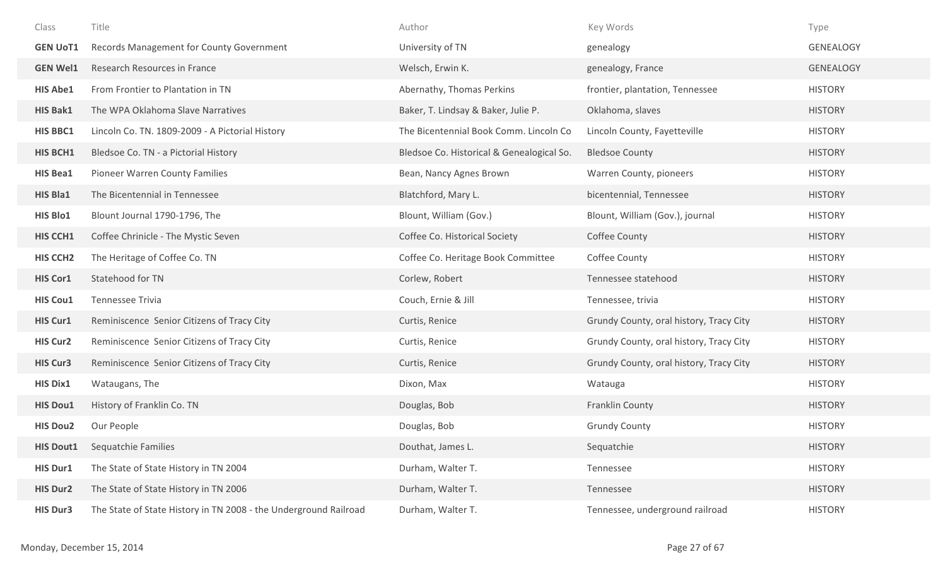| Class            | Title                                                            | Author                                    | Key Words                               | Type             |
|------------------|------------------------------------------------------------------|-------------------------------------------|-----------------------------------------|------------------|
| <b>GEN UoT1</b>  | Records Management for County Government                         | University of TN                          | genealogy                               | <b>GENEALOGY</b> |
| <b>GEN Wel1</b>  | Research Resources in France                                     | Welsch, Erwin K.                          | genealogy, France                       | <b>GENEALOGY</b> |
| <b>HIS Abe1</b>  | From Frontier to Plantation in TN                                | Abernathy, Thomas Perkins                 | frontier, plantation, Tennessee         | <b>HISTORY</b>   |
| <b>HIS Bak1</b>  | The WPA Oklahoma Slave Narratives                                | Baker, T. Lindsay & Baker, Julie P.       | Oklahoma, slaves                        | <b>HISTORY</b>   |
| <b>HIS BBC1</b>  | Lincoln Co. TN. 1809-2009 - A Pictorial History                  | The Bicentennial Book Comm. Lincoln Co    | Lincoln County, Fayetteville            | <b>HISTORY</b>   |
| <b>HIS BCH1</b>  | Bledsoe Co. TN - a Pictorial History                             | Bledsoe Co. Historical & Genealogical So. | <b>Bledsoe County</b>                   | <b>HISTORY</b>   |
| <b>HIS Bea1</b>  | Pioneer Warren County Families                                   | Bean, Nancy Agnes Brown                   | Warren County, pioneers                 | <b>HISTORY</b>   |
| <b>HIS Bla1</b>  | The Bicentennial in Tennessee                                    | Blatchford, Mary L.                       | bicentennial, Tennessee                 | <b>HISTORY</b>   |
| <b>HIS Blo1</b>  | Blount Journal 1790-1796, The                                    | Blount, William (Gov.)                    | Blount, William (Gov.), journal         | <b>HISTORY</b>   |
| <b>HIS CCH1</b>  | Coffee Chrinicle - The Mystic Seven                              | Coffee Co. Historical Society             | Coffee County                           | <b>HISTORY</b>   |
| <b>HIS CCH2</b>  | The Heritage of Coffee Co. TN                                    | Coffee Co. Heritage Book Committee        | Coffee County                           | <b>HISTORY</b>   |
| <b>HIS Cor1</b>  | Statehood for TN                                                 | Corlew, Robert                            | Tennessee statehood                     | <b>HISTORY</b>   |
| <b>HIS Cou1</b>  | Tennessee Trivia                                                 | Couch, Ernie & Jill                       | Tennessee, trivia                       | <b>HISTORY</b>   |
| <b>HIS Cur1</b>  | Reminiscence Senior Citizens of Tracy City                       | Curtis, Renice                            | Grundy County, oral history, Tracy City | <b>HISTORY</b>   |
| <b>HIS Cur2</b>  | Reminiscence Senior Citizens of Tracy City                       | Curtis, Renice                            | Grundy County, oral history, Tracy City | <b>HISTORY</b>   |
| <b>HIS Cur3</b>  | Reminiscence Senior Citizens of Tracy City                       | Curtis, Renice                            | Grundy County, oral history, Tracy City | <b>HISTORY</b>   |
| <b>HIS Dix1</b>  | Wataugans, The                                                   | Dixon, Max                                | Watauga                                 | <b>HISTORY</b>   |
| <b>HIS Dou1</b>  | History of Franklin Co. TN                                       | Douglas, Bob                              | Franklin County                         | <b>HISTORY</b>   |
| <b>HIS Dou2</b>  | Our People                                                       | Douglas, Bob                              | <b>Grundy County</b>                    | <b>HISTORY</b>   |
| <b>HIS Dout1</b> | <b>Sequatchie Families</b>                                       | Douthat, James L.                         | Sequatchie                              | <b>HISTORY</b>   |
| <b>HIS Dur1</b>  | The State of State History in TN 2004                            | Durham, Walter T.                         | Tennessee                               | <b>HISTORY</b>   |
| <b>HIS Dur2</b>  | The State of State History in TN 2006                            | Durham, Walter T.                         | Tennessee                               | <b>HISTORY</b>   |
| <b>HIS Dur3</b>  | The State of State History in TN 2008 - the Underground Railroad | Durham, Walter T.                         | Tennessee, underground railroad         | <b>HISTORY</b>   |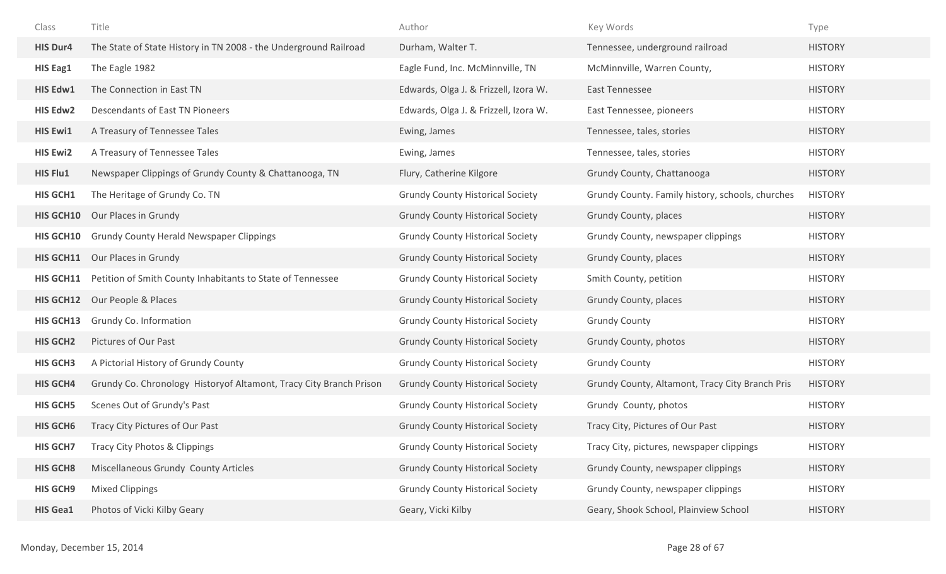| Class            | Title                                                               | Author                                  | Key Words                                        | Type           |
|------------------|---------------------------------------------------------------------|-----------------------------------------|--------------------------------------------------|----------------|
| <b>HIS Dur4</b>  | The State of State History in TN 2008 - the Underground Railroad    | Durham, Walter T.                       | Tennessee, underground railroad                  | <b>HISTORY</b> |
| HIS Eag1         | The Eagle 1982                                                      | Eagle Fund, Inc. McMinnville, TN        | McMinnville, Warren County,                      | <b>HISTORY</b> |
| HIS Edw1         | The Connection in East TN                                           | Edwards, Olga J. & Frizzell, Izora W.   | East Tennessee                                   | <b>HISTORY</b> |
| <b>HIS Edw2</b>  | Descendants of East TN Pioneers                                     | Edwards, Olga J. & Frizzell, Izora W.   | East Tennessee, pioneers                         | <b>HISTORY</b> |
| <b>HIS Ewi1</b>  | A Treasury of Tennessee Tales                                       | Ewing, James                            | Tennessee, tales, stories                        | <b>HISTORY</b> |
| <b>HIS Ewi2</b>  | A Treasury of Tennessee Tales                                       | Ewing, James                            | Tennessee, tales, stories                        | <b>HISTORY</b> |
| HIS Flu1         | Newspaper Clippings of Grundy County & Chattanooga, TN              | Flury, Catherine Kilgore                | Grundy County, Chattanooga                       | <b>HISTORY</b> |
| <b>HIS GCH1</b>  | The Heritage of Grundy Co. TN                                       | <b>Grundy County Historical Society</b> | Grundy County. Family history, schools, churches | <b>HISTORY</b> |
| <b>HIS GCH10</b> | Our Places in Grundy                                                | <b>Grundy County Historical Society</b> | Grundy County, places                            | <b>HISTORY</b> |
| <b>HIS GCH10</b> | <b>Grundy County Herald Newspaper Clippings</b>                     | <b>Grundy County Historical Society</b> | Grundy County, newspaper clippings               | <b>HISTORY</b> |
| HIS GCH11        | Our Places in Grundy                                                | <b>Grundy County Historical Society</b> | Grundy County, places                            | <b>HISTORY</b> |
| HIS GCH11        | Petition of Smith County Inhabitants to State of Tennessee          | <b>Grundy County Historical Society</b> | Smith County, petition                           | <b>HISTORY</b> |
| HIS GCH12        | Our People & Places                                                 | <b>Grundy County Historical Society</b> | Grundy County, places                            | <b>HISTORY</b> |
| <b>HIS GCH13</b> | Grundy Co. Information                                              | <b>Grundy County Historical Society</b> | <b>Grundy County</b>                             | <b>HISTORY</b> |
| <b>HIS GCH2</b>  | Pictures of Our Past                                                | <b>Grundy County Historical Society</b> | Grundy County, photos                            | <b>HISTORY</b> |
| <b>HIS GCH3</b>  | A Pictorial History of Grundy County                                | <b>Grundy County Historical Society</b> | <b>Grundy County</b>                             | <b>HISTORY</b> |
| <b>HIS GCH4</b>  | Grundy Co. Chronology History of Altamont, Tracy City Branch Prison | <b>Grundy County Historical Society</b> | Grundy County, Altamont, Tracy City Branch Pris  | <b>HISTORY</b> |
| <b>HIS GCH5</b>  | Scenes Out of Grundy's Past                                         | <b>Grundy County Historical Society</b> | Grundy County, photos                            | <b>HISTORY</b> |
| <b>HIS GCH6</b>  | Tracy City Pictures of Our Past                                     | <b>Grundy County Historical Society</b> | Tracy City, Pictures of Our Past                 | <b>HISTORY</b> |
| <b>HIS GCH7</b>  | Tracy City Photos & Clippings                                       | <b>Grundy County Historical Society</b> | Tracy City, pictures, newspaper clippings        | <b>HISTORY</b> |
| <b>HIS GCH8</b>  | Miscellaneous Grundy County Articles                                | <b>Grundy County Historical Society</b> | Grundy County, newspaper clippings               | <b>HISTORY</b> |
| <b>HIS GCH9</b>  | <b>Mixed Clippings</b>                                              | <b>Grundy County Historical Society</b> | Grundy County, newspaper clippings               | <b>HISTORY</b> |
| <b>HIS Gea1</b>  | Photos of Vicki Kilby Geary                                         | Geary, Vicki Kilby                      | Geary, Shook School, Plainview School            | <b>HISTORY</b> |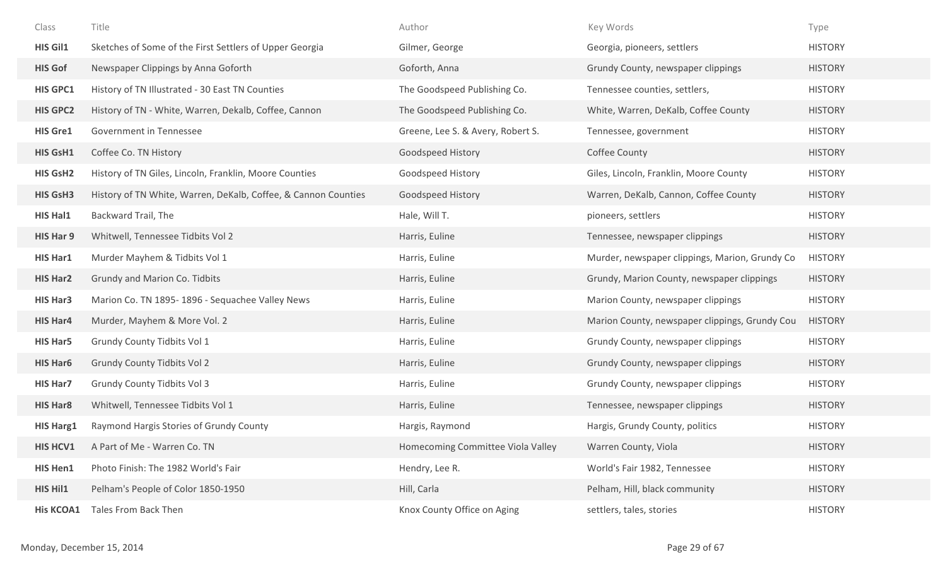| Class            | Title                                                          | Author                            | Key Words                                      | Type           |
|------------------|----------------------------------------------------------------|-----------------------------------|------------------------------------------------|----------------|
| <b>HIS Gil1</b>  | Sketches of Some of the First Settlers of Upper Georgia        | Gilmer, George                    | Georgia, pioneers, settlers                    | <b>HISTORY</b> |
| <b>HIS Gof</b>   | Newspaper Clippings by Anna Goforth                            | Goforth, Anna                     | Grundy County, newspaper clippings             | <b>HISTORY</b> |
| <b>HIS GPC1</b>  | History of TN Illustrated - 30 East TN Counties                | The Goodspeed Publishing Co.      | Tennessee counties, settlers,                  | <b>HISTORY</b> |
| <b>HIS GPC2</b>  | History of TN - White, Warren, Dekalb, Coffee, Cannon          | The Goodspeed Publishing Co.      | White, Warren, DeKalb, Coffee County           | <b>HISTORY</b> |
| <b>HIS Gre1</b>  | Government in Tennessee                                        | Greene, Lee S. & Avery, Robert S. | Tennessee, government                          | <b>HISTORY</b> |
| HIS GsH1         | Coffee Co. TN History                                          | Goodspeed History                 | Coffee County                                  | <b>HISTORY</b> |
| HIS GsH2         | History of TN Giles, Lincoln, Franklin, Moore Counties         | Goodspeed History                 | Giles, Lincoln, Franklin, Moore County         | <b>HISTORY</b> |
| <b>HIS GsH3</b>  | History of TN White, Warren, DeKalb, Coffee, & Cannon Counties | Goodspeed History                 | Warren, DeKalb, Cannon, Coffee County          | <b>HISTORY</b> |
| <b>HIS Hal1</b>  | Backward Trail, The                                            | Hale, Will T.                     | pioneers, settlers                             | <b>HISTORY</b> |
| HIS Har 9        | Whitwell, Tennessee Tidbits Vol 2                              | Harris, Euline                    | Tennessee, newspaper clippings                 | <b>HISTORY</b> |
| <b>HIS Har1</b>  | Murder Mayhem & Tidbits Vol 1                                  | Harris, Euline                    | Murder, newspaper clippings, Marion, Grundy Co | <b>HISTORY</b> |
| <b>HIS Har2</b>  | Grundy and Marion Co. Tidbits                                  | Harris, Euline                    | Grundy, Marion County, newspaper clippings     | <b>HISTORY</b> |
| <b>HIS Har3</b>  | Marion Co. TN 1895-1896 - Sequachee Valley News                | Harris, Euline                    | Marion County, newspaper clippings             | <b>HISTORY</b> |
| HIS Har4         | Murder, Mayhem & More Vol. 2                                   | Harris, Euline                    | Marion County, newspaper clippings, Grundy Cou | <b>HISTORY</b> |
| <b>HIS Har5</b>  | Grundy County Tidbits Vol 1                                    | Harris, Euline                    | Grundy County, newspaper clippings             | <b>HISTORY</b> |
| HIS Har6         | <b>Grundy County Tidbits Vol 2</b>                             | Harris, Euline                    | Grundy County, newspaper clippings             | <b>HISTORY</b> |
| <b>HIS Har7</b>  | <b>Grundy County Tidbits Vol 3</b>                             | Harris, Euline                    | Grundy County, newspaper clippings             | <b>HISTORY</b> |
| <b>HIS Har8</b>  | Whitwell, Tennessee Tidbits Vol 1                              | Harris, Euline                    | Tennessee, newspaper clippings                 | <b>HISTORY</b> |
| <b>HIS Harg1</b> | Raymond Hargis Stories of Grundy County                        | Hargis, Raymond                   | Hargis, Grundy County, politics                | <b>HISTORY</b> |
| <b>HIS HCV1</b>  | A Part of Me - Warren Co. TN                                   | Homecoming Committee Viola Valley | Warren County, Viola                           | <b>HISTORY</b> |
| HIS Hen1         | Photo Finish: The 1982 World's Fair                            | Hendry, Lee R.                    | World's Fair 1982, Tennessee                   | <b>HISTORY</b> |
| HIS Hil1         | Pelham's People of Color 1850-1950                             | Hill, Carla                       | Pelham, Hill, black community                  | <b>HISTORY</b> |
| <b>His KCOA1</b> | Tales From Back Then                                           | Knox County Office on Aging       | settlers, tales, stories                       | <b>HISTORY</b> |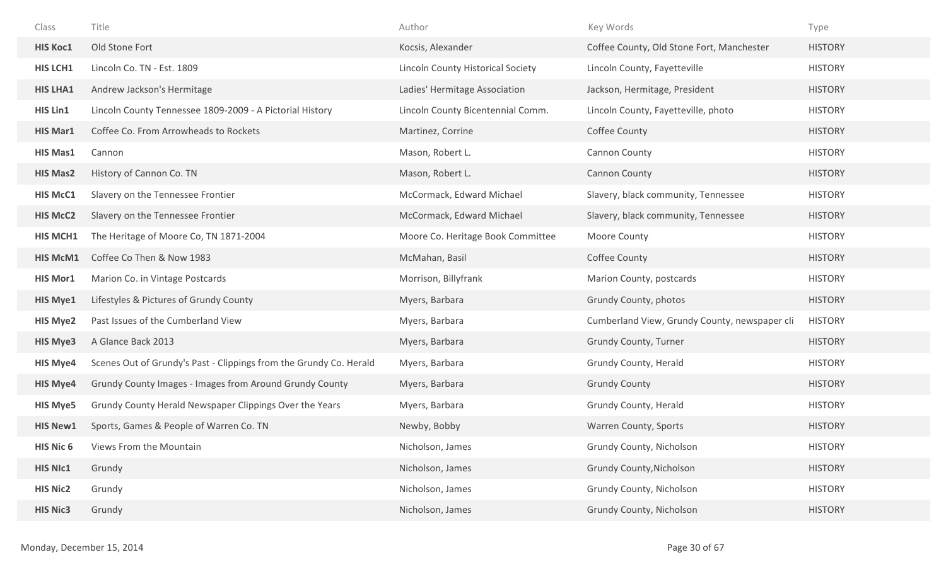| Class           | Title                                                              | Author                            | Key Words                                     | Type           |
|-----------------|--------------------------------------------------------------------|-----------------------------------|-----------------------------------------------|----------------|
| <b>HIS Koc1</b> | Old Stone Fort                                                     | Kocsis, Alexander                 | Coffee County, Old Stone Fort, Manchester     | <b>HISTORY</b> |
| <b>HIS LCH1</b> | Lincoln Co. TN - Est. 1809                                         | Lincoln County Historical Society | Lincoln County, Fayetteville                  | <b>HISTORY</b> |
| <b>HIS LHA1</b> | Andrew Jackson's Hermitage                                         | Ladies' Hermitage Association     | Jackson, Hermitage, President                 | <b>HISTORY</b> |
| HIS Lin1        | Lincoln County Tennessee 1809-2009 - A Pictorial History           | Lincoln County Bicentennial Comm. | Lincoln County, Fayetteville, photo           | <b>HISTORY</b> |
| <b>HIS Mar1</b> | Coffee Co. From Arrowheads to Rockets                              | Martinez, Corrine                 | Coffee County                                 | <b>HISTORY</b> |
| <b>HIS Mas1</b> | Cannon                                                             | Mason, Robert L.                  | Cannon County                                 | <b>HISTORY</b> |
| <b>HIS Mas2</b> | History of Cannon Co. TN                                           | Mason, Robert L.                  | <b>Cannon County</b>                          | <b>HISTORY</b> |
| <b>HIS McC1</b> | Slavery on the Tennessee Frontier                                  | McCormack, Edward Michael         | Slavery, black community, Tennessee           | <b>HISTORY</b> |
| <b>HIS McC2</b> | Slavery on the Tennessee Frontier                                  | McCormack, Edward Michael         | Slavery, black community, Tennessee           | <b>HISTORY</b> |
| <b>HIS MCH1</b> | The Heritage of Moore Co, TN 1871-2004                             | Moore Co. Heritage Book Committee | Moore County                                  | <b>HISTORY</b> |
| <b>HIS McM1</b> | Coffee Co Then & Now 1983                                          | McMahan, Basil                    | Coffee County                                 | <b>HISTORY</b> |
| <b>HIS Mor1</b> | Marion Co. in Vintage Postcards                                    | Morrison, Billyfrank              | Marion County, postcards                      | <b>HISTORY</b> |
| <b>HIS Mye1</b> | Lifestyles & Pictures of Grundy County                             | Myers, Barbara                    | Grundy County, photos                         | <b>HISTORY</b> |
| <b>HIS Mye2</b> | Past Issues of the Cumberland View                                 | Myers, Barbara                    | Cumberland View, Grundy County, newspaper cli | <b>HISTORY</b> |
| <b>HIS Mye3</b> | A Glance Back 2013                                                 | Myers, Barbara                    | Grundy County, Turner                         | <b>HISTORY</b> |
| <b>HIS Mye4</b> | Scenes Out of Grundy's Past - Clippings from the Grundy Co. Herald | Myers, Barbara                    | Grundy County, Herald                         | <b>HISTORY</b> |
| <b>HIS Mye4</b> | Grundy County Images - Images from Around Grundy County            | Myers, Barbara                    | <b>Grundy County</b>                          | <b>HISTORY</b> |
| <b>HIS Mye5</b> | Grundy County Herald Newspaper Clippings Over the Years            | Myers, Barbara                    | Grundy County, Herald                         | <b>HISTORY</b> |
| <b>HIS New1</b> | Sports, Games & People of Warren Co. TN                            | Newby, Bobby                      | Warren County, Sports                         | <b>HISTORY</b> |
| HIS Nic 6       | Views From the Mountain                                            | Nicholson, James                  | Grundy County, Nicholson                      | <b>HISTORY</b> |
| <b>HIS NIc1</b> | Grundy                                                             | Nicholson, James                  | <b>Grundy County, Nicholson</b>               | <b>HISTORY</b> |
| <b>HIS Nic2</b> | Grundy                                                             | Nicholson, James                  | Grundy County, Nicholson                      | <b>HISTORY</b> |
| <b>HIS Nic3</b> | Grundy                                                             | Nicholson, James                  | Grundy County, Nicholson                      | <b>HISTORY</b> |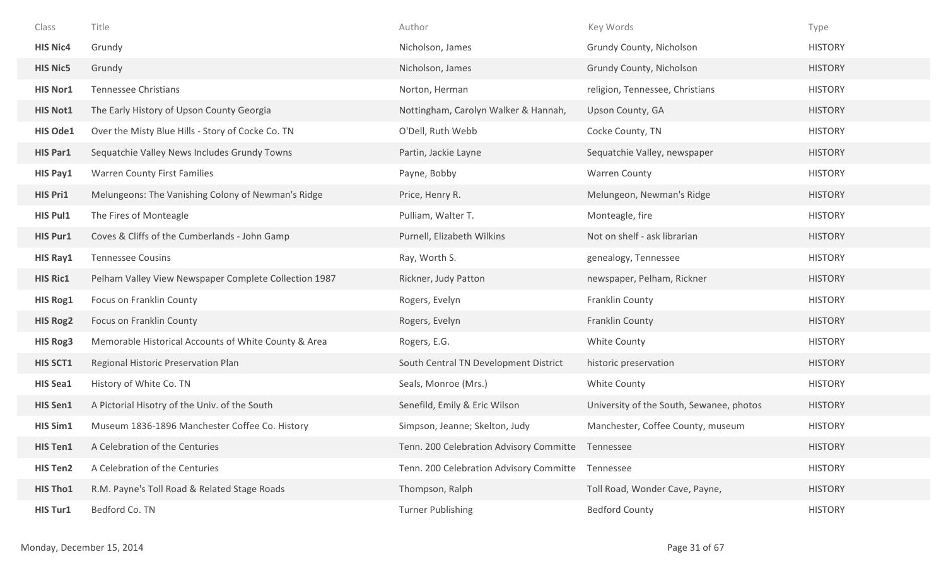| Class           | Title                                                 | Author                                            | Key Words                                | Type           |
|-----------------|-------------------------------------------------------|---------------------------------------------------|------------------------------------------|----------------|
| <b>HIS Nic4</b> | Grundy                                                | Nicholson, James                                  | Grundy County, Nicholson                 | <b>HISTORY</b> |
| <b>HIS Nic5</b> | Grundy                                                | Nicholson, James                                  | Grundy County, Nicholson                 | <b>HISTORY</b> |
| <b>HIS Nor1</b> | Tennessee Christians                                  | Norton, Herman                                    | religion, Tennessee, Christians          | <b>HISTORY</b> |
| <b>HIS Not1</b> | The Early History of Upson County Georgia             | Nottingham, Carolyn Walker & Hannah,              | Upson County, GA                         | <b>HISTORY</b> |
| <b>HIS Ode1</b> | Over the Misty Blue Hills - Story of Cocke Co. TN     | O'Dell, Ruth Webb                                 | Cocke County, TN                         | <b>HISTORY</b> |
| <b>HIS Par1</b> | Sequatchie Valley News Includes Grundy Towns          | Partin, Jackie Layne                              | Sequatchie Valley, newspaper             | <b>HISTORY</b> |
| HIS Pay1        | <b>Warren County First Families</b>                   | Payne, Bobby                                      | <b>Warren County</b>                     | <b>HISTORY</b> |
| <b>HIS Pri1</b> | Melungeons: The Vanishing Colony of Newman's Ridge    | Price, Henry R.                                   | Melungeon, Newman's Ridge                | <b>HISTORY</b> |
| <b>HIS Pul1</b> | The Fires of Monteagle                                | Pulliam, Walter T.                                | Monteagle, fire                          | <b>HISTORY</b> |
| <b>HIS Pur1</b> | Coves & Cliffs of the Cumberlands - John Gamp         | Purnell, Elizabeth Wilkins                        | Not on shelf - ask librarian             | <b>HISTORY</b> |
| <b>HIS Ray1</b> | <b>Tennessee Cousins</b>                              | Ray, Worth S.                                     | genealogy, Tennessee                     | <b>HISTORY</b> |
| <b>HIS Ric1</b> | Pelham Valley View Newspaper Complete Collection 1987 | Rickner, Judy Patton                              | newspaper, Pelham, Rickner               | <b>HISTORY</b> |
| <b>HIS Rog1</b> | Focus on Franklin County                              | Rogers, Evelyn                                    | Franklin County                          | <b>HISTORY</b> |
| <b>HIS Rog2</b> | Focus on Franklin County                              | Rogers, Evelyn                                    | Franklin County                          | <b>HISTORY</b> |
| <b>HIS Rog3</b> | Memorable Historical Accounts of White County & Area  | Rogers, E.G.                                      | White County                             | <b>HISTORY</b> |
| <b>HIS SCT1</b> | Regional Historic Preservation Plan                   | South Central TN Development District             | historic preservation                    | <b>HISTORY</b> |
| <b>HIS Sea1</b> | History of White Co. TN                               | Seals, Monroe (Mrs.)                              | White County                             | <b>HISTORY</b> |
| <b>HIS Sen1</b> | A Pictorial Hisotry of the Univ. of the South         | Senefild, Emily & Eric Wilson                     | University of the South, Sewanee, photos | <b>HISTORY</b> |
| <b>HIS Sim1</b> | Museum 1836-1896 Manchester Coffee Co. History        | Simpson, Jeanne; Skelton, Judy                    | Manchester, Coffee County, museum        | <b>HISTORY</b> |
| <b>HIS Ten1</b> | A Celebration of the Centuries                        | Tenn. 200 Celebration Advisory Committe Tennessee |                                          | <b>HISTORY</b> |
| <b>HIS Ten2</b> | A Celebration of the Centuries                        | Tenn. 200 Celebration Advisory Committe           | Tennessee                                | <b>HISTORY</b> |
| <b>HIS Tho1</b> | R.M. Payne's Toll Road & Related Stage Roads          | Thompson, Ralph                                   | Toll Road, Wonder Cave, Payne,           | <b>HISTORY</b> |
| <b>HIS Tur1</b> | Bedford Co. TN                                        | <b>Turner Publishing</b>                          | <b>Bedford County</b>                    | <b>HISTORY</b> |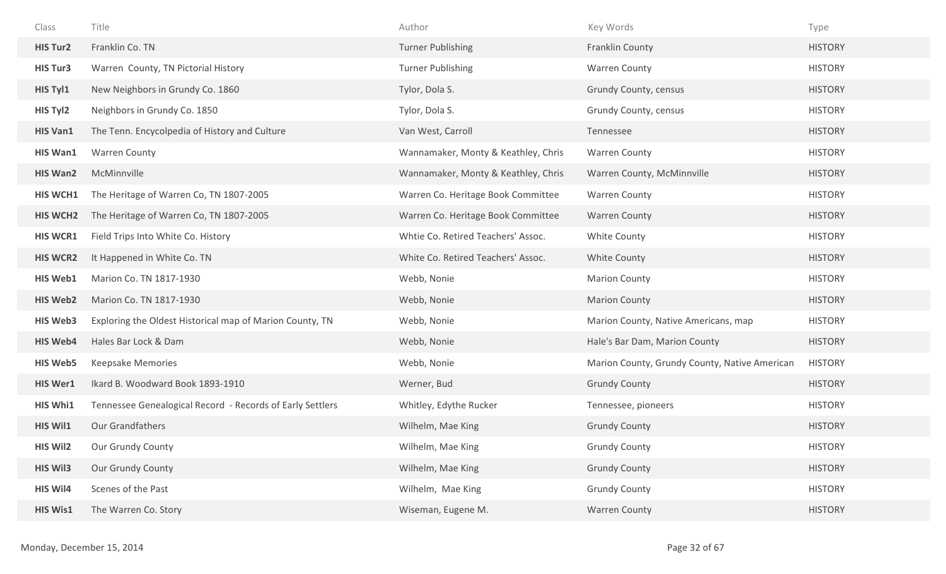| Class           | Title                                                     | Author                              | Key Words                                     | Type           |
|-----------------|-----------------------------------------------------------|-------------------------------------|-----------------------------------------------|----------------|
| <b>HIS Tur2</b> | Franklin Co. TN                                           | <b>Turner Publishing</b>            | Franklin County                               | <b>HISTORY</b> |
| <b>HIS Tur3</b> | Warren County, TN Pictorial History                       | <b>Turner Publishing</b>            | <b>Warren County</b>                          | <b>HISTORY</b> |
| HIS Tyl1        | New Neighbors in Grundy Co. 1860                          | Tylor, Dola S.                      | Grundy County, census                         | <b>HISTORY</b> |
| HIS Tyl2        | Neighbors in Grundy Co. 1850                              | Tylor, Dola S.                      | Grundy County, census                         | <b>HISTORY</b> |
| <b>HIS Van1</b> | The Tenn. Encycolpedia of History and Culture             | Van West, Carroll                   | Tennessee                                     | <b>HISTORY</b> |
| <b>HIS Wan1</b> | <b>Warren County</b>                                      | Wannamaker, Monty & Keathley, Chris | <b>Warren County</b>                          | <b>HISTORY</b> |
| <b>HIS Wan2</b> | McMinnville                                               | Wannamaker, Monty & Keathley, Chris | Warren County, McMinnville                    | <b>HISTORY</b> |
| <b>HIS WCH1</b> | The Heritage of Warren Co, TN 1807-2005                   | Warren Co. Heritage Book Committee  | <b>Warren County</b>                          | <b>HISTORY</b> |
| <b>HIS WCH2</b> | The Heritage of Warren Co, TN 1807-2005                   | Warren Co. Heritage Book Committee  | <b>Warren County</b>                          | <b>HISTORY</b> |
| <b>HIS WCR1</b> | Field Trips Into White Co. History                        | Whtie Co. Retired Teachers' Assoc.  | White County                                  | <b>HISTORY</b> |
| <b>HIS WCR2</b> | It Happened in White Co. TN                               | White Co. Retired Teachers' Assoc.  | White County                                  | <b>HISTORY</b> |
| <b>HIS Web1</b> | Marion Co. TN 1817-1930                                   | Webb, Nonie                         | <b>Marion County</b>                          | <b>HISTORY</b> |
| <b>HIS Web2</b> | Marion Co. TN 1817-1930                                   | Webb, Nonie                         | <b>Marion County</b>                          | <b>HISTORY</b> |
| <b>HIS Web3</b> | Exploring the Oldest Historical map of Marion County, TN  | Webb, Nonie                         | Marion County, Native Americans, map          | <b>HISTORY</b> |
| <b>HIS Web4</b> | Hales Bar Lock & Dam                                      | Webb, Nonie                         | Hale's Bar Dam, Marion County                 | <b>HISTORY</b> |
| <b>HIS Web5</b> | Keepsake Memories                                         | Webb, Nonie                         | Marion County, Grundy County, Native American | <b>HISTORY</b> |
| <b>HIS Wer1</b> | Ikard B. Woodward Book 1893-1910                          | Werner, Bud                         | <b>Grundy County</b>                          | <b>HISTORY</b> |
| <b>HIS Whi1</b> | Tennessee Genealogical Record - Records of Early Settlers | Whitley, Edythe Rucker              | Tennessee, pioneers                           | <b>HISTORY</b> |
| <b>HIS Wil1</b> | Our Grandfathers                                          | Wilhelm, Mae King                   | <b>Grundy County</b>                          | <b>HISTORY</b> |
| <b>HIS Wil2</b> | Our Grundy County                                         | Wilhelm, Mae King                   | <b>Grundy County</b>                          | <b>HISTORY</b> |
| <b>HIS Wil3</b> | Our Grundy County                                         | Wilhelm, Mae King                   | <b>Grundy County</b>                          | <b>HISTORY</b> |
| <b>HIS Wil4</b> | Scenes of the Past                                        | Wilhelm, Mae King                   | <b>Grundy County</b>                          | <b>HISTORY</b> |
| <b>HIS Wis1</b> | The Warren Co. Story                                      | Wiseman, Eugene M.                  | Warren County                                 | <b>HISTORY</b> |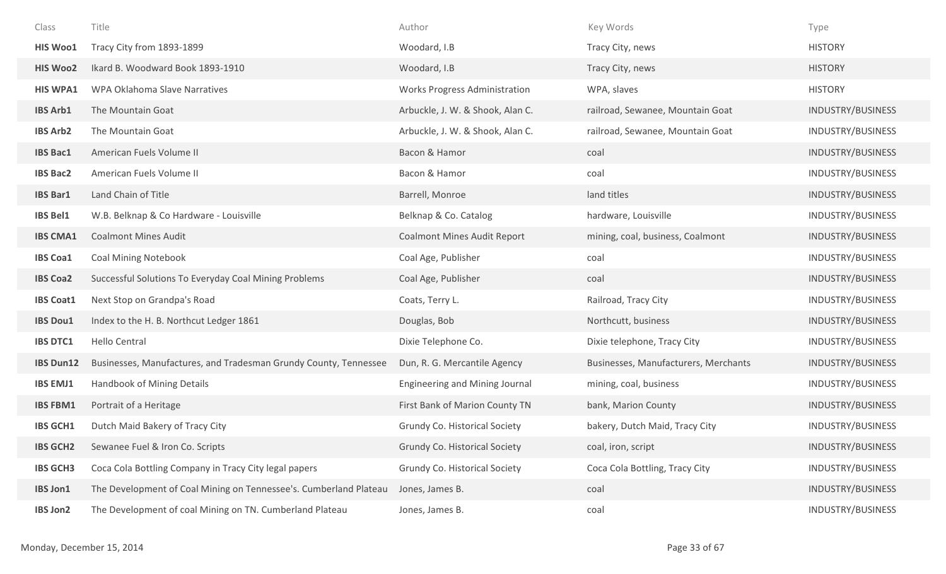| Class            | Title                                                             | Author                             | Key Words                            | Type              |
|------------------|-------------------------------------------------------------------|------------------------------------|--------------------------------------|-------------------|
| <b>HIS Woo1</b>  | Tracy City from 1893-1899                                         | Woodard, I.B                       | Tracy City, news                     | <b>HISTORY</b>    |
| <b>HIS Woo2</b>  | Ikard B. Woodward Book 1893-1910                                  | Woodard, I.B                       | Tracy City, news                     | <b>HISTORY</b>    |
| <b>HIS WPA1</b>  | <b>WPA Oklahoma Slave Narratives</b>                              | Works Progress Administration      | WPA, slaves                          | <b>HISTORY</b>    |
| <b>IBS Arb1</b>  | The Mountain Goat                                                 | Arbuckle, J. W. & Shook, Alan C.   | railroad, Sewanee, Mountain Goat     | INDUSTRY/BUSINESS |
| <b>IBS Arb2</b>  | The Mountain Goat                                                 | Arbuckle, J. W. & Shook, Alan C.   | railroad, Sewanee, Mountain Goat     | INDUSTRY/BUSINESS |
| <b>IBS Bac1</b>  | American Fuels Volume II                                          | Bacon & Hamor                      | coal                                 | INDUSTRY/BUSINESS |
| <b>IBS Bac2</b>  | American Fuels Volume II                                          | Bacon & Hamor                      | coal                                 | INDUSTRY/BUSINESS |
| <b>IBS Bar1</b>  | Land Chain of Title                                               | Barrell, Monroe                    | land titles                          | INDUSTRY/BUSINESS |
| <b>IBS Bel1</b>  | W.B. Belknap & Co Hardware - Louisville                           | Belknap & Co. Catalog              | hardware, Louisville                 | INDUSTRY/BUSINESS |
| <b>IBS CMA1</b>  | <b>Coalmont Mines Audit</b>                                       | <b>Coalmont Mines Audit Report</b> | mining, coal, business, Coalmont     | INDUSTRY/BUSINESS |
| <b>IBS Coa1</b>  | <b>Coal Mining Notebook</b>                                       | Coal Age, Publisher                | coal                                 | INDUSTRY/BUSINESS |
| <b>IBS Coa2</b>  | Successful Solutions To Everyday Coal Mining Problems             | Coal Age, Publisher                | coal                                 | INDUSTRY/BUSINESS |
| <b>IBS Coat1</b> | Next Stop on Grandpa's Road                                       | Coats, Terry L.                    | Railroad, Tracy City                 | INDUSTRY/BUSINESS |
| <b>IBS Dou1</b>  | Index to the H. B. Northcut Ledger 1861                           | Douglas, Bob                       | Northcutt, business                  | INDUSTRY/BUSINESS |
| <b>IBS DTC1</b>  | Hello Central                                                     | Dixie Telephone Co.                | Dixie telephone, Tracy City          | INDUSTRY/BUSINESS |
| <b>IBS Dun12</b> | Businesses, Manufactures, and Tradesman Grundy County, Tennessee  | Dun, R. G. Mercantile Agency       | Businesses, Manufacturers, Merchants | INDUSTRY/BUSINESS |
| <b>IBS EMJ1</b>  | Handbook of Mining Details                                        | Engineering and Mining Journal     | mining, coal, business               | INDUSTRY/BUSINESS |
| <b>IBS FBM1</b>  | Portrait of a Heritage                                            | First Bank of Marion County TN     | bank, Marion County                  | INDUSTRY/BUSINESS |
| <b>IBS GCH1</b>  | Dutch Maid Bakery of Tracy City                                   | Grundy Co. Historical Society      | bakery, Dutch Maid, Tracy City       | INDUSTRY/BUSINESS |
| <b>IBS GCH2</b>  | Sewanee Fuel & Iron Co. Scripts                                   | Grundy Co. Historical Society      | coal, iron, script                   | INDUSTRY/BUSINESS |
| <b>IBS GCH3</b>  | Coca Cola Bottling Company in Tracy City legal papers             | Grundy Co. Historical Society      | Coca Cola Bottling, Tracy City       | INDUSTRY/BUSINESS |
| <b>IBS Jon1</b>  | The Development of Coal Mining on Tennessee's. Cumberland Plateau | Jones, James B.                    | coal                                 | INDUSTRY/BUSINESS |
| <b>IBS Jon2</b>  | The Development of coal Mining on TN. Cumberland Plateau          | Jones, James B.                    | coal                                 | INDUSTRY/BUSINESS |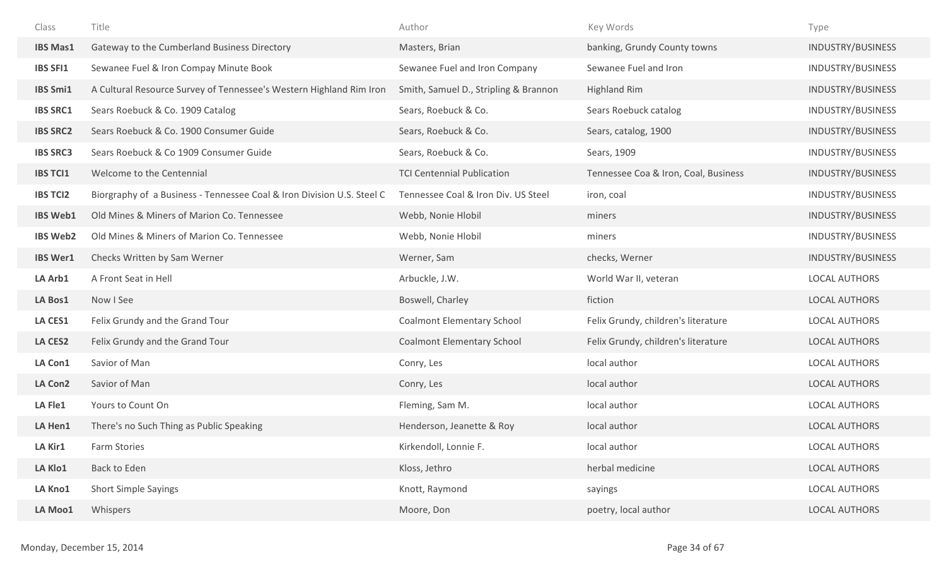| Class           | Title                                                                  | Author                                | Key Words                            | Type                     |
|-----------------|------------------------------------------------------------------------|---------------------------------------|--------------------------------------|--------------------------|
| <b>IBS Mas1</b> | Gateway to the Cumberland Business Directory                           | Masters, Brian                        | banking, Grundy County towns         | INDUSTRY/BUSINESS        |
| <b>IBS SFI1</b> | Sewanee Fuel & Iron Compay Minute Book                                 | Sewanee Fuel and Iron Company         | Sewanee Fuel and Iron                | <b>INDUSTRY/BUSINESS</b> |
| <b>IBS Smi1</b> | A Cultural Resource Survey of Tennessee's Western Highland Rim Iron    | Smith, Samuel D., Stripling & Brannon | <b>Highland Rim</b>                  | INDUSTRY/BUSINESS        |
| <b>IBS SRC1</b> | Sears Roebuck & Co. 1909 Catalog                                       | Sears, Roebuck & Co.                  | Sears Roebuck catalog                | INDUSTRY/BUSINESS        |
| <b>IBS SRC2</b> | Sears Roebuck & Co. 1900 Consumer Guide                                | Sears, Roebuck & Co.                  | Sears, catalog, 1900                 | INDUSTRY/BUSINESS        |
| <b>IBS SRC3</b> | Sears Roebuck & Co 1909 Consumer Guide                                 | Sears, Roebuck & Co.                  | Sears, 1909                          | INDUSTRY/BUSINESS        |
| <b>IBS TCI1</b> | Welcome to the Centennial                                              | <b>TCI Centennial Publication</b>     | Tennessee Coa & Iron, Coal, Business | INDUSTRY/BUSINESS        |
| <b>IBS TCI2</b> | Biorgraphy of a Business - Tennessee Coal & Iron Division U.S. Steel C | Tennessee Coal & Iron Div. US Steel   | iron, coal                           | INDUSTRY/BUSINESS        |
| <b>IBS Web1</b> | Old Mines & Miners of Marion Co. Tennessee                             | Webb, Nonie Hlobil                    | miners                               | INDUSTRY/BUSINESS        |
| <b>IBS Web2</b> | Old Mines & Miners of Marion Co. Tennessee                             | Webb, Nonie Hlobil                    | miners                               | INDUSTRY/BUSINESS        |
| <b>IBS Wer1</b> | Checks Written by Sam Werner                                           | Werner, Sam                           | checks, Werner                       | INDUSTRY/BUSINESS        |
| LA Arb1         | A Front Seat in Hell                                                   | Arbuckle, J.W.                        | World War II, veteran                | <b>LOCAL AUTHORS</b>     |
| LA Bos1         | Now I See                                                              | Boswell, Charley                      | fiction                              | <b>LOCAL AUTHORS</b>     |
| <b>LA CES1</b>  | Felix Grundy and the Grand Tour                                        | <b>Coalmont Elementary School</b>     | Felix Grundy, children's literature  | <b>LOCAL AUTHORS</b>     |
| <b>LA CES2</b>  | Felix Grundy and the Grand Tour                                        | <b>Coalmont Elementary School</b>     | Felix Grundy, children's literature  | <b>LOCAL AUTHORS</b>     |
| LA Con1         | Savior of Man                                                          | Conry, Les                            | local author                         | <b>LOCAL AUTHORS</b>     |
| LA Con2         | Savior of Man                                                          | Conry, Les                            | local author                         | <b>LOCAL AUTHORS</b>     |
| LA Fle1         | Yours to Count On                                                      | Fleming, Sam M.                       | local author                         | <b>LOCAL AUTHORS</b>     |
| LA Hen1         | There's no Such Thing as Public Speaking                               | Henderson, Jeanette & Roy             | local author                         | LOCAL AUTHORS            |
| LA Kir1         | <b>Farm Stories</b>                                                    | Kirkendoll, Lonnie F.                 | local author                         | <b>LOCAL AUTHORS</b>     |
| LA Klo1         | Back to Eden                                                           | Kloss, Jethro                         | herbal medicine                      | <b>LOCAL AUTHORS</b>     |
| LA Kno1         | <b>Short Simple Sayings</b>                                            | Knott, Raymond                        | sayings                              | <b>LOCAL AUTHORS</b>     |
| LA Moo1         | Whispers                                                               | Moore, Don                            | poetry, local author                 | <b>LOCAL AUTHORS</b>     |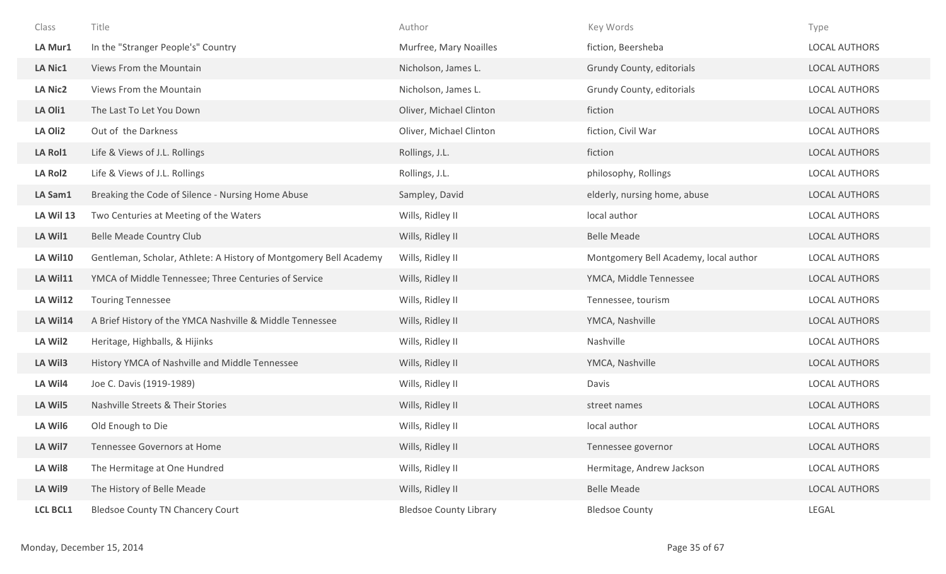| Class           | Title                                                             | Author                        | Key Words                             | Type                 |
|-----------------|-------------------------------------------------------------------|-------------------------------|---------------------------------------|----------------------|
| LA Mur1         | In the "Stranger People's" Country                                | Murfree, Mary Noailles        | fiction, Beersheba                    | LOCAL AUTHORS        |
| <b>LA Nic1</b>  | Views From the Mountain                                           | Nicholson, James L.           | Grundy County, editorials             | <b>LOCAL AUTHORS</b> |
| <b>LA Nic2</b>  | Views From the Mountain                                           | Nicholson, James L.           | Grundy County, editorials             | <b>LOCAL AUTHORS</b> |
| LA Oli1         | The Last To Let You Down                                          | Oliver, Michael Clinton       | fiction                               | <b>LOCAL AUTHORS</b> |
| LA Oli2         | Out of the Darkness                                               | Oliver, Michael Clinton       | fiction, Civil War                    | <b>LOCAL AUTHORS</b> |
| <b>LA Rol1</b>  | Life & Views of J.L. Rollings                                     | Rollings, J.L.                | fiction                               | <b>LOCAL AUTHORS</b> |
| LA Rol2         | Life & Views of J.L. Rollings                                     | Rollings, J.L.                | philosophy, Rollings                  | <b>LOCAL AUTHORS</b> |
| LA Sam1         | Breaking the Code of Silence - Nursing Home Abuse                 | Sampley, David                | elderly, nursing home, abuse          | <b>LOCAL AUTHORS</b> |
| LA Wil 13       | Two Centuries at Meeting of the Waters                            | Wills, Ridley II              | local author                          | LOCAL AUTHORS        |
| LA Wil1         | <b>Belle Meade Country Club</b>                                   | Wills, Ridley II              | <b>Belle Meade</b>                    | <b>LOCAL AUTHORS</b> |
| LA Wil10        | Gentleman, Scholar, Athlete: A History of Montgomery Bell Academy | Wills, Ridley II              | Montgomery Bell Academy, local author | <b>LOCAL AUTHORS</b> |
| LA Wil11        | YMCA of Middle Tennessee; Three Centuries of Service              | Wills, Ridley II              | YMCA, Middle Tennessee                | LOCAL AUTHORS        |
| LA Wil12        | <b>Touring Tennessee</b>                                          | Wills, Ridley II              | Tennessee, tourism                    | <b>LOCAL AUTHORS</b> |
| LA Wil14        | A Brief History of the YMCA Nashville & Middle Tennessee          | Wills, Ridley II              | YMCA, Nashville                       | <b>LOCAL AUTHORS</b> |
| LA Wil2         | Heritage, Highballs, & Hijinks                                    | Wills, Ridley II              | Nashville                             | <b>LOCAL AUTHORS</b> |
| LA Wil3         | History YMCA of Nashville and Middle Tennessee                    | Wills, Ridley II              | YMCA, Nashville                       | LOCAL AUTHORS        |
| LA Wil4         | Joe C. Davis (1919-1989)                                          | Wills, Ridley II              | Davis                                 | <b>LOCAL AUTHORS</b> |
| LA Wil5         | Nashville Streets & Their Stories                                 | Wills, Ridley II              | street names                          | <b>LOCAL AUTHORS</b> |
| LA Wil6         | Old Enough to Die                                                 | Wills, Ridley II              | local author                          | <b>LOCAL AUTHORS</b> |
| LA Wil7         | Tennessee Governors at Home                                       | Wills, Ridley II              | Tennessee governor                    | <b>LOCAL AUTHORS</b> |
| LA Wil8         | The Hermitage at One Hundred                                      | Wills, Ridley II              | Hermitage, Andrew Jackson             | <b>LOCAL AUTHORS</b> |
| LA Wil9         | The History of Belle Meade                                        | Wills, Ridley II              | <b>Belle Meade</b>                    | LOCAL AUTHORS        |
| <b>LCL BCL1</b> | <b>Bledsoe County TN Chancery Court</b>                           | <b>Bledsoe County Library</b> | <b>Bledsoe County</b>                 | LEGAL                |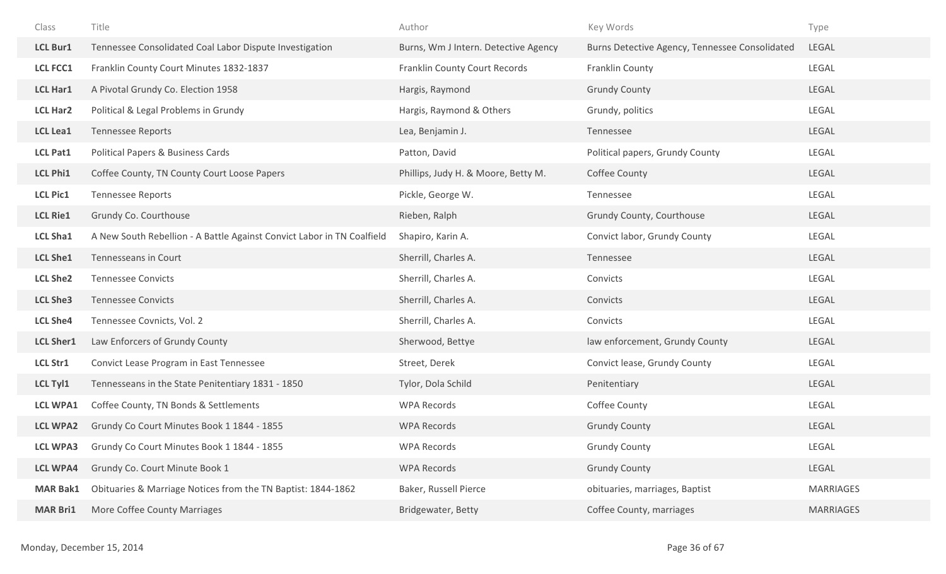| Class            | Title                                                                  | Author                               | Key Words                                      | Type             |
|------------------|------------------------------------------------------------------------|--------------------------------------|------------------------------------------------|------------------|
| <b>LCL Bur1</b>  | Tennessee Consolidated Coal Labor Dispute Investigation                | Burns, Wm J Intern. Detective Agency | Burns Detective Agency, Tennessee Consolidated | <b>LEGAL</b>     |
| <b>LCL FCC1</b>  | Franklin County Court Minutes 1832-1837                                | Franklin County Court Records        | Franklin County                                | <b>LEGAL</b>     |
| <b>LCL Har1</b>  | A Pivotal Grundy Co. Election 1958                                     | Hargis, Raymond                      | <b>Grundy County</b>                           | LEGAL            |
| <b>LCL Har2</b>  | Political & Legal Problems in Grundy                                   | Hargis, Raymond & Others             | Grundy, politics                               | LEGAL            |
| <b>LCL Lea1</b>  | <b>Tennessee Reports</b>                                               | Lea, Benjamin J.                     | Tennessee                                      | LEGAL            |
| <b>LCL Pat1</b>  | Political Papers & Business Cards                                      | Patton, David                        | Political papers, Grundy County                | LEGAL            |
| <b>LCL Phi1</b>  | Coffee County, TN County Court Loose Papers                            | Phillips, Judy H. & Moore, Betty M.  | Coffee County                                  | LEGAL            |
| <b>LCL Pic1</b>  | Tennessee Reports                                                      | Pickle, George W.                    | Tennessee                                      | LEGAL            |
| <b>LCL Rie1</b>  | Grundy Co. Courthouse                                                  | Rieben, Ralph                        | Grundy County, Courthouse                      | LEGAL            |
| <b>LCL Sha1</b>  | A New South Rebellion - A Battle Against Convict Labor in TN Coalfield | Shapiro, Karin A.                    | Convict labor, Grundy County                   | LEGAL            |
| <b>LCL She1</b>  | Tennesseans in Court                                                   | Sherrill, Charles A.                 | Tennessee                                      | LEGAL            |
| <b>LCL She2</b>  | <b>Tennessee Convicts</b>                                              | Sherrill, Charles A.                 | Convicts                                       | LEGAL            |
| <b>LCL She3</b>  | <b>Tennessee Convicts</b>                                              | Sherrill, Charles A.                 | Convicts                                       | LEGAL            |
| <b>LCL She4</b>  | Tennessee Covnicts, Vol. 2                                             | Sherrill, Charles A.                 | Convicts                                       | LEGAL            |
| <b>LCL Sher1</b> | Law Enforcers of Grundy County                                         | Sherwood, Bettye                     | law enforcement, Grundy County                 | LEGAL            |
| <b>LCL Str1</b>  | Convict Lease Program in East Tennessee                                | Street, Derek                        | Convict lease, Grundy County                   | LEGAL            |
| <b>LCL Tyl1</b>  | Tennesseans in the State Penitentiary 1831 - 1850                      | Tylor, Dola Schild                   | Penitentiary                                   | LEGAL            |
| <b>LCL WPA1</b>  | Coffee County, TN Bonds & Settlements                                  | <b>WPA Records</b>                   | Coffee County                                  | LEGAL            |
| <b>LCL WPA2</b>  | Grundy Co Court Minutes Book 1 1844 - 1855                             | <b>WPA Records</b>                   | <b>Grundy County</b>                           | LEGAL            |
| <b>LCL WPA3</b>  | Grundy Co Court Minutes Book 1 1844 - 1855                             | <b>WPA Records</b>                   | <b>Grundy County</b>                           | LEGAL            |
| <b>LCL WPA4</b>  | Grundy Co. Court Minute Book 1                                         | <b>WPA Records</b>                   | <b>Grundy County</b>                           | LEGAL            |
| <b>MAR Bak1</b>  | Obituaries & Marriage Notices from the TN Baptist: 1844-1862           | Baker, Russell Pierce                | obituaries, marriages, Baptist                 | <b>MARRIAGES</b> |
| <b>MAR Bri1</b>  | More Coffee County Marriages                                           | Bridgewater, Betty                   | Coffee County, marriages                       | <b>MARRIAGES</b> |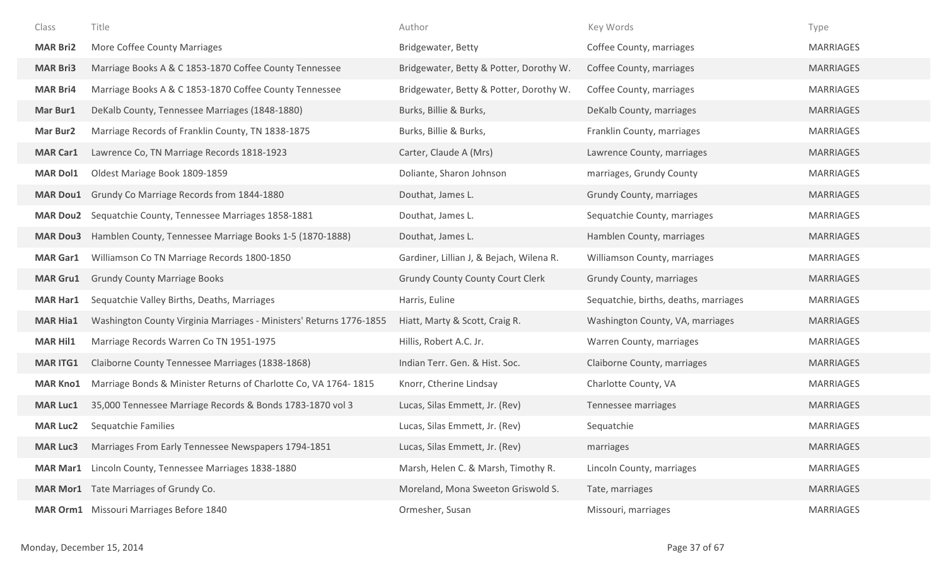| Class           | Title                                                               | Author                                   | Key Words                             | Type             |
|-----------------|---------------------------------------------------------------------|------------------------------------------|---------------------------------------|------------------|
| <b>MAR Bri2</b> | More Coffee County Marriages                                        | Bridgewater, Betty                       | Coffee County, marriages              | <b>MARRIAGES</b> |
| <b>MAR Bri3</b> | Marriage Books A & C 1853-1870 Coffee County Tennessee              | Bridgewater, Betty & Potter, Dorothy W.  | Coffee County, marriages              | <b>MARRIAGES</b> |
| <b>MAR Bri4</b> | Marriage Books A & C 1853-1870 Coffee County Tennessee              | Bridgewater, Betty & Potter, Dorothy W.  | Coffee County, marriages              | <b>MARRIAGES</b> |
| Mar Bur1        | DeKalb County, Tennessee Marriages (1848-1880)                      | Burks, Billie & Burks,                   | DeKalb County, marriages              | <b>MARRIAGES</b> |
| Mar Bur2        | Marriage Records of Franklin County, TN 1838-1875                   | Burks, Billie & Burks,                   | Franklin County, marriages            | <b>MARRIAGES</b> |
| <b>MAR Car1</b> | Lawrence Co, TN Marriage Records 1818-1923                          | Carter, Claude A (Mrs)                   | Lawrence County, marriages            | <b>MARRIAGES</b> |
| <b>MAR Dol1</b> | Oldest Mariage Book 1809-1859                                       | Doliante, Sharon Johnson                 | marriages, Grundy County              | MARRIAGES        |
| <b>MAR Dou1</b> | Grundy Co Marriage Records from 1844-1880                           | Douthat, James L.                        | Grundy County, marriages              | <b>MARRIAGES</b> |
| <b>MAR Dou2</b> | Sequatchie County, Tennessee Marriages 1858-1881                    | Douthat, James L.                        | Sequatchie County, marriages          | <b>MARRIAGES</b> |
| <b>MAR Dou3</b> | Hamblen County, Tennessee Marriage Books 1-5 (1870-1888)            | Douthat, James L.                        | Hamblen County, marriages             | <b>MARRIAGES</b> |
| <b>MAR Gar1</b> | Williamson Co TN Marriage Records 1800-1850                         | Gardiner, Lillian J, & Bejach, Wilena R. | Williamson County, marriages          | <b>MARRIAGES</b> |
| <b>MAR Gru1</b> | <b>Grundy County Marriage Books</b>                                 | <b>Grundy County County Court Clerk</b>  | Grundy County, marriages              | <b>MARRIAGES</b> |
| <b>MAR Har1</b> | Sequatchie Valley Births, Deaths, Marriages                         | Harris, Euline                           | Sequatchie, births, deaths, marriages | <b>MARRIAGES</b> |
| <b>MAR Hia1</b> | Washington County Virginia Marriages - Ministers' Returns 1776-1855 | Hiatt, Marty & Scott, Craig R.           | Washington County, VA, marriages      | <b>MARRIAGES</b> |
| <b>MAR Hil1</b> | Marriage Records Warren Co TN 1951-1975                             | Hillis, Robert A.C. Jr.                  | Warren County, marriages              | MARRIAGES        |
| <b>MAR ITG1</b> | Claiborne County Tennessee Marriages (1838-1868)                    | Indian Terr. Gen. & Hist. Soc.           | Claiborne County, marriages           | <b>MARRIAGES</b> |
| <b>MAR Kno1</b> | Marriage Bonds & Minister Returns of Charlotte Co, VA 1764-1815     | Knorr, Ctherine Lindsay                  | Charlotte County, VA                  | MARRIAGES        |
| <b>MAR Luc1</b> | 35,000 Tennessee Marriage Records & Bonds 1783-1870 vol 3           | Lucas, Silas Emmett, Jr. (Rev)           | Tennessee marriages                   | <b>MARRIAGES</b> |
| <b>MAR Luc2</b> | Sequatchie Families                                                 | Lucas, Silas Emmett, Jr. (Rev)           | Sequatchie                            | MARRIAGES        |
| <b>MAR Luc3</b> | Marriages From Early Tennessee Newspapers 1794-1851                 | Lucas, Silas Emmett, Jr. (Rev)           | marriages                             | <b>MARRIAGES</b> |
| <b>MAR Mar1</b> | Lincoln County, Tennessee Marriages 1838-1880                       | Marsh, Helen C. & Marsh, Timothy R.      | Lincoln County, marriages             | <b>MARRIAGES</b> |
|                 | MAR Mor1 Tate Marriages of Grundy Co.                               | Moreland, Mona Sweeton Griswold S.       | Tate, marriages                       | <b>MARRIAGES</b> |
|                 | <b>MAR Orm1</b> Missouri Marriages Before 1840                      | Ormesher, Susan                          | Missouri, marriages                   | MARRIAGES        |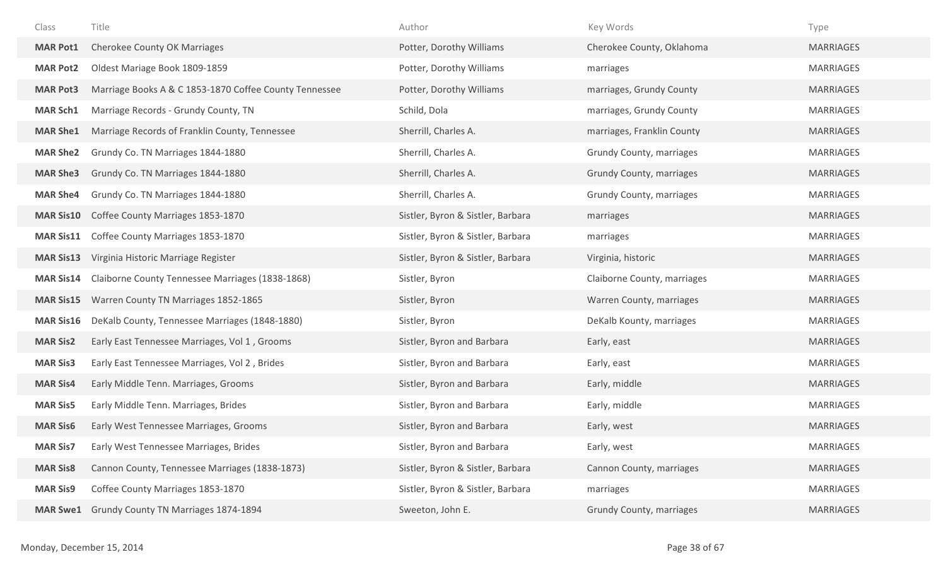| Class            | Title                                                  | Author                            | Key Words                   | Type             |
|------------------|--------------------------------------------------------|-----------------------------------|-----------------------------|------------------|
| <b>MAR Pot1</b>  | <b>Cherokee County OK Marriages</b>                    | Potter, Dorothy Williams          | Cherokee County, Oklahoma   | <b>MARRIAGES</b> |
| <b>MAR Pot2</b>  | Oldest Mariage Book 1809-1859                          | Potter, Dorothy Williams          | marriages                   | <b>MARRIAGES</b> |
| <b>MAR Pot3</b>  | Marriage Books A & C 1853-1870 Coffee County Tennessee | Potter, Dorothy Williams          | marriages, Grundy County    | <b>MARRIAGES</b> |
| <b>MAR Sch1</b>  | Marriage Records - Grundy County, TN                   | Schild, Dola                      | marriages, Grundy County    | <b>MARRIAGES</b> |
| <b>MAR She1</b>  | Marriage Records of Franklin County, Tennessee         | Sherrill, Charles A.              | marriages, Franklin County  | <b>MARRIAGES</b> |
| <b>MAR She2</b>  | Grundy Co. TN Marriages 1844-1880                      | Sherrill, Charles A.              | Grundy County, marriages    | MARRIAGES        |
| <b>MAR She3</b>  | Grundy Co. TN Marriages 1844-1880                      | Sherrill, Charles A.              | Grundy County, marriages    | <b>MARRIAGES</b> |
| <b>MAR She4</b>  | Grundy Co. TN Marriages 1844-1880                      | Sherrill, Charles A.              | Grundy County, marriages    | <b>MARRIAGES</b> |
| <b>MAR Sis10</b> | Coffee County Marriages 1853-1870                      | Sistler, Byron & Sistler, Barbara | marriages                   | <b>MARRIAGES</b> |
| <b>MAR Sis11</b> | Coffee County Marriages 1853-1870                      | Sistler, Byron & Sistler, Barbara | marriages                   | <b>MARRIAGES</b> |
| <b>MAR Sis13</b> | Virginia Historic Marriage Register                    | Sistler, Byron & Sistler, Barbara | Virginia, historic          | <b>MARRIAGES</b> |
| <b>MAR Sis14</b> | Claiborne County Tennessee Marriages (1838-1868)       | Sistler, Byron                    | Claiborne County, marriages | <b>MARRIAGES</b> |
| <b>MAR Sis15</b> | Warren County TN Marriages 1852-1865                   | Sistler, Byron                    | Warren County, marriages    | <b>MARRIAGES</b> |
| <b>MAR Sis16</b> | DeKalb County, Tennessee Marriages (1848-1880)         | Sistler, Byron                    | DeKalb Kounty, marriages    | MARRIAGES        |
| <b>MAR Sis2</b>  | Early East Tennessee Marriages, Vol 1, Grooms          | Sistler, Byron and Barbara        | Early, east                 | <b>MARRIAGES</b> |
| <b>MAR Sis3</b>  | Early East Tennessee Marriages, Vol 2, Brides          | Sistler, Byron and Barbara        | Early, east                 | <b>MARRIAGES</b> |
| <b>MAR Sis4</b>  | Early Middle Tenn. Marriages, Grooms                   | Sistler, Byron and Barbara        | Early, middle               | <b>MARRIAGES</b> |
| <b>MAR Sis5</b>  | Early Middle Tenn. Marriages, Brides                   | Sistler, Byron and Barbara        | Early, middle               | <b>MARRIAGES</b> |
| <b>MAR Sis6</b>  | Early West Tennessee Marriages, Grooms                 | Sistler, Byron and Barbara        | Early, west                 | <b>MARRIAGES</b> |
| <b>MAR Sis7</b>  | Early West Tennessee Marriages, Brides                 | Sistler, Byron and Barbara        | Early, west                 | <b>MARRIAGES</b> |
| <b>MAR Sis8</b>  | Cannon County, Tennessee Marriages (1838-1873)         | Sistler, Byron & Sistler, Barbara | Cannon County, marriages    | <b>MARRIAGES</b> |
| <b>MAR Sis9</b>  | Coffee County Marriages 1853-1870                      | Sistler, Byron & Sistler, Barbara | marriages                   | <b>MARRIAGES</b> |
| <b>MAR Swe1</b>  | Grundy County TN Marriages 1874-1894                   | Sweeton, John E.                  | Grundy County, marriages    | <b>MARRIAGES</b> |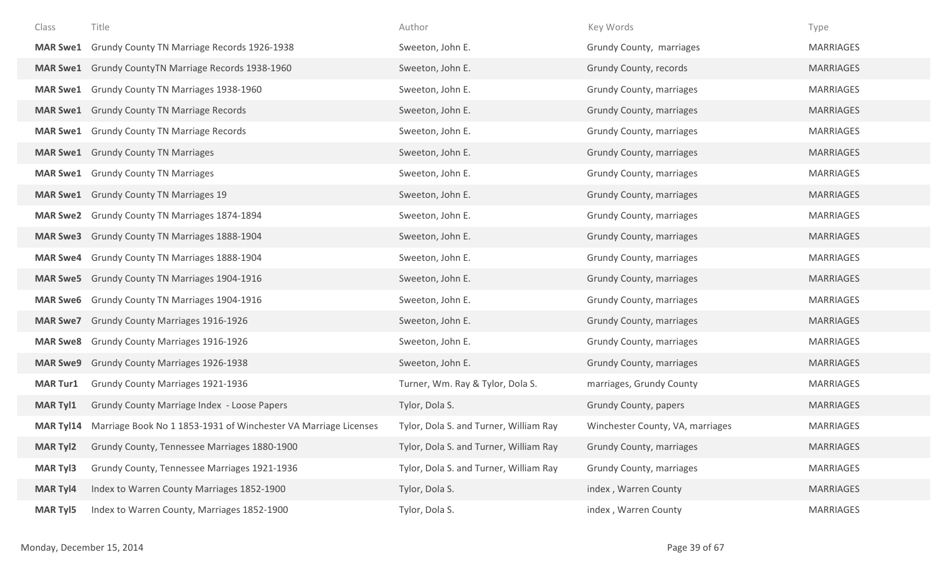| Class            | Title                                                           | Author                                 | Key Words                        | Type             |
|------------------|-----------------------------------------------------------------|----------------------------------------|----------------------------------|------------------|
| <b>MAR Swe1</b>  | Grundy County TN Marriage Records 1926-1938                     | Sweeton, John E.                       | Grundy County, marriages         | <b>MARRIAGES</b> |
| <b>MAR Swe1</b>  | Grundy CountyTN Marriage Records 1938-1960                      | Sweeton, John E.                       | Grundy County, records           | <b>MARRIAGES</b> |
| <b>MAR Swe1</b>  | Grundy County TN Marriages 1938-1960                            | Sweeton, John E.                       | Grundy County, marriages         | <b>MARRIAGES</b> |
|                  | <b>MAR Swe1</b> Grundy County TN Marriage Records               | Sweeton, John E.                       | <b>Grundy County, marriages</b>  | <b>MARRIAGES</b> |
| <b>MAR Swe1</b>  | <b>Grundy County TN Marriage Records</b>                        | Sweeton, John E.                       | Grundy County, marriages         | <b>MARRIAGES</b> |
|                  | <b>MAR Swe1</b> Grundy County TN Marriages                      | Sweeton, John E.                       | Grundy County, marriages         | <b>MARRIAGES</b> |
|                  | <b>MAR Swe1</b> Grundy County TN Marriages                      | Sweeton, John E.                       | Grundy County, marriages         | <b>MARRIAGES</b> |
|                  | <b>MAR Swe1</b> Grundy County TN Marriages 19                   | Sweeton, John E.                       | Grundy County, marriages         | <b>MARRIAGES</b> |
| <b>MAR Swe2</b>  | Grundy County TN Marriages 1874-1894                            | Sweeton, John E.                       | Grundy County, marriages         | <b>MARRIAGES</b> |
| <b>MAR Swe3</b>  | Grundy County TN Marriages 1888-1904                            | Sweeton, John E.                       | Grundy County, marriages         | <b>MARRIAGES</b> |
| <b>MAR Swe4</b>  | Grundy County TN Marriages 1888-1904                            | Sweeton, John E.                       | Grundy County, marriages         | <b>MARRIAGES</b> |
|                  | MAR Swe5 Grundy County TN Marriages 1904-1916                   | Sweeton, John E.                       | <b>Grundy County, marriages</b>  | <b>MARRIAGES</b> |
| <b>MAR Swe6</b>  | Grundy County TN Marriages 1904-1916                            | Sweeton, John E.                       | Grundy County, marriages         | <b>MARRIAGES</b> |
| <b>MAR Swe7</b>  | <b>Grundy County Marriages 1916-1926</b>                        | Sweeton, John E.                       | Grundy County, marriages         | <b>MARRIAGES</b> |
| <b>MAR Swe8</b>  | <b>Grundy County Marriages 1916-1926</b>                        | Sweeton, John E.                       | Grundy County, marriages         | <b>MARRIAGES</b> |
| <b>MAR Swe9</b>  | <b>Grundy County Marriages 1926-1938</b>                        | Sweeton, John E.                       | Grundy County, marriages         | <b>MARRIAGES</b> |
| <b>MAR Tur1</b>  | Grundy County Marriages 1921-1936                               | Turner, Wm. Ray & Tylor, Dola S.       | marriages, Grundy County         | <b>MARRIAGES</b> |
| <b>MAR Tyl1</b>  | Grundy County Marriage Index - Loose Papers                     | Tylor, Dola S.                         | Grundy County, papers            | <b>MARRIAGES</b> |
| <b>MAR Tyl14</b> | Marriage Book No 1 1853-1931 of Winchester VA Marriage Licenses | Tylor, Dola S. and Turner, William Ray | Winchester County, VA, marriages | <b>MARRIAGES</b> |
| <b>MAR Tyl2</b>  | Grundy County, Tennessee Marriages 1880-1900                    | Tylor, Dola S. and Turner, William Ray | Grundy County, marriages         | <b>MARRIAGES</b> |
| <b>MAR Tyl3</b>  | Grundy County, Tennessee Marriages 1921-1936                    | Tylor, Dola S. and Turner, William Ray | Grundy County, marriages         | <b>MARRIAGES</b> |
| <b>MAR Tyl4</b>  | Index to Warren County Marriages 1852-1900                      | Tylor, Dola S.                         | index, Warren County             | <b>MARRIAGES</b> |
| <b>MAR Tyl5</b>  | Index to Warren County, Marriages 1852-1900                     | Tylor, Dola S.                         | index, Warren County             | <b>MARRIAGES</b> |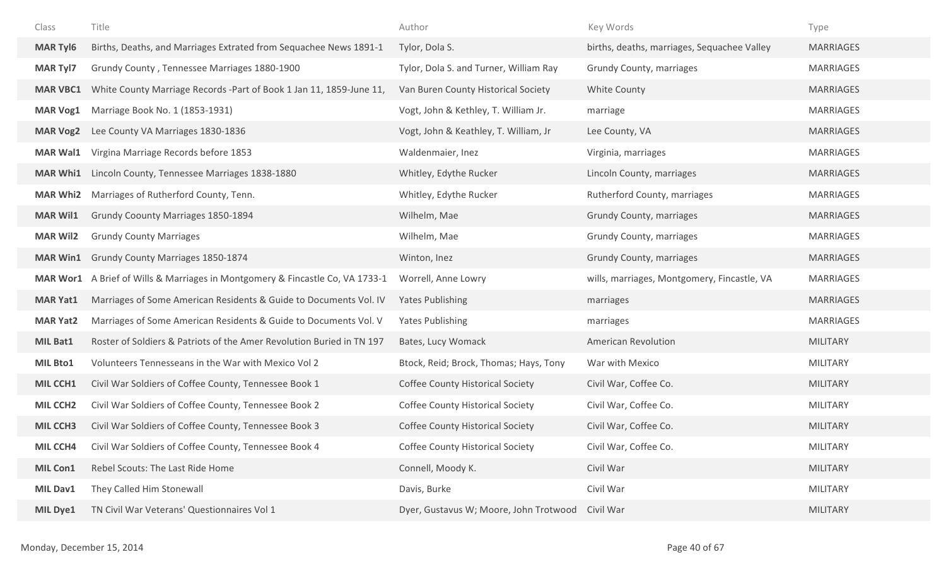| Class           | Title                                                                 | Author                                  | Key Words                                   | Type             |
|-----------------|-----------------------------------------------------------------------|-----------------------------------------|---------------------------------------------|------------------|
| <b>MAR Tyl6</b> | Births, Deaths, and Marriages Extrated from Sequachee News 1891-1     | Tylor, Dola S.                          | births, deaths, marriages, Sequachee Valley | <b>MARRIAGES</b> |
| <b>MAR Tyl7</b> | Grundy County, Tennessee Marriages 1880-1900                          | Tylor, Dola S. and Turner, William Ray  | Grundy County, marriages                    | <b>MARRIAGES</b> |
| <b>MAR VBC1</b> | White County Marriage Records - Part of Book 1 Jan 11, 1859-June 11,  | Van Buren County Historical Society     | White County                                | <b>MARRIAGES</b> |
| <b>MAR Vog1</b> | Marriage Book No. 1 (1853-1931)                                       | Vogt, John & Kethley, T. William Jr.    | marriage                                    | <b>MARRIAGES</b> |
| <b>MAR Vog2</b> | Lee County VA Marriages 1830-1836                                     | Vogt, John & Keathley, T. William, Jr   | Lee County, VA                              | <b>MARRIAGES</b> |
| <b>MAR Wal1</b> | Virgina Marriage Records before 1853                                  | Waldenmaier, Inez                       | Virginia, marriages                         | <b>MARRIAGES</b> |
| <b>MAR Whi1</b> | Lincoln County, Tennessee Marriages 1838-1880                         | Whitley, Edythe Rucker                  | Lincoln County, marriages                   | <b>MARRIAGES</b> |
| <b>MAR Whi2</b> | Marriages of Rutherford County, Tenn.                                 | Whitley, Edythe Rucker                  | Rutherford County, marriages                | <b>MARRIAGES</b> |
| <b>MAR Wil1</b> | Grundy Coounty Marriages 1850-1894                                    | Wilhelm, Mae                            | Grundy County, marriages                    | <b>MARRIAGES</b> |
| <b>MAR Wil2</b> | <b>Grundy County Marriages</b>                                        | Wilhelm, Mae                            | Grundy County, marriages                    | <b>MARRIAGES</b> |
| <b>MAR Win1</b> | Grundy County Marriages 1850-1874                                     | Winton, Inez                            | Grundy County, marriages                    | <b>MARRIAGES</b> |
| <b>MAR Wor1</b> | A Brief of Wills & Marriages in Montgomery & Fincastle Co, VA 1733-1  | Worrell, Anne Lowry                     | wills, marriages, Montgomery, Fincastle, VA | <b>MARRIAGES</b> |
| <b>MAR Yat1</b> | Marriages of Some American Residents & Guide to Documents Vol. IV     | <b>Yates Publishing</b>                 | marriages                                   | <b>MARRIAGES</b> |
| <b>MAR Yat2</b> | Marriages of Some American Residents & Guide to Documents Vol. V      | <b>Yates Publishing</b>                 | marriages                                   | <b>MARRIAGES</b> |
| MIL Bat1        | Roster of Soldiers & Patriots of the Amer Revolution Buried in TN 197 | Bates, Lucy Womack                      | <b>American Revolution</b>                  | <b>MILITARY</b>  |
| <b>MIL Bto1</b> | Volunteers Tennesseans in the War with Mexico Vol 2                   | Btock, Reid; Brock, Thomas; Hays, Tony  | War with Mexico                             | <b>MILITARY</b>  |
| MIL CCH1        | Civil War Soldiers of Coffee County, Tennessee Book 1                 | <b>Coffee County Historical Society</b> | Civil War, Coffee Co.                       | <b>MILITARY</b>  |
| <b>MIL CCH2</b> | Civil War Soldiers of Coffee County, Tennessee Book 2                 | <b>Coffee County Historical Society</b> | Civil War, Coffee Co.                       | <b>MILITARY</b>  |
| <b>MIL CCH3</b> | Civil War Soldiers of Coffee County, Tennessee Book 3                 | <b>Coffee County Historical Society</b> | Civil War, Coffee Co.                       | <b>MILITARY</b>  |
| MIL CCH4        | Civil War Soldiers of Coffee County, Tennessee Book 4                 | <b>Coffee County Historical Society</b> | Civil War, Coffee Co.                       | <b>MILITARY</b>  |
| MIL Con1        | Rebel Scouts: The Last Ride Home                                      | Connell, Moody K.                       | Civil War                                   | <b>MILITARY</b>  |
| MIL Dav1        | They Called Him Stonewall                                             | Davis, Burke                            | Civil War                                   | <b>MILITARY</b>  |
| MIL Dye1        | TN Civil War Veterans' Questionnaires Vol 1                           | Dyer, Gustavus W; Moore, John Trotwood  | Civil War                                   | <b>MILITARY</b>  |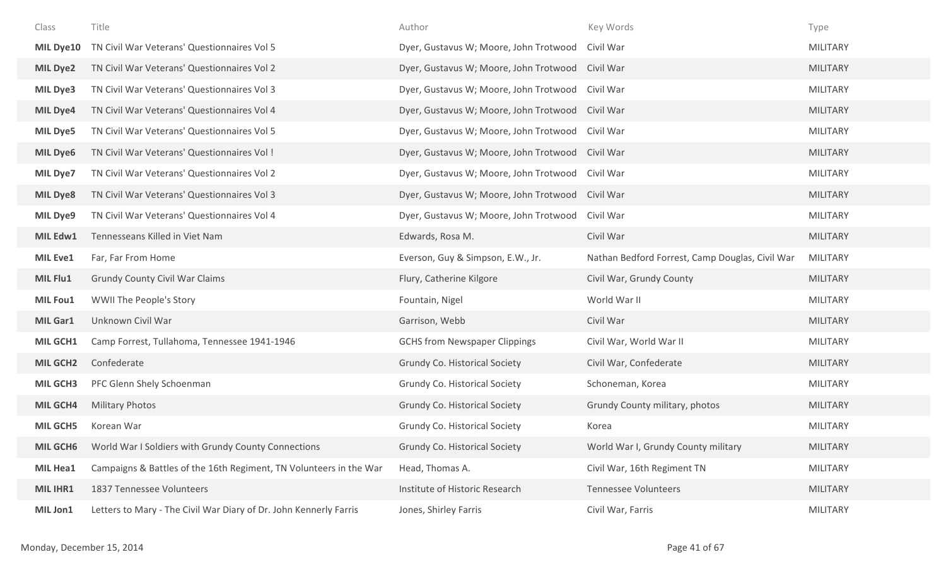| Class           | Title                                                              | Author                                           | Key Words                                       | Type            |
|-----------------|--------------------------------------------------------------------|--------------------------------------------------|-------------------------------------------------|-----------------|
| MIL Dye10       | TN Civil War Veterans' Questionnaires Vol 5                        | Dyer, Gustavus W; Moore, John Trotwood Civil War |                                                 | <b>MILITARY</b> |
| <b>MIL Dye2</b> | TN Civil War Veterans' Questionnaires Vol 2                        | Dyer, Gustavus W; Moore, John Trotwood Civil War |                                                 | <b>MILITARY</b> |
| MIL Dye3        | TN Civil War Veterans' Questionnaires Vol 3                        | Dyer, Gustavus W; Moore, John Trotwood           | Civil War                                       | <b>MILITARY</b> |
| <b>MIL Dye4</b> | TN Civil War Veterans' Questionnaires Vol 4                        | Dyer, Gustavus W; Moore, John Trotwood Civil War |                                                 | <b>MILITARY</b> |
| <b>MIL Dye5</b> | TN Civil War Veterans' Questionnaires Vol 5                        | Dyer, Gustavus W; Moore, John Trotwood Civil War |                                                 | <b>MILITARY</b> |
| <b>MIL Dye6</b> | TN Civil War Veterans' Questionnaires Vol!                         | Dyer, Gustavus W; Moore, John Trotwood Civil War |                                                 | <b>MILITARY</b> |
| MIL Dye7        | TN Civil War Veterans' Questionnaires Vol 2                        | Dyer, Gustavus W; Moore, John Trotwood Civil War |                                                 | <b>MILITARY</b> |
| <b>MIL Dye8</b> | TN Civil War Veterans' Questionnaires Vol 3                        | Dyer, Gustavus W; Moore, John Trotwood Civil War |                                                 | <b>MILITARY</b> |
| MIL Dye9        | TN Civil War Veterans' Questionnaires Vol 4                        | Dyer, Gustavus W; Moore, John Trotwood           | Civil War                                       | <b>MILITARY</b> |
| MIL Edw1        | Tennesseans Killed in Viet Nam                                     | Edwards, Rosa M.                                 | Civil War                                       | <b>MILITARY</b> |
| <b>MIL Eve1</b> | Far, Far From Home                                                 | Everson, Guy & Simpson, E.W., Jr.                | Nathan Bedford Forrest, Camp Douglas, Civil War | <b>MILITARY</b> |
| MIL Flu1        | <b>Grundy County Civil War Claims</b>                              | Flury, Catherine Kilgore                         | Civil War, Grundy County                        | <b>MILITARY</b> |
|                 |                                                                    |                                                  |                                                 |                 |
| MIL Fou1        | WWII The People's Story                                            | Fountain, Nigel                                  | World War II                                    | <b>MILITARY</b> |
| <b>MIL Gar1</b> | Unknown Civil War                                                  | Garrison, Webb                                   | Civil War                                       | <b>MILITARY</b> |
| MIL GCH1        | Camp Forrest, Tullahoma, Tennessee 1941-1946                       | <b>GCHS from Newspaper Clippings</b>             | Civil War, World War II                         | MILITARY        |
| <b>MIL GCH2</b> | Confederate                                                        | <b>Grundy Co. Historical Society</b>             | Civil War, Confederate                          | <b>MILITARY</b> |
| <b>MIL GCH3</b> | PFC Glenn Shely Schoenman                                          | Grundy Co. Historical Society                    | Schoneman, Korea                                | <b>MILITARY</b> |
| <b>MIL GCH4</b> | <b>Military Photos</b>                                             | <b>Grundy Co. Historical Society</b>             | Grundy County military, photos                  | <b>MILITARY</b> |
| <b>MIL GCH5</b> | Korean War                                                         | Grundy Co. Historical Society                    | Korea                                           | <b>MILITARY</b> |
| <b>MIL GCH6</b> | World War I Soldiers with Grundy County Connections                | Grundy Co. Historical Society                    | World War I, Grundy County military             | MILITARY        |
| MIL Hea1        | Campaigns & Battles of the 16th Regiment, TN Volunteers in the War | Head, Thomas A.                                  | Civil War, 16th Regiment TN                     | <b>MILITARY</b> |
| MIL IHR1        | 1837 Tennessee Volunteers                                          | Institute of Historic Research                   | <b>Tennessee Volunteers</b>                     | <b>MILITARY</b> |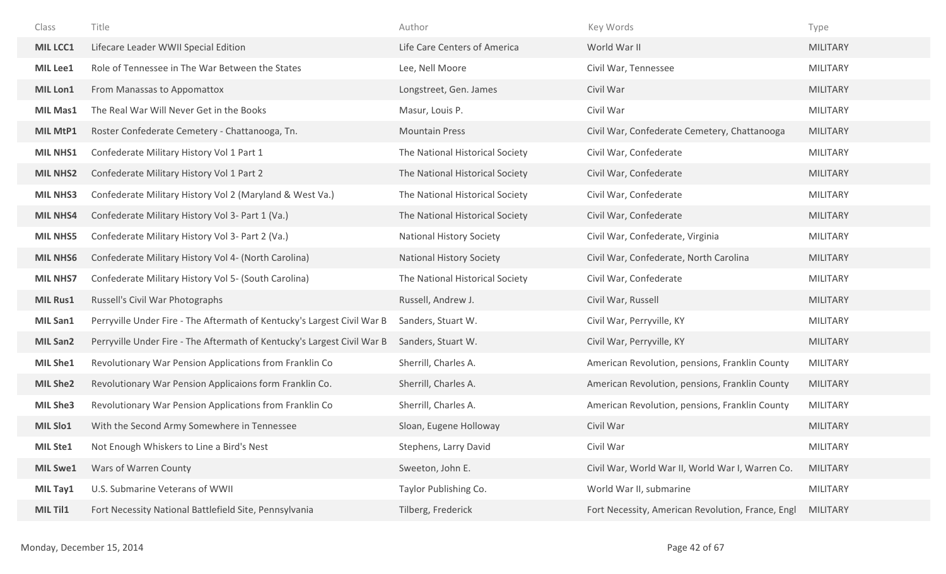| Class           | Title                                                                   | Author                          | Key Words                                         | Type            |
|-----------------|-------------------------------------------------------------------------|---------------------------------|---------------------------------------------------|-----------------|
| MIL LCC1        | Lifecare Leader WWII Special Edition                                    | Life Care Centers of America    | World War II                                      | <b>MILITARY</b> |
| MIL Lee1        | Role of Tennessee in The War Between the States                         | Lee, Nell Moore                 | Civil War, Tennessee                              | <b>MILITARY</b> |
| MIL Lon1        | From Manassas to Appomattox                                             | Longstreet, Gen. James          | Civil War                                         | <b>MILITARY</b> |
| <b>MIL Mas1</b> | The Real War Will Never Get in the Books                                | Masur, Louis P.                 | Civil War                                         | <b>MILITARY</b> |
| MIL MtP1        | Roster Confederate Cemetery - Chattanooga, Tn.                          | <b>Mountain Press</b>           | Civil War, Confederate Cemetery, Chattanooga      | <b>MILITARY</b> |
| <b>MIL NHS1</b> | Confederate Military History Vol 1 Part 1                               | The National Historical Society | Civil War, Confederate                            | <b>MILITARY</b> |
| <b>MIL NHS2</b> | Confederate Military History Vol 1 Part 2                               | The National Historical Society | Civil War, Confederate                            | <b>MILITARY</b> |
| <b>MIL NHS3</b> | Confederate Military History Vol 2 (Maryland & West Va.)                | The National Historical Society | Civil War, Confederate                            | <b>MILITARY</b> |
| <b>MIL NHS4</b> | Confederate Military History Vol 3- Part 1 (Va.)                        | The National Historical Society | Civil War, Confederate                            | <b>MILITARY</b> |
| <b>MIL NHS5</b> | Confederate Military History Vol 3- Part 2 (Va.)                        | <b>National History Society</b> | Civil War, Confederate, Virginia                  | <b>MILITARY</b> |
| <b>MIL NHS6</b> | Confederate Military History Vol 4- (North Carolina)                    | <b>National History Society</b> | Civil War, Confederate, North Carolina            | <b>MILITARY</b> |
| <b>MIL NHS7</b> | Confederate Military History Vol 5- (South Carolina)                    | The National Historical Society | Civil War, Confederate                            | <b>MILITARY</b> |
| <b>MIL Rus1</b> | Russell's Civil War Photographs                                         | Russell, Andrew J.              | Civil War, Russell                                | <b>MILITARY</b> |
| MIL San1        | Perryville Under Fire - The Aftermath of Kentucky's Largest Civil War B | Sanders, Stuart W.              | Civil War, Perryville, KY                         | <b>MILITARY</b> |
| <b>MIL San2</b> | Perryville Under Fire - The Aftermath of Kentucky's Largest Civil War B | Sanders, Stuart W.              | Civil War, Perryville, KY                         | <b>MILITARY</b> |
| MIL She1        | Revolutionary War Pension Applications from Franklin Co                 | Sherrill, Charles A.            | American Revolution, pensions, Franklin County    | <b>MILITARY</b> |
| <b>MIL She2</b> | Revolutionary War Pension Applicaions form Franklin Co.                 | Sherrill, Charles A.            | American Revolution, pensions, Franklin County    | <b>MILITARY</b> |
| <b>MIL She3</b> | Revolutionary War Pension Applications from Franklin Co                 | Sherrill, Charles A.            | American Revolution, pensions, Franklin County    | <b>MILITARY</b> |
| MIL Slo1        | With the Second Army Somewhere in Tennessee                             | Sloan, Eugene Holloway          | Civil War                                         | <b>MILITARY</b> |
| <b>MIL Ste1</b> | Not Enough Whiskers to Line a Bird's Nest                               | Stephens, Larry David           | Civil War                                         | <b>MILITARY</b> |
| <b>MIL Swe1</b> | Wars of Warren County                                                   | Sweeton, John E.                | Civil War, World War II, World War I, Warren Co.  | <b>MILITARY</b> |
| MIL Tay1        | U.S. Submarine Veterans of WWII                                         | Taylor Publishing Co.           | World War II, submarine                           | <b>MILITARY</b> |
| MIL Til1        | Fort Necessity National Battlefield Site, Pennsylvania                  | Tilberg, Frederick              | Fort Necessity, American Revolution, France, Engl | <b>MILITARY</b> |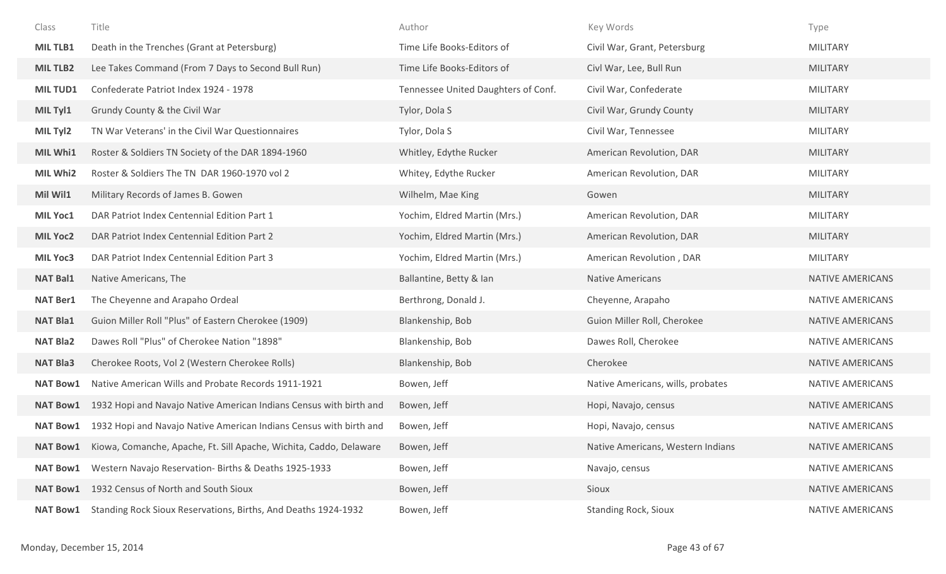| Class           | Title                                                              | Author                              | Key Words                         | Type                    |
|-----------------|--------------------------------------------------------------------|-------------------------------------|-----------------------------------|-------------------------|
| MIL TLB1        | Death in the Trenches (Grant at Petersburg)                        | Time Life Books-Editors of          | Civil War, Grant, Petersburg      | <b>MILITARY</b>         |
| <b>MILTLB2</b>  | Lee Takes Command (From 7 Days to Second Bull Run)                 | Time Life Books-Editors of          | Civl War, Lee, Bull Run           | <b>MILITARY</b>         |
| <b>MILTUD1</b>  | Confederate Patriot Index 1924 - 1978                              | Tennessee United Daughters of Conf. | Civil War, Confederate            | <b>MILITARY</b>         |
| MIL Tyl1        | Grundy County & the Civil War                                      | Tylor, Dola S                       | Civil War, Grundy County          | <b>MILITARY</b>         |
| MIL Tyl2        | TN War Veterans' in the Civil War Questionnaires                   | Tylor, Dola S                       | Civil War, Tennessee              | <b>MILITARY</b>         |
| MIL Whi1        | Roster & Soldiers TN Society of the DAR 1894-1960                  | Whitley, Edythe Rucker              | American Revolution, DAR          | <b>MILITARY</b>         |
| MIL Whi2        | Roster & Soldiers The TN DAR 1960-1970 vol 2                       | Whitey, Edythe Rucker               | American Revolution, DAR          | <b>MILITARY</b>         |
| Mil Wil1        | Military Records of James B. Gowen                                 | Wilhelm, Mae King                   | Gowen                             | <b>MILITARY</b>         |
| MIL Yoc1        | DAR Patriot Index Centennial Edition Part 1                        | Yochim, Eldred Martin (Mrs.)        | American Revolution, DAR          | <b>MILITARY</b>         |
| <b>MIL Yoc2</b> | DAR Patriot Index Centennial Edition Part 2                        | Yochim, Eldred Martin (Mrs.)        | American Revolution, DAR          | <b>MILITARY</b>         |
| MIL Yoc3        | DAR Patriot Index Centennial Edition Part 3                        | Yochim, Eldred Martin (Mrs.)        | American Revolution, DAR          | <b>MILITARY</b>         |
| <b>NAT Bal1</b> | Native Americans, The                                              | Ballantine, Betty & Ian             | <b>Native Americans</b>           | <b>NATIVE AMERICANS</b> |
| <b>NAT Ber1</b> | The Cheyenne and Arapaho Ordeal                                    | Berthrong, Donald J.                | Cheyenne, Arapaho                 | NATIVE AMERICANS        |
| <b>NAT Bla1</b> | Guion Miller Roll "Plus" of Eastern Cherokee (1909)                | Blankenship, Bob                    | Guion Miller Roll, Cherokee       | NATIVE AMERICANS        |
| <b>NAT Bla2</b> | Dawes Roll "Plus" of Cherokee Nation "1898"                        | Blankenship, Bob                    | Dawes Roll, Cherokee              | NATIVE AMERICANS        |
| <b>NAT Bla3</b> | Cherokee Roots, Vol 2 (Western Cherokee Rolls)                     | Blankenship, Bob                    | Cherokee                          | NATIVE AMERICANS        |
| <b>NAT Bow1</b> | Native American Wills and Probate Records 1911-1921                | Bowen, Jeff                         | Native Americans, wills, probates | NATIVE AMERICANS        |
| <b>NAT Bow1</b> | 1932 Hopi and Navajo Native American Indians Census with birth and | Bowen, Jeff                         | Hopi, Navajo, census              | NATIVE AMERICANS        |
| <b>NAT Bow1</b> | 1932 Hopi and Navajo Native American Indians Census with birth and | Bowen, Jeff                         | Hopi, Navajo, census              | <b>NATIVE AMERICANS</b> |
| <b>NAT Bow1</b> | Kiowa, Comanche, Apache, Ft. Sill Apache, Wichita, Caddo, Delaware | Bowen, Jeff                         | Native Americans, Western Indians | <b>NATIVE AMERICANS</b> |
| <b>NAT Bow1</b> | Western Navajo Reservation- Births & Deaths 1925-1933              | Bowen, Jeff                         | Navajo, census                    | NATIVE AMERICANS        |
| <b>NAT Bow1</b> | 1932 Census of North and South Sioux                               | Bowen, Jeff                         | Sioux                             | NATIVE AMERICANS        |
| <b>NAT Bow1</b> | Standing Rock Sioux Reservations, Births, And Deaths 1924-1932     | Bowen, Jeff                         | <b>Standing Rock, Sioux</b>       | NATIVE AMERICANS        |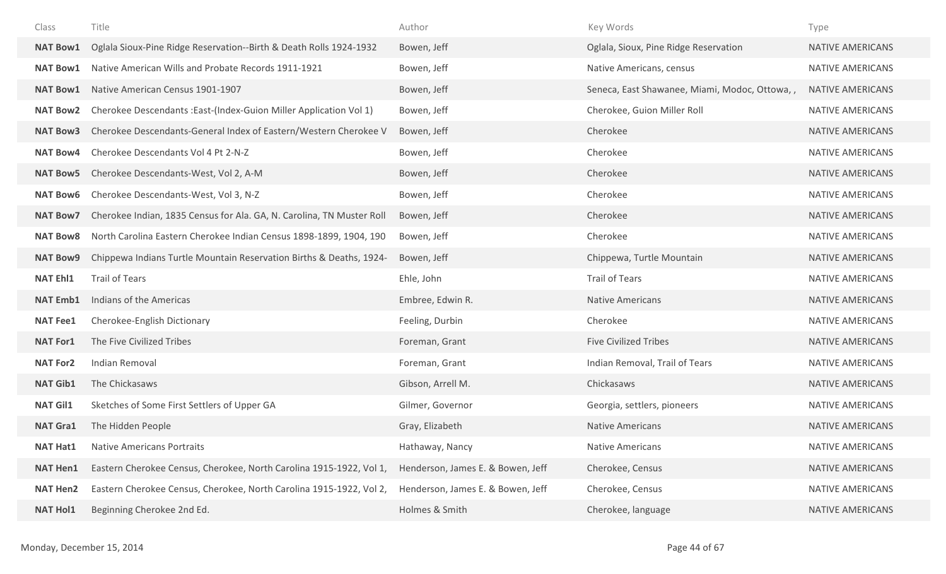| Class           | Title                                                                 | Author                            | Key Words                                     | Type                    |
|-----------------|-----------------------------------------------------------------------|-----------------------------------|-----------------------------------------------|-------------------------|
| <b>NAT Bow1</b> | Oglala Sioux-Pine Ridge Reservation--Birth & Death Rolls 1924-1932    | Bowen, Jeff                       | Oglala, Sioux, Pine Ridge Reservation         | <b>NATIVE AMERICANS</b> |
| <b>NAT Bow1</b> | Native American Wills and Probate Records 1911-1921                   | Bowen, Jeff                       | Native Americans, census                      | <b>NATIVE AMERICANS</b> |
| <b>NAT Bow1</b> | Native American Census 1901-1907                                      | Bowen, Jeff                       | Seneca, East Shawanee, Miami, Modoc, Ottowa,, | <b>NATIVE AMERICANS</b> |
| <b>NAT Bow2</b> | Cherokee Descendants: East-(Index-Guion Miller Application Vol 1)     | Bowen, Jeff                       | Cherokee, Guion Miller Roll                   | <b>NATIVE AMERICANS</b> |
| <b>NAT Bow3</b> | Cherokee Descendants-General Index of Eastern/Western Cherokee V      | Bowen, Jeff                       | Cherokee                                      | <b>NATIVE AMERICANS</b> |
| <b>NAT Bow4</b> | Cherokee Descendants Vol 4 Pt 2-N-Z                                   | Bowen, Jeff                       | Cherokee                                      | <b>NATIVE AMERICANS</b> |
| <b>NAT Bow5</b> | Cherokee Descendants-West, Vol 2, A-M                                 | Bowen, Jeff                       | Cherokee                                      | <b>NATIVE AMERICANS</b> |
| <b>NAT Bow6</b> | Cherokee Descendants-West, Vol 3, N-Z                                 | Bowen, Jeff                       | Cherokee                                      | <b>NATIVE AMERICANS</b> |
| <b>NAT Bow7</b> | Cherokee Indian, 1835 Census for Ala. GA, N. Carolina, TN Muster Roll | Bowen, Jeff                       | Cherokee                                      | <b>NATIVE AMERICANS</b> |
| <b>NAT Bow8</b> | North Carolina Eastern Cherokee Indian Census 1898-1899, 1904, 190    | Bowen, Jeff                       | Cherokee                                      | <b>NATIVE AMERICANS</b> |
| <b>NAT Bow9</b> | Chippewa Indians Turtle Mountain Reservation Births & Deaths, 1924-   | Bowen, Jeff                       | Chippewa, Turtle Mountain                     | <b>NATIVE AMERICANS</b> |
| <b>NAT Ehl1</b> | <b>Trail of Tears</b>                                                 | Ehle, John                        | <b>Trail of Tears</b>                         | <b>NATIVE AMERICANS</b> |
| <b>NAT Emb1</b> | Indians of the Americas                                               | Embree, Edwin R.                  | <b>Native Americans</b>                       | <b>NATIVE AMERICANS</b> |
| <b>NAT Fee1</b> | Cherokee-English Dictionary                                           | Feeling, Durbin                   | Cherokee                                      | <b>NATIVE AMERICANS</b> |
| <b>NAT For1</b> | The Five Civilized Tribes                                             | Foreman, Grant                    | <b>Five Civilized Tribes</b>                  | <b>NATIVE AMERICANS</b> |
| <b>NAT For2</b> | Indian Removal                                                        | Foreman, Grant                    | Indian Removal, Trail of Tears                | <b>NATIVE AMERICANS</b> |
| <b>NAT Gib1</b> |                                                                       |                                   |                                               |                         |
|                 | The Chickasaws                                                        | Gibson, Arrell M.                 | Chickasaws                                    | <b>NATIVE AMERICANS</b> |
| <b>NAT Gil1</b> | Sketches of Some First Settlers of Upper GA                           | Gilmer, Governor                  | Georgia, settlers, pioneers                   | <b>NATIVE AMERICANS</b> |
| <b>NAT Gra1</b> | The Hidden People                                                     | Gray, Elizabeth                   | <b>Native Americans</b>                       | <b>NATIVE AMERICANS</b> |
| <b>NAT Hat1</b> | <b>Native Americans Portraits</b>                                     | Hathaway, Nancy                   | <b>Native Americans</b>                       | <b>NATIVE AMERICANS</b> |
| <b>NAT Hen1</b> | Eastern Cherokee Census, Cherokee, North Carolina 1915-1922, Vol 1,   | Henderson, James E. & Bowen, Jeff | Cherokee, Census                              | <b>NATIVE AMERICANS</b> |
| <b>NAT Hen2</b> | Eastern Cherokee Census, Cherokee, North Carolina 1915-1922, Vol 2,   | Henderson, James E. & Bowen, Jeff | Cherokee, Census                              | <b>NATIVE AMERICANS</b> |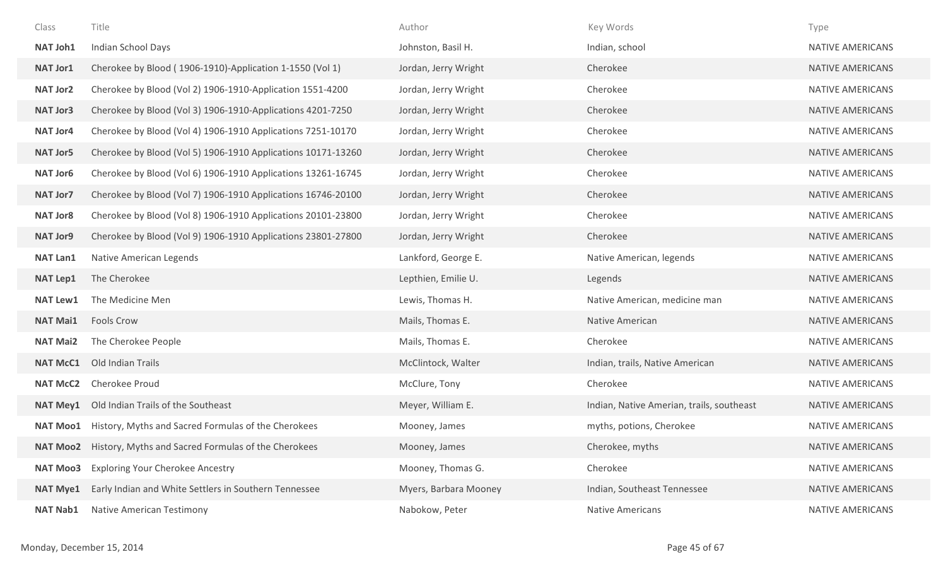| Class           | Title                                                               | Author                | Key Words                                 | Type                    |
|-----------------|---------------------------------------------------------------------|-----------------------|-------------------------------------------|-------------------------|
| NAT Joh1        | Indian School Days                                                  | Johnston, Basil H.    | Indian, school                            | <b>NATIVE AMERICANS</b> |
| NAT Jor1        | Cherokee by Blood (1906-1910)-Application 1-1550 (Vol 1)            | Jordan, Jerry Wright  | Cherokee                                  | NATIVE AMERICANS        |
| <b>NAT Jor2</b> | Cherokee by Blood (Vol 2) 1906-1910-Application 1551-4200           | Jordan, Jerry Wright  | Cherokee                                  | <b>NATIVE AMERICANS</b> |
| <b>NAT Jor3</b> | Cherokee by Blood (Vol 3) 1906-1910-Applications 4201-7250          | Jordan, Jerry Wright  | Cherokee                                  | <b>NATIVE AMERICANS</b> |
| <b>NAT Jor4</b> | Cherokee by Blood (Vol 4) 1906-1910 Applications 7251-10170         | Jordan, Jerry Wright  | Cherokee                                  | NATIVE AMERICANS        |
| <b>NAT Jor5</b> | Cherokee by Blood (Vol 5) 1906-1910 Applications 10171-13260        | Jordan, Jerry Wright  | Cherokee                                  | NATIVE AMERICANS        |
| <b>NAT Jor6</b> | Cherokee by Blood (Vol 6) 1906-1910 Applications 13261-16745        | Jordan, Jerry Wright  | Cherokee                                  | <b>NATIVE AMERICANS</b> |
| <b>NAT Jor7</b> | Cherokee by Blood (Vol 7) 1906-1910 Applications 16746-20100        | Jordan, Jerry Wright  | Cherokee                                  | NATIVE AMERICANS        |
| <b>NAT Jor8</b> | Cherokee by Blood (Vol 8) 1906-1910 Applications 20101-23800        | Jordan, Jerry Wright  | Cherokee                                  | <b>NATIVE AMERICANS</b> |
| <b>NAT Jor9</b> | Cherokee by Blood (Vol 9) 1906-1910 Applications 23801-27800        | Jordan, Jerry Wright  | Cherokee                                  | <b>NATIVE AMERICANS</b> |
| <b>NAT Lan1</b> | Native American Legends                                             | Lankford, George E.   | Native American, legends                  | <b>NATIVE AMERICANS</b> |
| <b>NAT Lep1</b> | The Cherokee                                                        | Lepthien, Emilie U.   | Legends                                   | <b>NATIVE AMERICANS</b> |
| <b>NAT Lew1</b> | The Medicine Men                                                    | Lewis, Thomas H.      | Native American, medicine man             | <b>NATIVE AMERICANS</b> |
| <b>NAT Mai1</b> | Fools Crow                                                          | Mails, Thomas E.      | Native American                           | <b>NATIVE AMERICANS</b> |
| <b>NAT Mai2</b> | The Cherokee People                                                 | Mails, Thomas E.      | Cherokee                                  | <b>NATIVE AMERICANS</b> |
| <b>NAT McC1</b> | Old Indian Trails                                                   | McClintock, Walter    | Indian, trails, Native American           | <b>NATIVE AMERICANS</b> |
| <b>NAT McC2</b> | Cherokee Proud                                                      | McClure, Tony         | Cherokee                                  | <b>NATIVE AMERICANS</b> |
| <b>NAT Mey1</b> | Old Indian Trails of the Southeast                                  | Meyer, William E.     | Indian, Native Amerian, trails, southeast | <b>NATIVE AMERICANS</b> |
| <b>NAT Moo1</b> | History, Myths and Sacred Formulas of the Cherokees                 | Mooney, James         | myths, potions, Cherokee                  | <b>NATIVE AMERICANS</b> |
|                 | <b>NAT Moo2</b> History, Myths and Sacred Formulas of the Cherokees | Mooney, James         | Cherokee, myths                           | <b>NATIVE AMERICANS</b> |
| <b>NAT Moo3</b> | <b>Exploring Your Cherokee Ancestry</b>                             | Mooney, Thomas G.     | Cherokee                                  | <b>NATIVE AMERICANS</b> |
| <b>NAT Mye1</b> | Early Indian and White Settlers in Southern Tennessee               | Myers, Barbara Mooney | Indian, Southeast Tennessee               | <b>NATIVE AMERICANS</b> |
| <b>NAT Nab1</b> | Native American Testimony                                           | Nabokow, Peter        | <b>Native Americans</b>                   | <b>NATIVE AMERICANS</b> |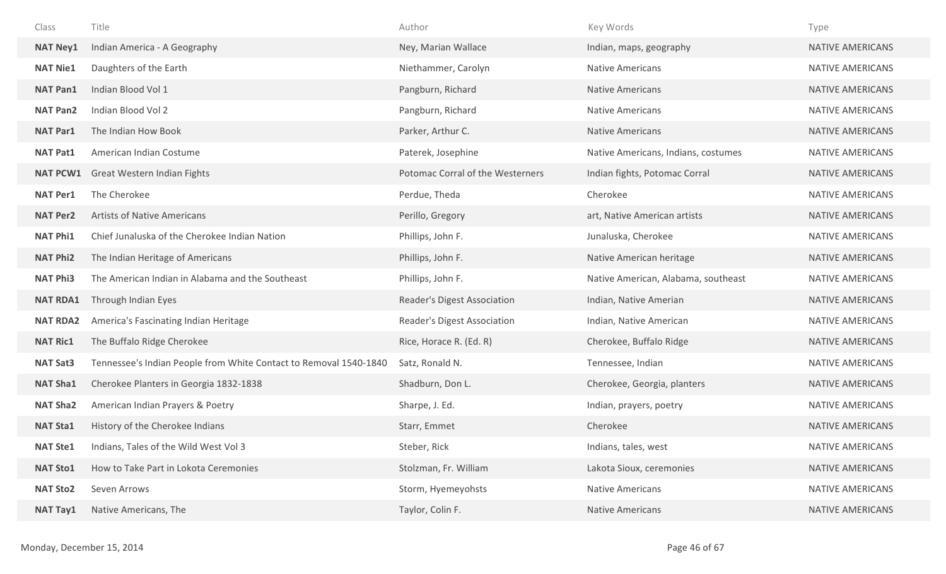| Class           | Title                                                             | Author                           | Key Words                           | Type                    |
|-----------------|-------------------------------------------------------------------|----------------------------------|-------------------------------------|-------------------------|
| <b>NAT Ney1</b> | Indian America - A Geography                                      | Ney, Marian Wallace              | Indian, maps, geography             | NATIVE AMERICANS        |
| <b>NAT Nie1</b> | Daughters of the Earth                                            | Niethammer, Carolyn              | <b>Native Americans</b>             | <b>NATIVE AMERICANS</b> |
| <b>NAT Pan1</b> | Indian Blood Vol 1                                                | Pangburn, Richard                | <b>Native Americans</b>             | <b>NATIVE AMERICANS</b> |
| <b>NAT Pan2</b> | Indian Blood Vol 2                                                | Pangburn, Richard                | <b>Native Americans</b>             | NATIVE AMERICANS        |
| <b>NAT Par1</b> | The Indian How Book                                               | Parker, Arthur C.                | <b>Native Americans</b>             | <b>NATIVE AMERICANS</b> |
| <b>NAT Pat1</b> | American Indian Costume                                           | Paterek, Josephine               | Native Americans, Indians, costumes | NATIVE AMERICANS        |
| <b>NAT PCW1</b> | Great Western Indian Fights                                       | Potomac Corral of the Westerners | Indian fights, Potomac Corral       | NATIVE AMERICANS        |
| <b>NAT Per1</b> | The Cherokee                                                      | Perdue, Theda                    | Cherokee                            | NATIVE AMERICANS        |
| <b>NAT Per2</b> | <b>Artists of Native Americans</b>                                | Perillo, Gregory                 | art, Native American artists        | NATIVE AMERICANS        |
| <b>NAT Phi1</b> | Chief Junaluska of the Cherokee Indian Nation                     | Phillips, John F.                | Junaluska, Cherokee                 | NATIVE AMERICANS        |
| <b>NAT Phi2</b> | The Indian Heritage of Americans                                  | Phillips, John F.                | Native American heritage            | NATIVE AMERICANS        |
| <b>NAT Phi3</b> | The American Indian in Alabama and the Southeast                  | Phillips, John F.                | Native American, Alabama, southeast | NATIVE AMERICANS        |
| <b>NAT RDA1</b> | Through Indian Eyes                                               | Reader's Digest Association      | Indian, Native Amerian              | NATIVE AMERICANS        |
| <b>NAT RDA2</b> | America's Fascinating Indian Heritage                             | Reader's Digest Association      | Indian, Native American             | NATIVE AMERICANS        |
| <b>NAT Ric1</b> | The Buffalo Ridge Cherokee                                        | Rice, Horace R. (Ed. R)          | Cherokee, Buffalo Ridge             | NATIVE AMERICANS        |
| <b>NAT Sat3</b> | Tennessee's Indian People from White Contact to Removal 1540-1840 | Satz, Ronald N.                  | Tennessee, Indian                   | NATIVE AMERICANS        |
| <b>NAT Sha1</b> | Cherokee Planters in Georgia 1832-1838                            | Shadburn, Don L.                 | Cherokee, Georgia, planters         | NATIVE AMERICANS        |
| <b>NAT Sha2</b> | American Indian Prayers & Poetry                                  | Sharpe, J. Ed.                   | Indian, prayers, poetry             | NATIVE AMERICANS        |
| <b>NAT Sta1</b> | History of the Cherokee Indians                                   | Starr, Emmet                     | Cherokee                            | <b>NATIVE AMERICANS</b> |
| <b>NAT Ste1</b> | Indians, Tales of the Wild West Vol 3                             | Steber, Rick                     | Indians, tales, west                | NATIVE AMERICANS        |
| <b>NAT Sto1</b> | How to Take Part in Lokota Ceremonies                             | Stolzman, Fr. William            | Lakota Sioux, ceremonies            | NATIVE AMERICANS        |
| <b>NAT Sto2</b> | Seven Arrows                                                      | Storm, Hyemeyohsts               | <b>Native Americans</b>             | NATIVE AMERICANS        |
| <b>NAT Tay1</b> | Native Americans, The                                             | Taylor, Colin F.                 | <b>Native Americans</b>             | NATIVE AMERICANS        |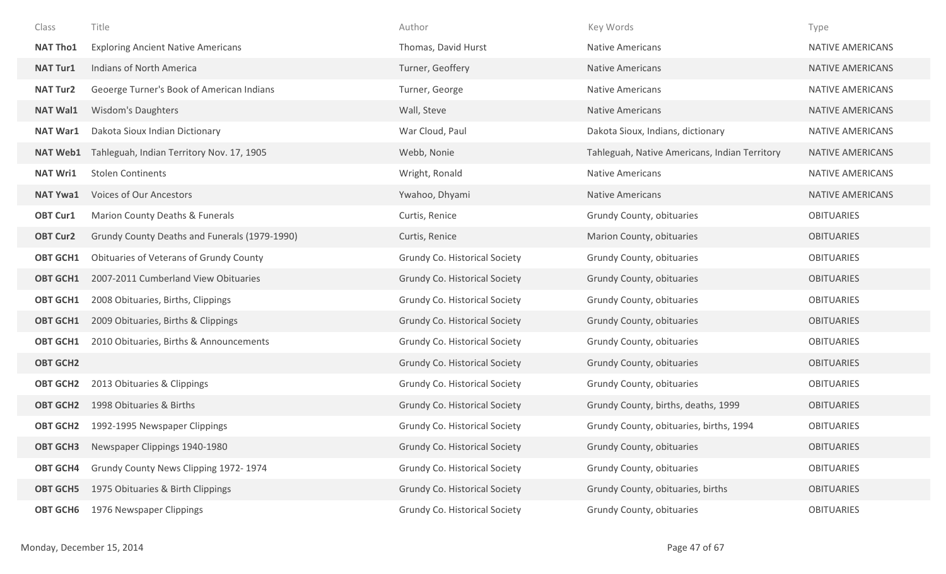| Class           | Title                                         | Author                               | Key Words                                     | Type                    |
|-----------------|-----------------------------------------------|--------------------------------------|-----------------------------------------------|-------------------------|
| <b>NAT Tho1</b> | <b>Exploring Ancient Native Americans</b>     | Thomas, David Hurst                  | <b>Native Americans</b>                       | <b>NATIVE AMERICANS</b> |
| <b>NAT Tur1</b> | <b>Indians of North America</b>               | Turner, Geoffery                     | <b>Native Americans</b>                       | <b>NATIVE AMERICANS</b> |
| <b>NAT Tur2</b> | Geoerge Turner's Book of American Indians     | Turner, George                       | <b>Native Americans</b>                       | NATIVE AMERICANS        |
| <b>NAT Wal1</b> | <b>Wisdom's Daughters</b>                     | Wall, Steve                          | <b>Native Americans</b>                       | <b>NATIVE AMERICANS</b> |
| <b>NAT War1</b> | Dakota Sioux Indian Dictionary                | War Cloud, Paul                      | Dakota Sioux, Indians, dictionary             | NATIVE AMERICANS        |
| <b>NAT Web1</b> | Tahleguah, Indian Territory Nov. 17, 1905     | Webb, Nonie                          | Tahleguah, Native Americans, Indian Territory | NATIVE AMERICANS        |
| <b>NAT Wri1</b> | <b>Stolen Continents</b>                      | Wright, Ronald                       | Native Americans                              | NATIVE AMERICANS        |
| <b>NAT Ywa1</b> | Voices of Our Ancestors                       | Ywahoo, Dhyami                       | <b>Native Americans</b>                       | NATIVE AMERICANS        |
| <b>OBT Cur1</b> | Marion County Deaths & Funerals               | Curtis, Renice                       | Grundy County, obituaries                     | <b>OBITUARIES</b>       |
| <b>OBT Cur2</b> | Grundy County Deaths and Funerals (1979-1990) | Curtis, Renice                       | Marion County, obituaries                     | <b>OBITUARIES</b>       |
| <b>OBT GCH1</b> | Obituaries of Veterans of Grundy County       | Grundy Co. Historical Society        | Grundy County, obituaries                     | <b>OBITUARIES</b>       |
| <b>OBT GCH1</b> | 2007-2011 Cumberland View Obituaries          | Grundy Co. Historical Society        | Grundy County, obituaries                     | <b>OBITUARIES</b>       |
| <b>OBT GCH1</b> | 2008 Obituaries, Births, Clippings            | Grundy Co. Historical Society        | Grundy County, obituaries                     | <b>OBITUARIES</b>       |
| <b>OBT GCH1</b> | 2009 Obituaries, Births & Clippings           | Grundy Co. Historical Society        | Grundy County, obituaries                     | <b>OBITUARIES</b>       |
| <b>OBT GCH1</b> | 2010 Obituaries, Births & Announcements       | Grundy Co. Historical Society        | Grundy County, obituaries                     | <b>OBITUARIES</b>       |
| <b>OBT GCH2</b> |                                               | <b>Grundy Co. Historical Society</b> | Grundy County, obituaries                     | <b>OBITUARIES</b>       |
| <b>OBT GCH2</b> | 2013 Obituaries & Clippings                   | Grundy Co. Historical Society        | Grundy County, obituaries                     | <b>OBITUARIES</b>       |
| <b>OBT GCH2</b> | 1998 Obituaries & Births                      | <b>Grundy Co. Historical Society</b> | Grundy County, births, deaths, 1999           | <b>OBITUARIES</b>       |
| <b>OBT GCH2</b> | 1992-1995 Newspaper Clippings                 | Grundy Co. Historical Society        | Grundy County, obituaries, births, 1994       | <b>OBITUARIES</b>       |
| <b>OBT GCH3</b> | Newspaper Clippings 1940-1980                 | Grundy Co. Historical Society        | Grundy County, obituaries                     | <b>OBITUARIES</b>       |
| <b>OBT GCH4</b> | Grundy County News Clipping 1972-1974         | Grundy Co. Historical Society        | Grundy County, obituaries                     | <b>OBITUARIES</b>       |
| <b>OBT GCH5</b> | 1975 Obituaries & Birth Clippings             | Grundy Co. Historical Society        | Grundy County, obituaries, births             | <b>OBITUARIES</b>       |
| <b>OBT GCH6</b> | 1976 Newspaper Clippings                      | Grundy Co. Historical Society        | Grundy County, obituaries                     | <b>OBITUARIES</b>       |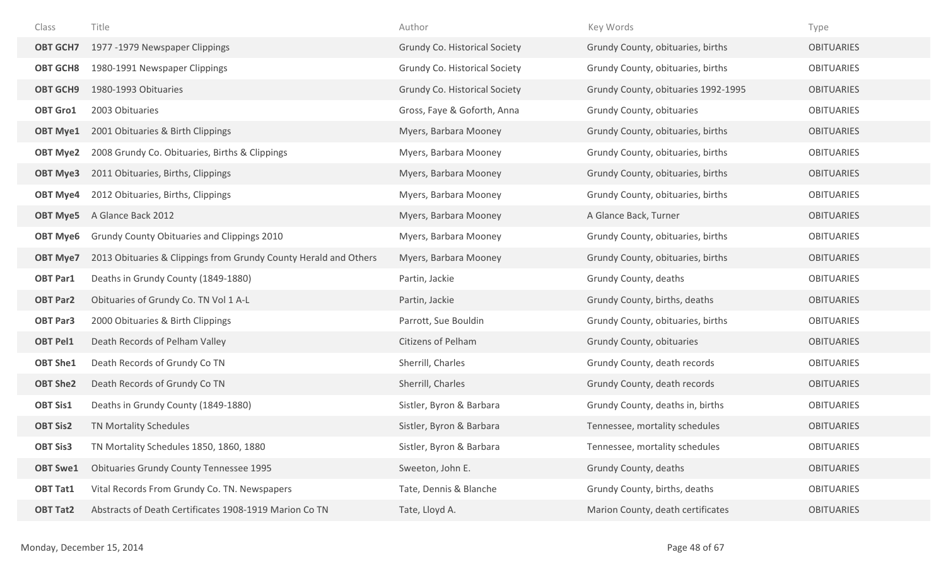| Class           | Title                                                            | Author                               | Key Words                           | Type              |
|-----------------|------------------------------------------------------------------|--------------------------------------|-------------------------------------|-------------------|
| <b>OBT GCH7</b> | 1977 -1979 Newspaper Clippings                                   | <b>Grundy Co. Historical Society</b> | Grundy County, obituaries, births   | <b>OBITUARIES</b> |
| <b>OBT GCH8</b> | 1980-1991 Newspaper Clippings                                    | Grundy Co. Historical Society        | Grundy County, obituaries, births   | <b>OBITUARIES</b> |
| <b>OBT GCH9</b> | 1980-1993 Obituaries                                             | Grundy Co. Historical Society        | Grundy County, obituaries 1992-1995 | <b>OBITUARIES</b> |
| <b>OBT Gro1</b> | 2003 Obituaries                                                  | Gross, Faye & Goforth, Anna          | Grundy County, obituaries           | <b>OBITUARIES</b> |
| <b>OBT Mye1</b> | 2001 Obituaries & Birth Clippings                                | Myers, Barbara Mooney                | Grundy County, obituaries, births   | <b>OBITUARIES</b> |
| <b>OBT Mye2</b> | 2008 Grundy Co. Obituaries, Births & Clippings                   | Myers, Barbara Mooney                | Grundy County, obituaries, births   | <b>OBITUARIES</b> |
| <b>OBT Mye3</b> | 2011 Obituaries, Births, Clippings                               | Myers, Barbara Mooney                | Grundy County, obituaries, births   | <b>OBITUARIES</b> |
| <b>OBT Mye4</b> | 2012 Obituaries, Births, Clippings                               | Myers, Barbara Mooney                | Grundy County, obituaries, births   | <b>OBITUARIES</b> |
| <b>OBT Mye5</b> | A Glance Back 2012                                               | Myers, Barbara Mooney                | A Glance Back, Turner               | <b>OBITUARIES</b> |
| <b>OBT Mye6</b> | Grundy County Obituaries and Clippings 2010                      | Myers, Barbara Mooney                | Grundy County, obituaries, births   | <b>OBITUARIES</b> |
| <b>OBT Mye7</b> | 2013 Obituaries & Clippings from Grundy County Herald and Others | Myers, Barbara Mooney                | Grundy County, obituaries, births   | <b>OBITUARIES</b> |
| <b>OBT Par1</b> | Deaths in Grundy County (1849-1880)                              | Partin, Jackie                       | Grundy County, deaths               | <b>OBITUARIES</b> |
| <b>OBT Par2</b> | Obituaries of Grundy Co. TN Vol 1 A-L                            | Partin, Jackie                       | Grundy County, births, deaths       | <b>OBITUARIES</b> |
| <b>OBT Par3</b> | 2000 Obituaries & Birth Clippings                                | Parrott, Sue Bouldin                 | Grundy County, obituaries, births   | <b>OBITUARIES</b> |
| <b>OBT Pel1</b> | Death Records of Pelham Valley                                   | <b>Citizens of Pelham</b>            | Grundy County, obituaries           | <b>OBITUARIES</b> |
| <b>OBT She1</b> | Death Records of Grundy Co TN                                    | Sherrill, Charles                    | Grundy County, death records        | <b>OBITUARIES</b> |
| <b>OBT She2</b> | Death Records of Grundy Co TN                                    | Sherrill, Charles                    | Grundy County, death records        | <b>OBITUARIES</b> |
| <b>OBT Sis1</b> | Deaths in Grundy County (1849-1880)                              | Sistler, Byron & Barbara             | Grundy County, deaths in, births    | <b>OBITUARIES</b> |
| <b>OBT Sis2</b> | TN Mortality Schedules                                           | Sistler, Byron & Barbara             | Tennessee, mortality schedules      | <b>OBITUARIES</b> |
| <b>OBT Sis3</b> | TN Mortality Schedules 1850, 1860, 1880                          | Sistler, Byron & Barbara             | Tennessee, mortality schedules      | <b>OBITUARIES</b> |
| <b>OBT Swe1</b> | <b>Obituaries Grundy County Tennessee 1995</b>                   | Sweeton, John E.                     | Grundy County, deaths               | <b>OBITUARIES</b> |
| <b>OBT Tat1</b> | Vital Records From Grundy Co. TN. Newspapers                     | Tate, Dennis & Blanche               | Grundy County, births, deaths       | <b>OBITUARIES</b> |
| <b>OBT Tat2</b> | Abstracts of Death Certificates 1908-1919 Marion Co TN           | Tate, Lloyd A.                       | Marion County, death certificates   | <b>OBITUARIES</b> |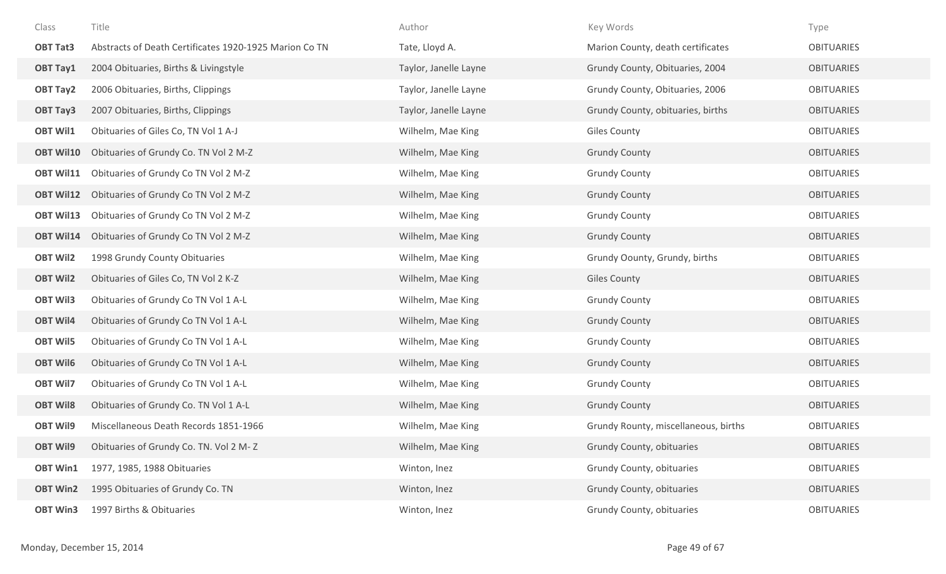| Class            | Title                                                  | Author                | Key Words                            | Type              |
|------------------|--------------------------------------------------------|-----------------------|--------------------------------------|-------------------|
| <b>OBT Tat3</b>  | Abstracts of Death Certificates 1920-1925 Marion Co TN | Tate, Lloyd A.        | Marion County, death certificates    | <b>OBITUARIES</b> |
| <b>OBT Tay1</b>  | 2004 Obituaries, Births & Livingstyle                  | Taylor, Janelle Layne | Grundy County, Obituaries, 2004      | <b>OBITUARIES</b> |
| <b>OBT Tay2</b>  | 2006 Obituaries, Births, Clippings                     | Taylor, Janelle Layne | Grundy County, Obituaries, 2006      | <b>OBITUARIES</b> |
| <b>OBT Tay3</b>  | 2007 Obituaries, Births, Clippings                     | Taylor, Janelle Layne | Grundy County, obituaries, births    | <b>OBITUARIES</b> |
| <b>OBT Wil1</b>  | Obituaries of Giles Co, TN Vol 1 A-J                   | Wilhelm, Mae King     | <b>Giles County</b>                  | <b>OBITUARIES</b> |
| <b>OBT Wil10</b> | Obituaries of Grundy Co. TN Vol 2 M-Z                  | Wilhelm, Mae King     | <b>Grundy County</b>                 | <b>OBITUARIES</b> |
| <b>OBT Wil11</b> | Obituaries of Grundy Co TN Vol 2 M-Z                   | Wilhelm, Mae King     | <b>Grundy County</b>                 | <b>OBITUARIES</b> |
| <b>OBT Wil12</b> | Obituaries of Grundy Co TN Vol 2 M-Z                   | Wilhelm, Mae King     | <b>Grundy County</b>                 | <b>OBITUARIES</b> |
| <b>OBT Wil13</b> | Obituaries of Grundy Co TN Vol 2 M-Z                   | Wilhelm, Mae King     | <b>Grundy County</b>                 | <b>OBITUARIES</b> |
| <b>OBT Wil14</b> | Obituaries of Grundy Co TN Vol 2 M-Z                   | Wilhelm, Mae King     | <b>Grundy County</b>                 | <b>OBITUARIES</b> |
| <b>OBT Wil2</b>  | 1998 Grundy County Obituaries                          | Wilhelm, Mae King     | Grundy Oounty, Grundy, births        | <b>OBITUARIES</b> |
| <b>OBT Wil2</b>  | Obituaries of Giles Co, TN Vol 2 K-Z                   | Wilhelm, Mae King     | <b>Giles County</b>                  | <b>OBITUARIES</b> |
| <b>OBT Wil3</b>  | Obituaries of Grundy Co TN Vol 1 A-L                   | Wilhelm, Mae King     | <b>Grundy County</b>                 | <b>OBITUARIES</b> |
| <b>OBT Wil4</b>  | Obituaries of Grundy Co TN Vol 1 A-L                   | Wilhelm, Mae King     | <b>Grundy County</b>                 | <b>OBITUARIES</b> |
| <b>OBT Wil5</b>  | Obituaries of Grundy Co TN Vol 1 A-L                   | Wilhelm, Mae King     | <b>Grundy County</b>                 | <b>OBITUARIES</b> |
| <b>OBT Wil6</b>  | Obituaries of Grundy Co TN Vol 1 A-L                   | Wilhelm, Mae King     | <b>Grundy County</b>                 | <b>OBITUARIES</b> |
| <b>OBT Wil7</b>  | Obituaries of Grundy Co TN Vol 1 A-L                   | Wilhelm, Mae King     | <b>Grundy County</b>                 | <b>OBITUARIES</b> |
| <b>OBT Wil8</b>  | Obituaries of Grundy Co. TN Vol 1 A-L                  | Wilhelm, Mae King     | <b>Grundy County</b>                 | <b>OBITUARIES</b> |
| <b>OBT Wil9</b>  | Miscellaneous Death Records 1851-1966                  | Wilhelm, Mae King     | Grundy Rounty, miscellaneous, births | <b>OBITUARIES</b> |
| <b>OBT Wil9</b>  | Obituaries of Grundy Co. TN. Vol 2 M-Z                 | Wilhelm, Mae King     | Grundy County, obituaries            | <b>OBITUARIES</b> |
| <b>OBT Win1</b>  | 1977, 1985, 1988 Obituaries                            | Winton, Inez          | Grundy County, obituaries            | <b>OBITUARIES</b> |
| <b>OBT Win2</b>  | 1995 Obituaries of Grundy Co. TN                       | Winton, Inez          | Grundy County, obituaries            | <b>OBITUARIES</b> |
| <b>OBT Win3</b>  | 1997 Births & Obituaries                               | Winton, Inez          | Grundy County, obituaries            | <b>OBITUARIES</b> |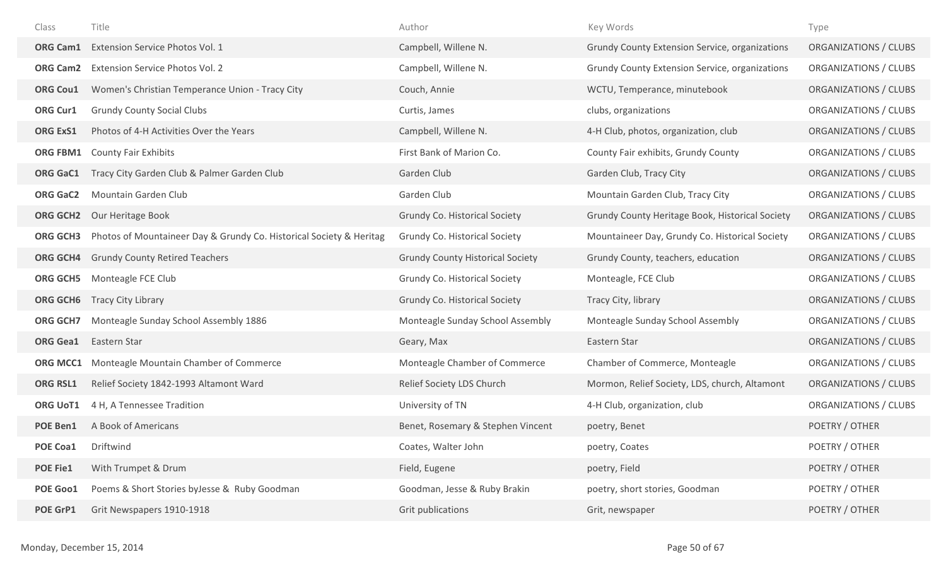| Class           | Title                                                               | Author                                  | Key Words                                       | Type                  |
|-----------------|---------------------------------------------------------------------|-----------------------------------------|-------------------------------------------------|-----------------------|
| <b>ORG Cam1</b> | Extension Service Photos Vol. 1                                     | Campbell, Willene N.                    | Grundy County Extension Service, organizations  | ORGANIZATIONS / CLUBS |
| <b>ORG Cam2</b> | Extension Service Photos Vol. 2                                     | Campbell, Willene N.                    | Grundy County Extension Service, organizations  | ORGANIZATIONS / CLUBS |
| <b>ORG Cou1</b> | Women's Christian Temperance Union - Tracy City                     | Couch, Annie                            | WCTU, Temperance, minutebook                    | ORGANIZATIONS / CLUBS |
| <b>ORG Cur1</b> | <b>Grundy County Social Clubs</b>                                   | Curtis, James                           | clubs, organizations                            | ORGANIZATIONS / CLUBS |
| <b>ORG ExS1</b> | Photos of 4-H Activities Over the Years                             | Campbell, Willene N.                    | 4-H Club, photos, organization, club            | ORGANIZATIONS / CLUBS |
| ORG FBM1        | <b>County Fair Exhibits</b>                                         | First Bank of Marion Co.                | County Fair exhibits, Grundy County             | ORGANIZATIONS / CLUBS |
| <b>ORG GaC1</b> | Tracy City Garden Club & Palmer Garden Club                         | Garden Club                             | Garden Club, Tracy City                         | ORGANIZATIONS / CLUBS |
| <b>ORG GaC2</b> | Mountain Garden Club                                                | Garden Club                             | Mountain Garden Club, Tracy City                | ORGANIZATIONS / CLUBS |
|                 | <b>ORG GCH2</b> Our Heritage Book                                   | <b>Grundy Co. Historical Society</b>    | Grundy County Heritage Book, Historical Society | ORGANIZATIONS / CLUBS |
| <b>ORG GCH3</b> | Photos of Mountaineer Day & Grundy Co. Historical Society & Heritag | Grundy Co. Historical Society           | Mountaineer Day, Grundy Co. Historical Society  | ORGANIZATIONS / CLUBS |
| <b>ORG GCH4</b> | <b>Grundy County Retired Teachers</b>                               | <b>Grundy County Historical Society</b> | Grundy County, teachers, education              | ORGANIZATIONS / CLUBS |
| <b>ORG GCH5</b> | Monteagle FCE Club                                                  | Grundy Co. Historical Society           | Monteagle, FCE Club                             | ORGANIZATIONS / CLUBS |
| ORG GCH6        | <b>Tracy City Library</b>                                           | Grundy Co. Historical Society           | Tracy City, library                             | ORGANIZATIONS / CLUBS |
| <b>ORG GCH7</b> | Monteagle Sunday School Assembly 1886                               | Monteagle Sunday School Assembly        | Monteagle Sunday School Assembly                | ORGANIZATIONS / CLUBS |
| <b>ORG Gea1</b> | Eastern Star                                                        | Geary, Max                              | Eastern Star                                    | ORGANIZATIONS / CLUBS |
| <b>ORG MCC1</b> | Monteagle Mountain Chamber of Commerce                              | Monteagle Chamber of Commerce           | Chamber of Commerce, Monteagle                  | ORGANIZATIONS / CLUBS |
| <b>ORG RSL1</b> | Relief Society 1842-1993 Altamont Ward                              | Relief Society LDS Church               | Mormon, Relief Society, LDS, church, Altamont   | ORGANIZATIONS / CLUBS |
| <b>ORG UoT1</b> | 4 H, A Tennessee Tradition                                          | University of TN                        | 4-H Club, organization, club                    | ORGANIZATIONS / CLUBS |
| <b>POE Ben1</b> | A Book of Americans                                                 | Benet, Rosemary & Stephen Vincent       | poetry, Benet                                   | POETRY / OTHER        |
| POE Coa1        | Driftwind                                                           | Coates, Walter John                     | poetry, Coates                                  | POETRY / OTHER        |
| <b>POE Fie1</b> | With Trumpet & Drum                                                 | Field, Eugene                           | poetry, Field                                   | POETRY / OTHER        |
| POE Goo1        | Poems & Short Stories byJesse & Ruby Goodman                        | Goodman, Jesse & Ruby Brakin            | poetry, short stories, Goodman                  | POETRY / OTHER        |
| POE GrP1        | Grit Newspapers 1910-1918                                           | Grit publications                       | Grit, newspaper                                 | POETRY / OTHER        |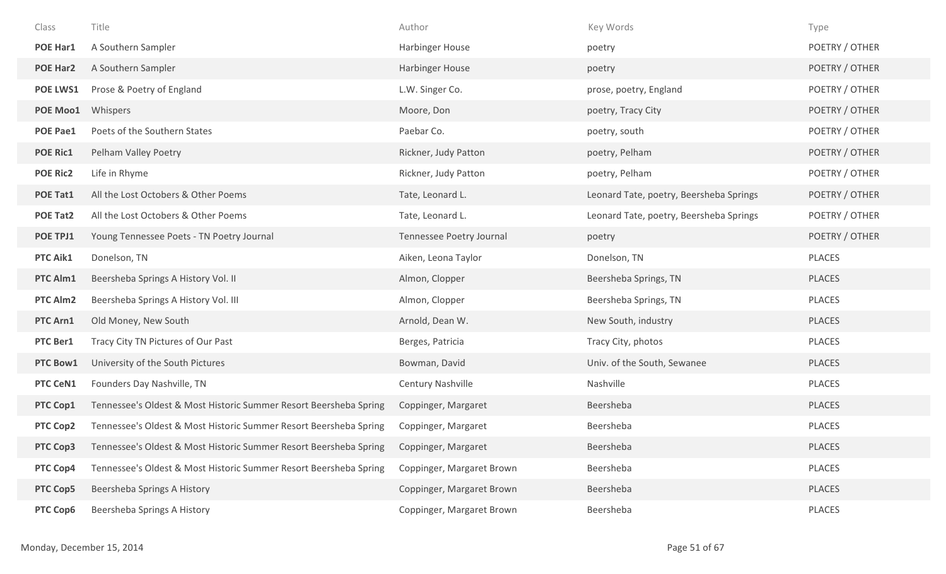| Class           | Title                                                             | Author                    | Key Words                               | Type           |
|-----------------|-------------------------------------------------------------------|---------------------------|-----------------------------------------|----------------|
| POE Har1        | A Southern Sampler                                                | <b>Harbinger House</b>    | poetry                                  | POETRY / OTHER |
| <b>POE Har2</b> | A Southern Sampler                                                | Harbinger House           | poetry                                  | POETRY / OTHER |
| POE LWS1        | Prose & Poetry of England                                         | L.W. Singer Co.           | prose, poetry, England                  | POETRY / OTHER |
| POE Moo1        | Whispers                                                          | Moore, Don                | poetry, Tracy City                      | POETRY / OTHER |
| <b>POE Pae1</b> | Poets of the Southern States                                      | Paebar Co.                | poetry, south                           | POETRY / OTHER |
| <b>POE Ric1</b> | Pelham Valley Poetry                                              | Rickner, Judy Patton      | poetry, Pelham                          | POETRY / OTHER |
| <b>POE Ric2</b> | Life in Rhyme                                                     | Rickner, Judy Patton      | poetry, Pelham                          | POETRY / OTHER |
| POE Tat1        | All the Lost Octobers & Other Poems                               | Tate, Leonard L.          | Leonard Tate, poetry, Beersheba Springs | POETRY / OTHER |
| <b>POE Tat2</b> | All the Lost Octobers & Other Poems                               | Tate, Leonard L.          | Leonard Tate, poetry, Beersheba Springs | POETRY / OTHER |
| POE TPJ1        | Young Tennessee Poets - TN Poetry Journal                         | Tennessee Poetry Journal  | poetry                                  | POETRY / OTHER |
| PTC Aik1        | Donelson, TN                                                      | Aiken, Leona Taylor       | Donelson, TN                            | PLACES         |
| PTC Alm1        | Beersheba Springs A History Vol. II                               | Almon, Clopper            | Beersheba Springs, TN                   | PLACES         |
| PTC Alm2        | Beersheba Springs A History Vol. III                              | Almon, Clopper            | Beersheba Springs, TN                   | PLACES         |
| PTC Arn1        | Old Money, New South                                              | Arnold, Dean W.           | New South, industry                     | PLACES         |
| PTC Ber1        | Tracy City TN Pictures of Our Past                                | Berges, Patricia          | Tracy City, photos                      | PLACES         |
| PTC Bow1        | University of the South Pictures                                  | Bowman, David             | Univ. of the South, Sewanee             | PLACES         |
| PTC CeN1        | Founders Day Nashville, TN                                        | Century Nashville         | Nashville                               | PLACES         |
| PTC Cop1        | Tennessee's Oldest & Most Historic Summer Resort Beersheba Spring | Coppinger, Margaret       | Beersheba                               | PLACES         |
| PTC Cop2        | Tennessee's Oldest & Most Historic Summer Resort Beersheba Spring | Coppinger, Margaret       | Beersheba                               | <b>PLACES</b>  |
| PTC Cop3        | Tennessee's Oldest & Most Historic Summer Resort Beersheba Spring | Coppinger, Margaret       | Beersheba                               | <b>PLACES</b>  |
| PTC Cop4        | Tennessee's Oldest & Most Historic Summer Resort Beersheba Spring | Coppinger, Margaret Brown | Beersheba                               | <b>PLACES</b>  |
| PTC Cop5        | Beersheba Springs A History                                       | Coppinger, Margaret Brown | Beersheba                               | <b>PLACES</b>  |
| PTC Cop6        | Beersheba Springs A History                                       | Coppinger, Margaret Brown | Beersheba                               | PLACES         |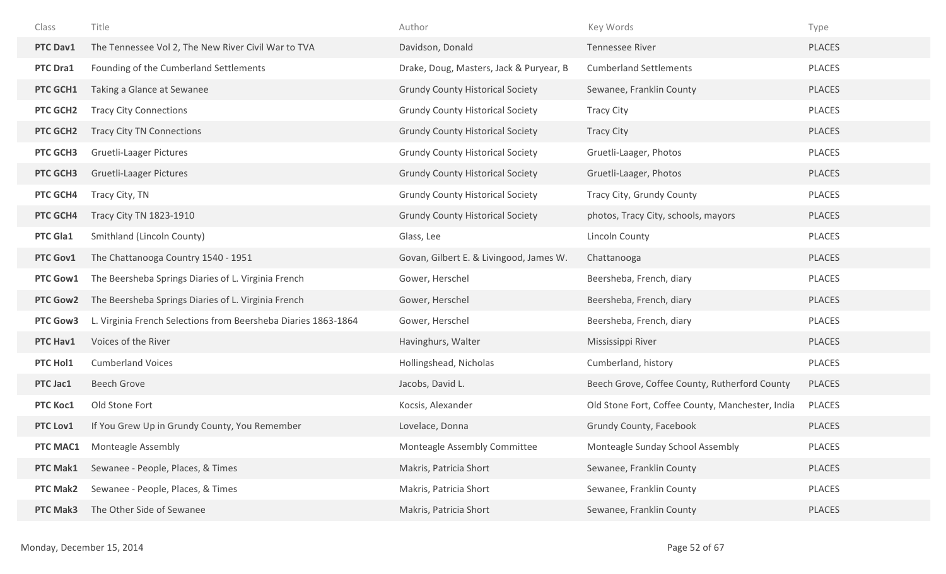| Class           | Title                                                          | Author                                  | Key Words                                        | Type          |
|-----------------|----------------------------------------------------------------|-----------------------------------------|--------------------------------------------------|---------------|
| PTC Dav1        | The Tennessee Vol 2, The New River Civil War to TVA            | Davidson, Donald                        | <b>Tennessee River</b>                           | <b>PLACES</b> |
| PTC Dra1        | Founding of the Cumberland Settlements                         | Drake, Doug, Masters, Jack & Puryear, B | <b>Cumberland Settlements</b>                    | PLACES        |
| PTC GCH1        | Taking a Glance at Sewanee                                     | <b>Grundy County Historical Society</b> | Sewanee, Franklin County                         | <b>PLACES</b> |
| PTC GCH2        | <b>Tracy City Connections</b>                                  | <b>Grundy County Historical Society</b> | <b>Tracy City</b>                                | <b>PLACES</b> |
| PTC GCH2        | <b>Tracy City TN Connections</b>                               | <b>Grundy County Historical Society</b> | <b>Tracy City</b>                                | <b>PLACES</b> |
| PTC GCH3        | <b>Gruetli-Laager Pictures</b>                                 | <b>Grundy County Historical Society</b> | Gruetli-Laager, Photos                           | PLACES        |
| PTC GCH3        | <b>Gruetli-Laager Pictures</b>                                 | <b>Grundy County Historical Society</b> | Gruetli-Laager, Photos                           | <b>PLACES</b> |
| PTC GCH4        | Tracy City, TN                                                 | <b>Grundy County Historical Society</b> | Tracy City, Grundy County                        | PLACES        |
| PTC GCH4        | Tracy City TN 1823-1910                                        | <b>Grundy County Historical Society</b> | photos, Tracy City, schools, mayors              | <b>PLACES</b> |
| PTC Gla1        | Smithland (Lincoln County)                                     | Glass, Lee                              | Lincoln County                                   | PLACES        |
| PTC Gov1        | The Chattanooga Country 1540 - 1951                            | Govan, Gilbert E. & Livingood, James W. | Chattanooga                                      | <b>PLACES</b> |
| PTC Gow1        | The Beersheba Springs Diaries of L. Virginia French            | Gower, Herschel                         | Beersheba, French, diary                         | <b>PLACES</b> |
| <b>PTC Gow2</b> | The Beersheba Springs Diaries of L. Virginia French            | Gower, Herschel                         | Beersheba, French, diary                         | <b>PLACES</b> |
| PTC Gow3        | L. Virginia French Selections from Beersheba Diaries 1863-1864 | Gower, Herschel                         | Beersheba, French, diary                         | PLACES        |
| PTC Hav1        | Voices of the River                                            | Havinghurs, Walter                      | Mississippi River                                | <b>PLACES</b> |
| PTC Hol1        | <b>Cumberland Voices</b>                                       | Hollingshead, Nicholas                  | Cumberland, history                              | PLACES        |
| PTC Jac1        | <b>Beech Grove</b>                                             | Jacobs, David L.                        | Beech Grove, Coffee County, Rutherford County    | <b>PLACES</b> |
| PTC Koc1        | Old Stone Fort                                                 | Kocsis, Alexander                       | Old Stone Fort, Coffee County, Manchester, India | PLACES        |
| PTC Lov1        | If You Grew Up in Grundy County, You Remember                  | Lovelace, Donna                         | Grundy County, Facebook                          | <b>PLACES</b> |
| PTC MAC1        | <b>Monteagle Assembly</b>                                      | Monteagle Assembly Committee            | Monteagle Sunday School Assembly                 | <b>PLACES</b> |
| PTC Mak1        | Sewanee - People, Places, & Times                              | Makris, Patricia Short                  | Sewanee, Franklin County                         | PLACES        |
| <b>PTC Mak2</b> | Sewanee - People, Places, & Times                              | Makris, Patricia Short                  | Sewanee, Franklin County                         | PLACES        |
| PTC Mak3        | The Other Side of Sewanee                                      | Makris, Patricia Short                  | Sewanee, Franklin County                         | PLACES        |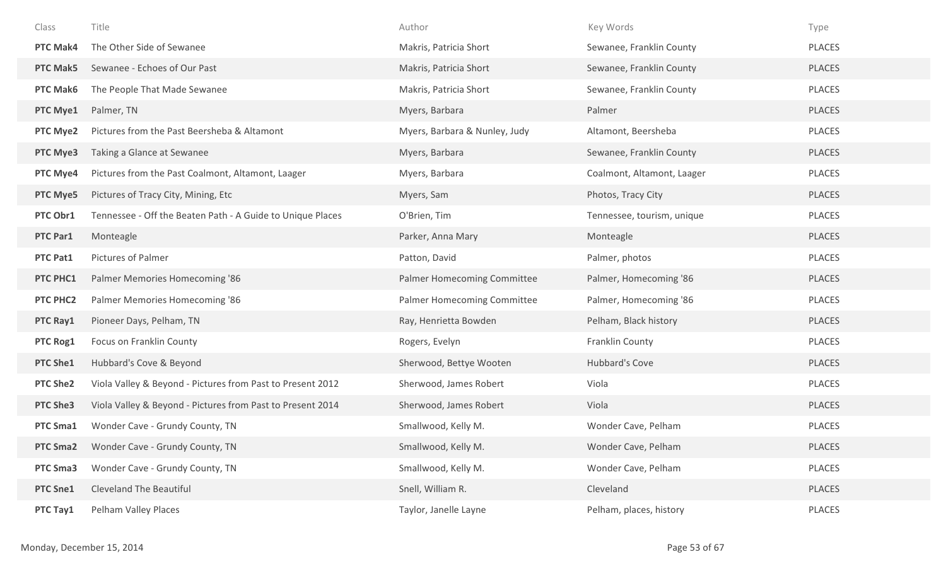| Class           | Title                                                      | Author                        | Key Words                  | Type          |
|-----------------|------------------------------------------------------------|-------------------------------|----------------------------|---------------|
| <b>PTC Mak4</b> | The Other Side of Sewanee                                  | Makris, Patricia Short        | Sewanee, Franklin County   | PLACES        |
| <b>PTC Mak5</b> | Sewanee - Echoes of Our Past                               | Makris, Patricia Short        | Sewanee, Franklin County   | PLACES        |
| <b>PTC Mak6</b> | The People That Made Sewanee                               | Makris, Patricia Short        | Sewanee, Franklin County   | PLACES        |
| PTC Mye1        | Palmer, TN                                                 | Myers, Barbara                | Palmer                     | PLACES        |
| PTC Mye2        | Pictures from the Past Beersheba & Altamont                | Myers, Barbara & Nunley, Judy | Altamont, Beersheba        | <b>PLACES</b> |
| PTC Mye3        | Taking a Glance at Sewanee                                 | Myers, Barbara                | Sewanee, Franklin County   | PLACES        |
| PTC Mye4        | Pictures from the Past Coalmont, Altamont, Laager          | Myers, Barbara                | Coalmont, Altamont, Laager | PLACES        |
| PTC Mye5        | Pictures of Tracy City, Mining, Etc                        | Myers, Sam                    | Photos, Tracy City         | PLACES        |
| PTC Obr1        | Tennessee - Off the Beaten Path - A Guide to Unique Places | O'Brien, Tim                  | Tennessee, tourism, unique | PLACES        |
| PTC Par1        | Monteagle                                                  | Parker, Anna Mary             | Monteagle                  | <b>PLACES</b> |
| PTC Pat1        | Pictures of Palmer                                         | Patton, David                 | Palmer, photos             | PLACES        |
| PTC PHC1        | Palmer Memories Homecoming '86                             | Palmer Homecoming Committee   | Palmer, Homecoming '86     | <b>PLACES</b> |
| PTC PHC2        | Palmer Memories Homecoming '86                             | Palmer Homecoming Committee   | Palmer, Homecoming '86     | PLACES        |
| PTC Ray1        | Pioneer Days, Pelham, TN                                   | Ray, Henrietta Bowden         | Pelham, Black history      | <b>PLACES</b> |
| PTC Rog1        | Focus on Franklin County                                   | Rogers, Evelyn                | Franklin County            | PLACES        |
| PTC She1        | Hubbard's Cove & Beyond                                    | Sherwood, Bettye Wooten       | Hubbard's Cove             | <b>PLACES</b> |
| <b>PTC She2</b> | Viola Valley & Beyond - Pictures from Past to Present 2012 | Sherwood, James Robert        | Viola                      | PLACES        |
| <b>PTC She3</b> | Viola Valley & Beyond - Pictures from Past to Present 2014 | Sherwood, James Robert        | Viola                      | <b>PLACES</b> |
| PTC Sma1        | Wonder Cave - Grundy County, TN                            | Smallwood, Kelly M.           | Wonder Cave, Pelham        | PLACES        |
| <b>PTC Sma2</b> | Wonder Cave - Grundy County, TN                            | Smallwood, Kelly M.           | Wonder Cave, Pelham        | <b>PLACES</b> |
| PTC Sma3        | Wonder Cave - Grundy County, TN                            | Smallwood, Kelly M.           | Wonder Cave, Pelham        | PLACES        |
| <b>PTC Sne1</b> | <b>Cleveland The Beautiful</b>                             | Snell, William R.             | Cleveland                  | <b>PLACES</b> |
| PTC Tay1        | Pelham Valley Places                                       | Taylor, Janelle Layne         | Pelham, places, history    | PLACES        |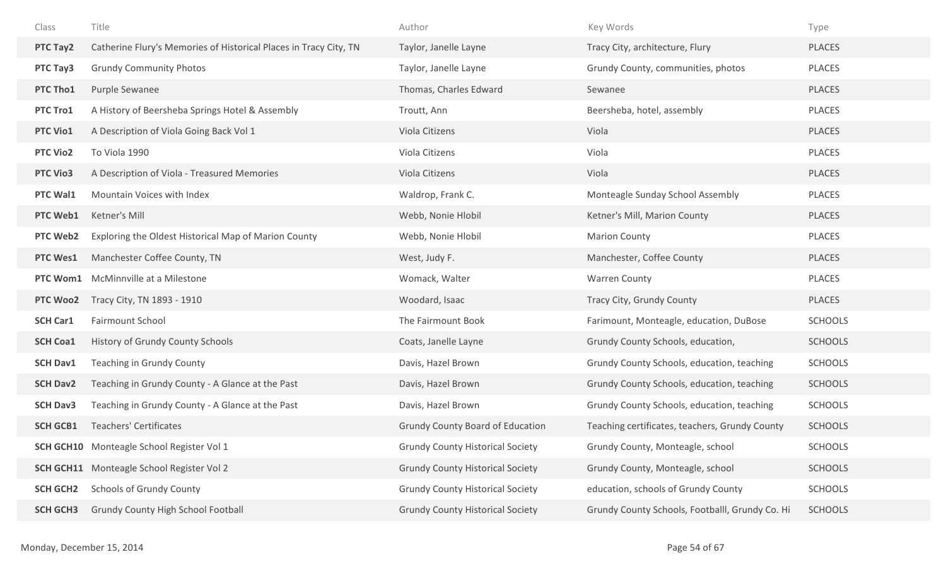| Class           | Title                                                             | Author                                  | Key Words                                       | Type           |
|-----------------|-------------------------------------------------------------------|-----------------------------------------|-------------------------------------------------|----------------|
| PTC Tay2        | Catherine Flury's Memories of Historical Places in Tracy City, TN | Taylor, Janelle Layne                   | Tracy City, architecture, Flury                 | PLACES         |
| PTC Tay3        | <b>Grundy Community Photos</b>                                    | Taylor, Janelle Layne                   | Grundy County, communities, photos              | PLACES         |
| PTC Tho1        | Purple Sewanee                                                    | Thomas, Charles Edward                  | Sewanee                                         | <b>PLACES</b>  |
| PTC Tro1        | A History of Beersheba Springs Hotel & Assembly                   | Troutt, Ann                             | Beersheba, hotel, assembly                      | <b>PLACES</b>  |
| <b>PTC Vio1</b> | A Description of Viola Going Back Vol 1                           | Viola Citizens                          | Viola                                           | PLACES         |
| <b>PTC Vio2</b> | To Viola 1990                                                     | Viola Citizens                          | Viola                                           | PLACES         |
| <b>PTC Vio3</b> | A Description of Viola - Treasured Memories                       | Viola Citizens                          | Viola                                           | <b>PLACES</b>  |
| PTC Wal1        | Mountain Voices with Index                                        | Waldrop, Frank C.                       | Monteagle Sunday School Assembly                | <b>PLACES</b>  |
| PTC Web1        | Ketner's Mill                                                     | Webb, Nonie Hlobil                      | Ketner's Mill, Marion County                    | <b>PLACES</b>  |
| <b>PTC Web2</b> | Exploring the Oldest Historical Map of Marion County              | Webb, Nonie Hlobil                      | <b>Marion County</b>                            | PLACES         |
| <b>PTC Wes1</b> | Manchester Coffee County, TN                                      | West, Judy F.                           | Manchester, Coffee County                       | <b>PLACES</b>  |
| PTC Wom1        | McMinnville at a Milestone                                        | Womack, Walter                          | <b>Warren County</b>                            | <b>PLACES</b>  |
| PTC Woo2        | Tracy City, TN 1893 - 1910                                        | Woodard, Isaac                          | Tracy City, Grundy County                       | PLACES         |
| <b>SCH Car1</b> | Fairmount School                                                  | The Fairmount Book                      | Farimount, Monteagle, education, DuBose         | <b>SCHOOLS</b> |
| <b>SCH Coa1</b> | History of Grundy County Schools                                  | Coats, Janelle Layne                    | Grundy County Schools, education,               | <b>SCHOOLS</b> |
| <b>SCH Dav1</b> | Teaching in Grundy County                                         | Davis, Hazel Brown                      | Grundy County Schools, education, teaching      | <b>SCHOOLS</b> |
| <b>SCH Dav2</b> | Teaching in Grundy County - A Glance at the Past                  | Davis, Hazel Brown                      | Grundy County Schools, education, teaching      | <b>SCHOOLS</b> |
| <b>SCH Dav3</b> | Teaching in Grundy County - A Glance at the Past                  | Davis, Hazel Brown                      | Grundy County Schools, education, teaching      | <b>SCHOOLS</b> |
| <b>SCH GCB1</b> | <b>Teachers' Certificates</b>                                     | <b>Grundy County Board of Education</b> | Teaching certificates, teachers, Grundy County  | <b>SCHOOLS</b> |
|                 | <b>SCH GCH10</b> Monteagle School Register Vol 1                  | <b>Grundy County Historical Society</b> | Grundy County, Monteagle, school                | <b>SCHOOLS</b> |
|                 | <b>SCH GCH11</b> Monteagle School Register Vol 2                  | <b>Grundy County Historical Society</b> | Grundy County, Monteagle, school                | <b>SCHOOLS</b> |
| <b>SCH GCH2</b> | <b>Schools of Grundy County</b>                                   | <b>Grundy County Historical Society</b> | education, schools of Grundy County             | <b>SCHOOLS</b> |
| <b>SCH GCH3</b> | Grundy County High School Football                                | <b>Grundy County Historical Society</b> | Grundy County Schools, Footballl, Grundy Co. Hi | <b>SCHOOLS</b> |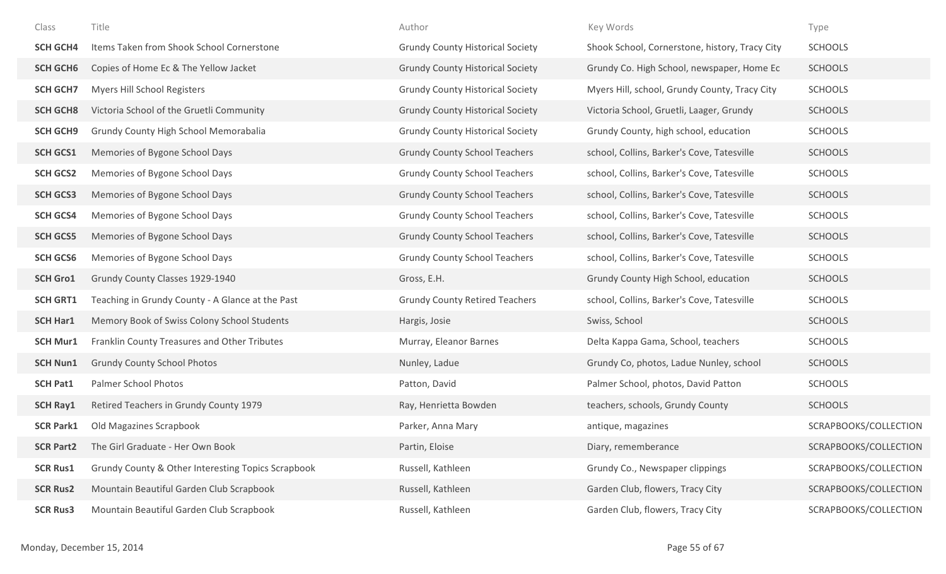| Class            | Title                                              | Author                                  | Key Words                                      | Type                  |
|------------------|----------------------------------------------------|-----------------------------------------|------------------------------------------------|-----------------------|
| <b>SCH GCH4</b>  | Items Taken from Shook School Cornerstone          | <b>Grundy County Historical Society</b> | Shook School, Cornerstone, history, Tracy City | <b>SCHOOLS</b>        |
| <b>SCH GCH6</b>  | Copies of Home Ec & The Yellow Jacket              | <b>Grundy County Historical Society</b> | Grundy Co. High School, newspaper, Home Ec     | <b>SCHOOLS</b>        |
| <b>SCH GCH7</b>  | Myers Hill School Registers                        | <b>Grundy County Historical Society</b> | Myers Hill, school, Grundy County, Tracy City  | <b>SCHOOLS</b>        |
| <b>SCH GCH8</b>  | Victoria School of the Gruetli Community           | <b>Grundy County Historical Society</b> | Victoria School, Gruetli, Laager, Grundy       | <b>SCHOOLS</b>        |
| <b>SCH GCH9</b>  | Grundy County High School Memorabalia              | <b>Grundy County Historical Society</b> | Grundy County, high school, education          | <b>SCHOOLS</b>        |
| <b>SCH GCS1</b>  | Memories of Bygone School Days                     | <b>Grundy County School Teachers</b>    | school, Collins, Barker's Cove, Tatesville     | <b>SCHOOLS</b>        |
| <b>SCH GCS2</b>  | Memories of Bygone School Days                     | <b>Grundy County School Teachers</b>    | school, Collins, Barker's Cove, Tatesville     | <b>SCHOOLS</b>        |
| <b>SCH GCS3</b>  | Memories of Bygone School Days                     | <b>Grundy County School Teachers</b>    | school, Collins, Barker's Cove, Tatesville     | <b>SCHOOLS</b>        |
| <b>SCH GCS4</b>  | Memories of Bygone School Days                     | <b>Grundy County School Teachers</b>    | school, Collins, Barker's Cove, Tatesville     | <b>SCHOOLS</b>        |
| <b>SCH GCS5</b>  | Memories of Bygone School Days                     | <b>Grundy County School Teachers</b>    | school, Collins, Barker's Cove, Tatesville     | <b>SCHOOLS</b>        |
| <b>SCH GCS6</b>  | Memories of Bygone School Days                     | <b>Grundy County School Teachers</b>    | school, Collins, Barker's Cove, Tatesville     | <b>SCHOOLS</b>        |
| <b>SCH Gro1</b>  | Grundy County Classes 1929-1940                    | Gross, E.H.                             | Grundy County High School, education           | <b>SCHOOLS</b>        |
| <b>SCH GRT1</b>  | Teaching in Grundy County - A Glance at the Past   | <b>Grundy County Retired Teachers</b>   | school, Collins, Barker's Cove, Tatesville     | <b>SCHOOLS</b>        |
| <b>SCH Har1</b>  | Memory Book of Swiss Colony School Students        | Hargis, Josie                           | Swiss, School                                  | <b>SCHOOLS</b>        |
| <b>SCH Mur1</b>  | Franklin County Treasures and Other Tributes       | Murray, Eleanor Barnes                  | Delta Kappa Gama, School, teachers             | <b>SCHOOLS</b>        |
| <b>SCH Nun1</b>  | <b>Grundy County School Photos</b>                 | Nunley, Ladue                           | Grundy Co, photos, Ladue Nunley, school        | <b>SCHOOLS</b>        |
| <b>SCH Pat1</b>  | Palmer School Photos                               | Patton, David                           | Palmer School, photos, David Patton            | <b>SCHOOLS</b>        |
| <b>SCH Ray1</b>  | Retired Teachers in Grundy County 1979             | Ray, Henrietta Bowden                   | teachers, schools, Grundy County               | <b>SCHOOLS</b>        |
| <b>SCR Park1</b> | Old Magazines Scrapbook                            | Parker, Anna Mary                       | antique, magazines                             | SCRAPBOOKS/COLLECTION |
| <b>SCR Part2</b> | The Girl Graduate - Her Own Book                   | Partin, Eloise                          | Diary, rememberance                            | SCRAPBOOKS/COLLECTION |
| <b>SCR Rus1</b>  | Grundy County & Other Interesting Topics Scrapbook | Russell, Kathleen                       | Grundy Co., Newspaper clippings                | SCRAPBOOKS/COLLECTION |
| <b>SCR Rus2</b>  | Mountain Beautiful Garden Club Scrapbook           | Russell, Kathleen                       | Garden Club, flowers, Tracy City               | SCRAPBOOKS/COLLECTION |
| <b>SCR Rus3</b>  | Mountain Beautiful Garden Club Scrapbook           | Russell, Kathleen                       | Garden Club, flowers, Tracy City               | SCRAPBOOKS/COLLECTION |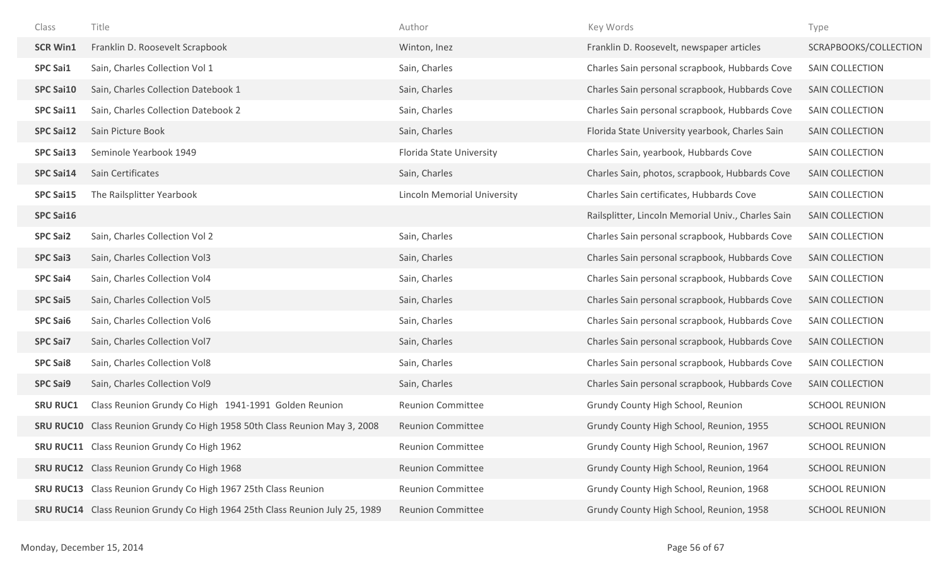| Class            | Title                                                                        | Author                             | Key Words                                          | Type                   |
|------------------|------------------------------------------------------------------------------|------------------------------------|----------------------------------------------------|------------------------|
| <b>SCR Win1</b>  | Franklin D. Roosevelt Scrapbook                                              | Winton, Inez                       | Franklin D. Roosevelt, newspaper articles          | SCRAPBOOKS/COLLECTION  |
| <b>SPC Sai1</b>  | Sain, Charles Collection Vol 1                                               | Sain, Charles                      | Charles Sain personal scrapbook, Hubbards Cove     | SAIN COLLECTION        |
| <b>SPC Sai10</b> | Sain, Charles Collection Datebook 1                                          | Sain, Charles                      | Charles Sain personal scrapbook, Hubbards Cove     | <b>SAIN COLLECTION</b> |
| <b>SPC Sai11</b> | Sain, Charles Collection Datebook 2                                          | Sain, Charles                      | Charles Sain personal scrapbook, Hubbards Cove     | SAIN COLLECTION        |
| <b>SPC Sai12</b> | Sain Picture Book                                                            | Sain, Charles                      | Florida State University yearbook, Charles Sain    | <b>SAIN COLLECTION</b> |
| <b>SPC Sai13</b> | Seminole Yearbook 1949                                                       | Florida State University           | Charles Sain, yearbook, Hubbards Cove              | SAIN COLLECTION        |
| <b>SPC Sai14</b> | Sain Certificates                                                            | Sain, Charles                      | Charles Sain, photos, scrapbook, Hubbards Cove     | SAIN COLLECTION        |
| <b>SPC Sai15</b> | The Railsplitter Yearbook                                                    | <b>Lincoln Memorial University</b> | Charles Sain certificates, Hubbards Cove           | SAIN COLLECTION        |
| <b>SPC Sai16</b> |                                                                              |                                    | Railsplitter, Lincoln Memorial Univ., Charles Sain | <b>SAIN COLLECTION</b> |
| <b>SPC Sai2</b>  | Sain, Charles Collection Vol 2                                               | Sain, Charles                      | Charles Sain personal scrapbook, Hubbards Cove     | SAIN COLLECTION        |
| <b>SPC Sai3</b>  | Sain, Charles Collection Vol3                                                | Sain, Charles                      | Charles Sain personal scrapbook, Hubbards Cove     | <b>SAIN COLLECTION</b> |
| <b>SPC Sai4</b>  | Sain, Charles Collection Vol4                                                | Sain, Charles                      | Charles Sain personal scrapbook, Hubbards Cove     | SAIN COLLECTION        |
| <b>SPC Sai5</b>  | Sain, Charles Collection Vol5                                                | Sain, Charles                      | Charles Sain personal scrapbook, Hubbards Cove     | SAIN COLLECTION        |
| <b>SPC Sai6</b>  | Sain, Charles Collection Vol6                                                | Sain, Charles                      | Charles Sain personal scrapbook, Hubbards Cove     | SAIN COLLECTION        |
| <b>SPC Sai7</b>  | Sain, Charles Collection Vol7                                                | Sain, Charles                      | Charles Sain personal scrapbook, Hubbards Cove     | SAIN COLLECTION        |
| <b>SPC Sai8</b>  | Sain, Charles Collection Vol8                                                | Sain, Charles                      | Charles Sain personal scrapbook, Hubbards Cove     | SAIN COLLECTION        |
| <b>SPC Sai9</b>  | Sain, Charles Collection Vol9                                                | Sain, Charles                      | Charles Sain personal scrapbook, Hubbards Cove     | <b>SAIN COLLECTION</b> |
| <b>SRU RUC1</b>  | Class Reunion Grundy Co High 1941-1991 Golden Reunion                        | <b>Reunion Committee</b>           | Grundy County High School, Reunion                 | <b>SCHOOL REUNION</b>  |
| <b>SRU RUC10</b> | Class Reunion Grundy Co High 1958 50th Class Reunion May 3, 2008             | <b>Reunion Committee</b>           | Grundy County High School, Reunion, 1955           | <b>SCHOOL REUNION</b>  |
|                  | <b>SRU RUC11</b> Class Reunion Grundy Co High 1962                           | <b>Reunion Committee</b>           | Grundy County High School, Reunion, 1967           | <b>SCHOOL REUNION</b>  |
|                  | SRU RUC12 Class Reunion Grundy Co High 1968                                  | <b>Reunion Committee</b>           | Grundy County High School, Reunion, 1964           | <b>SCHOOL REUNION</b>  |
|                  | <b>SRU RUC13</b> Class Reunion Grundy Co High 1967 25th Class Reunion        | <b>Reunion Committee</b>           | Grundy County High School, Reunion, 1968           | <b>SCHOOL REUNION</b>  |
|                  | SRU RUC14 Class Reunion Grundy Co High 1964 25th Class Reunion July 25, 1989 | <b>Reunion Committee</b>           | Grundy County High School, Reunion, 1958           | <b>SCHOOL REUNION</b>  |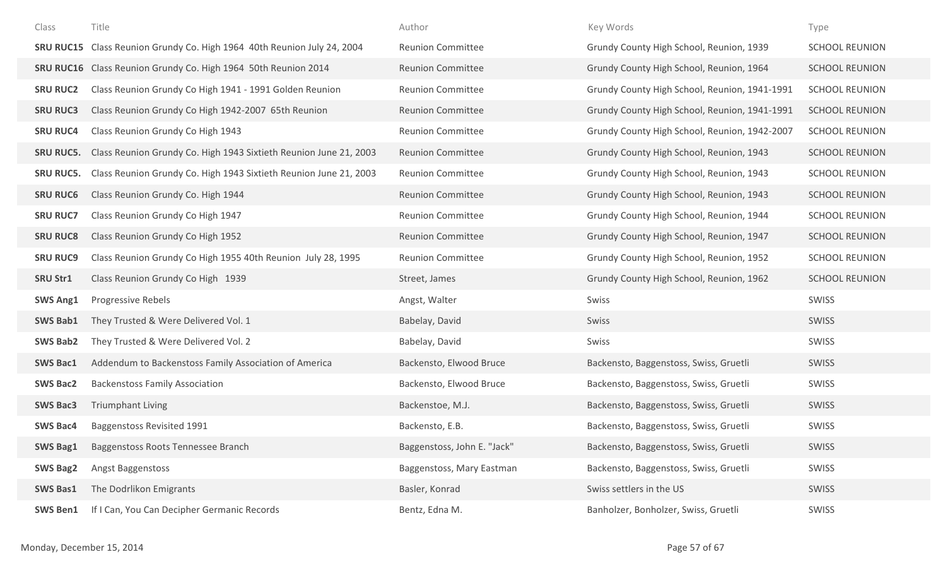| Class            | Title                                                                   | Author                      | Key Words                                     | Type                  |
|------------------|-------------------------------------------------------------------------|-----------------------------|-----------------------------------------------|-----------------------|
|                  | SRU RUC15 Class Reunion Grundy Co. High 1964 40th Reunion July 24, 2004 | <b>Reunion Committee</b>    | Grundy County High School, Reunion, 1939      | <b>SCHOOL REUNION</b> |
| <b>SRU RUC16</b> | Class Reunion Grundy Co. High 1964 50th Reunion 2014                    | <b>Reunion Committee</b>    | Grundy County High School, Reunion, 1964      | <b>SCHOOL REUNION</b> |
| <b>SRU RUC2</b>  | Class Reunion Grundy Co High 1941 - 1991 Golden Reunion                 | <b>Reunion Committee</b>    | Grundy County High School, Reunion, 1941-1991 | <b>SCHOOL REUNION</b> |
| <b>SRU RUC3</b>  | Class Reunion Grundy Co High 1942-2007 65th Reunion                     | <b>Reunion Committee</b>    | Grundy County High School, Reunion, 1941-1991 | <b>SCHOOL REUNION</b> |
| <b>SRU RUC4</b>  | Class Reunion Grundy Co High 1943                                       | <b>Reunion Committee</b>    | Grundy County High School, Reunion, 1942-2007 | <b>SCHOOL REUNION</b> |
| <b>SRU RUC5.</b> | Class Reunion Grundy Co. High 1943 Sixtieth Reunion June 21, 2003       | <b>Reunion Committee</b>    | Grundy County High School, Reunion, 1943      | <b>SCHOOL REUNION</b> |
| <b>SRU RUC5.</b> | Class Reunion Grundy Co. High 1943 Sixtieth Reunion June 21, 2003       | <b>Reunion Committee</b>    | Grundy County High School, Reunion, 1943      | <b>SCHOOL REUNION</b> |
| <b>SRU RUC6</b>  | Class Reunion Grundy Co. High 1944                                      | <b>Reunion Committee</b>    | Grundy County High School, Reunion, 1943      | <b>SCHOOL REUNION</b> |
| <b>SRU RUC7</b>  | Class Reunion Grundy Co High 1947                                       | <b>Reunion Committee</b>    | Grundy County High School, Reunion, 1944      | <b>SCHOOL REUNION</b> |
| <b>SRU RUC8</b>  | Class Reunion Grundy Co High 1952                                       | <b>Reunion Committee</b>    | Grundy County High School, Reunion, 1947      | <b>SCHOOL REUNION</b> |
| <b>SRU RUC9</b>  | Class Reunion Grundy Co High 1955 40th Reunion July 28, 1995            | <b>Reunion Committee</b>    | Grundy County High School, Reunion, 1952      | <b>SCHOOL REUNION</b> |
| <b>SRU Str1</b>  | Class Reunion Grundy Co High 1939                                       | Street, James               | Grundy County High School, Reunion, 1962      | <b>SCHOOL REUNION</b> |
| <b>SWS Ang1</b>  | Progressive Rebels                                                      | Angst, Walter               | Swiss                                         | <b>SWISS</b>          |
| <b>SWS Bab1</b>  | They Trusted & Were Delivered Vol. 1                                    | Babelay, David              | Swiss                                         | <b>SWISS</b>          |
| <b>SWS Bab2</b>  | They Trusted & Were Delivered Vol. 2                                    | Babelay, David              | Swiss                                         | SWISS                 |
| <b>SWS Bac1</b>  | Addendum to Backenstoss Family Association of America                   | Backensto, Elwood Bruce     | Backensto, Baggenstoss, Swiss, Gruetli        | SWISS                 |
| <b>SWS Bac2</b>  | <b>Backenstoss Family Association</b>                                   | Backensto, Elwood Bruce     | Backensto, Baggenstoss, Swiss, Gruetli        | SWISS                 |
| <b>SWS Bac3</b>  | <b>Triumphant Living</b>                                                | Backenstoe, M.J.            | Backensto, Baggenstoss, Swiss, Gruetli        | SWISS                 |
| <b>SWS Bac4</b>  | Baggenstoss Revisited 1991                                              | Backensto, E.B.             | Backensto, Baggenstoss, Swiss, Gruetli        | SWISS                 |
| <b>SWS Bag1</b>  | Baggenstoss Roots Tennessee Branch                                      | Baggenstoss, John E. "Jack" | Backensto, Baggenstoss, Swiss, Gruetli        | <b>SWISS</b>          |
| <b>SWS Bag2</b>  | Angst Baggenstoss                                                       | Baggenstoss, Mary Eastman   | Backensto, Baggenstoss, Swiss, Gruetli        | SWISS                 |
| <b>SWS Bas1</b>  | The Dodrlikon Emigrants                                                 | Basler, Konrad              | Swiss settlers in the US                      | SWISS                 |
| <b>SWS Ben1</b>  | If I Can, You Can Decipher Germanic Records                             | Bentz, Edna M.              | Banholzer, Bonholzer, Swiss, Gruetli          | SWISS                 |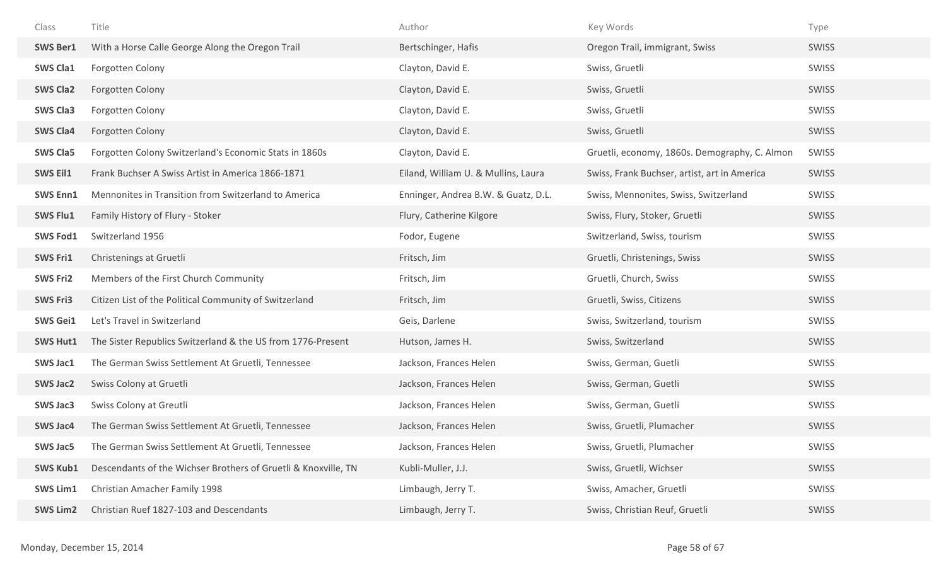| Class           | Title                                                          | Author                              | Key Words                                     | Type         |
|-----------------|----------------------------------------------------------------|-------------------------------------|-----------------------------------------------|--------------|
| <b>SWS Ber1</b> | With a Horse Calle George Along the Oregon Trail               | Bertschinger, Hafis                 | Oregon Trail, immigrant, Swiss                | SWISS        |
| <b>SWS Cla1</b> | Forgotten Colony                                               | Clayton, David E.                   | Swiss, Gruetli                                | <b>SWISS</b> |
| <b>SWS Cla2</b> | Forgotten Colony                                               | Clayton, David E.                   | Swiss, Gruetli                                | <b>SWISS</b> |
| <b>SWS Cla3</b> | Forgotten Colony                                               | Clayton, David E.                   | Swiss, Gruetli                                | SWISS        |
| <b>SWS Cla4</b> | Forgotten Colony                                               | Clayton, David E.                   | Swiss, Gruetli                                | SWISS        |
| <b>SWS Cla5</b> | Forgotten Colony Switzerland's Economic Stats in 1860s         | Clayton, David E.                   | Gruetli, economy, 1860s. Demography, C. Almon | SWISS        |
| SWS Eil1        | Frank Buchser A Swiss Artist in America 1866-1871              | Eiland, William U. & Mullins, Laura | Swiss, Frank Buchser, artist, art in America  | SWISS        |
| <b>SWS Enn1</b> | Mennonites in Transition from Switzerland to America           | Enninger, Andrea B.W. & Guatz, D.L. | Swiss, Mennonites, Swiss, Switzerland         | SWISS        |
| <b>SWS Flu1</b> | Family History of Flury - Stoker                               | Flury, Catherine Kilgore            | Swiss, Flury, Stoker, Gruetli                 | SWISS        |
| <b>SWS Fod1</b> | Switzerland 1956                                               | Fodor, Eugene                       | Switzerland, Swiss, tourism                   | SWISS        |
| <b>SWS Fri1</b> | Christenings at Gruetli                                        | Fritsch, Jim                        | Gruetli, Christenings, Swiss                  | SWISS        |
| <b>SWS Fri2</b> | Members of the First Church Community                          | Fritsch, Jim                        | Gruetli, Church, Swiss                        | SWISS        |
| <b>SWS Fri3</b> | Citizen List of the Political Community of Switzerland         | Fritsch, Jim                        | Gruetli, Swiss, Citizens                      | SWISS        |
| <b>SWS Gei1</b> | Let's Travel in Switzerland                                    | Geis, Darlene                       | Swiss, Switzerland, tourism                   | SWISS        |
| <b>SWS Hut1</b> | The Sister Republics Switzerland & the US from 1776-Present    | Hutson, James H.                    | Swiss, Switzerland                            | SWISS        |
| <b>SWS Jac1</b> | The German Swiss Settlement At Gruetli, Tennessee              | Jackson, Frances Helen              | Swiss, German, Guetli                         | SWISS        |
| <b>SWS Jac2</b> | Swiss Colony at Gruetli                                        | Jackson, Frances Helen              | Swiss, German, Guetli                         | SWISS        |
| <b>SWS Jac3</b> | Swiss Colony at Greutli                                        | Jackson, Frances Helen              | Swiss, German, Guetli                         | SWISS        |
| <b>SWS Jac4</b> | The German Swiss Settlement At Gruetli, Tennessee              | Jackson, Frances Helen              | Swiss, Gruetli, Plumacher                     | SWISS        |
| <b>SWS Jac5</b> | The German Swiss Settlement At Gruetli, Tennessee              | Jackson, Frances Helen              | Swiss, Gruetli, Plumacher                     | SWISS        |
| <b>SWS Kub1</b> | Descendants of the Wichser Brothers of Gruetli & Knoxville, TN | Kubli-Muller, J.J.                  | Swiss, Gruetli, Wichser                       | SWISS        |
| <b>SWS Lim1</b> | Christian Amacher Family 1998                                  | Limbaugh, Jerry T.                  | Swiss, Amacher, Gruetli                       | SWISS        |
| <b>SWS Lim2</b> | Christian Ruef 1827-103 and Descendants                        | Limbaugh, Jerry T.                  | Swiss, Christian Reuf, Gruetli                | SWISS        |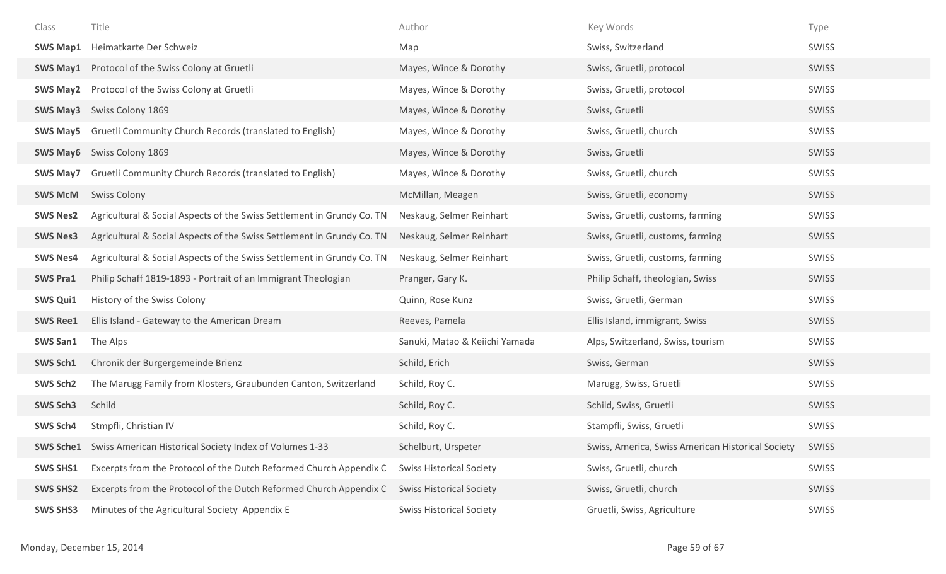| Class           | Title                                                                    | Author                          | Key Words                                         | Type         |
|-----------------|--------------------------------------------------------------------------|---------------------------------|---------------------------------------------------|--------------|
| <b>SWS Map1</b> | Heimatkarte Der Schweiz                                                  | Map                             | Swiss, Switzerland                                | SWISS        |
| <b>SWS May1</b> | Protocol of the Swiss Colony at Gruetli                                  | Mayes, Wince & Dorothy          | Swiss, Gruetli, protocol                          | <b>SWISS</b> |
| <b>SWS May2</b> | Protocol of the Swiss Colony at Gruetli                                  | Mayes, Wince & Dorothy          | Swiss, Gruetli, protocol                          | SWISS        |
|                 | <b>SWS May3</b> Swiss Colony 1869                                        | Mayes, Wince & Dorothy          | Swiss, Gruetli                                    | <b>SWISS</b> |
| <b>SWS May5</b> | Gruetli Community Church Records (translated to English)                 | Mayes, Wince & Dorothy          | Swiss, Gruetli, church                            | SWISS        |
| SWS May6        | Swiss Colony 1869                                                        | Mayes, Wince & Dorothy          | Swiss, Gruetli                                    | <b>SWISS</b> |
| SWS May7        | Gruetli Community Church Records (translated to English)                 | Mayes, Wince & Dorothy          | Swiss, Gruetli, church                            | SWISS        |
| <b>SWS McM</b>  | <b>Swiss Colony</b>                                                      | McMillan, Meagen                | Swiss, Gruetli, economy                           | <b>SWISS</b> |
| <b>SWS Nes2</b> | Agricultural & Social Aspects of the Swiss Settlement in Grundy Co. TN   | Neskaug, Selmer Reinhart        | Swiss, Gruetli, customs, farming                  | <b>SWISS</b> |
| <b>SWS Nes3</b> | Agricultural & Social Aspects of the Swiss Settlement in Grundy Co. TN   | Neskaug, Selmer Reinhart        | Swiss, Gruetli, customs, farming                  | <b>SWISS</b> |
| <b>SWS Nes4</b> | Agricultural & Social Aspects of the Swiss Settlement in Grundy Co. TN   | Neskaug, Selmer Reinhart        | Swiss, Gruetli, customs, farming                  | SWISS        |
| <b>SWS Pra1</b> | Philip Schaff 1819-1893 - Portrait of an Immigrant Theologian            | Pranger, Gary K.                | Philip Schaff, theologian, Swiss                  | <b>SWISS</b> |
| <b>SWS Qui1</b> | History of the Swiss Colony                                              | Quinn, Rose Kunz                | Swiss, Gruetli, German                            | <b>SWISS</b> |
| <b>SWS Ree1</b> | Ellis Island - Gateway to the American Dream                             | Reeves, Pamela                  | Ellis Island, immigrant, Swiss                    | <b>SWISS</b> |
| <b>SWS San1</b> | The Alps                                                                 | Sanuki, Matao & Keiichi Yamada  | Alps, Switzerland, Swiss, tourism                 | SWISS        |
| SWS Sch1        | Chronik der Burgergemeinde Brienz                                        | Schild, Erich                   | Swiss, German                                     | <b>SWISS</b> |
| SWS Sch2        | The Marugg Family from Klosters, Graubunden Canton, Switzerland          | Schild, Roy C.                  | Marugg, Swiss, Gruetli                            | SWISS        |
| <b>SWS Sch3</b> | Schild                                                                   | Schild, Roy C.                  | Schild, Swiss, Gruetli                            | <b>SWISS</b> |
| SWS Sch4        | Stmpfli, Christian IV                                                    | Schild, Roy C.                  | Stampfli, Swiss, Gruetli                          | SWISS        |
|                 | <b>SWS Sche1</b> Swiss American Historical Society Index of Volumes 1-33 | Schelburt, Urspeter             | Swiss, America, Swiss American Historical Society | SWISS        |
| <b>SWS SHS1</b> | Excerpts from the Protocol of the Dutch Reformed Church Appendix C       | <b>Swiss Historical Society</b> | Swiss, Gruetli, church                            | SWISS        |
| <b>SWS SHS2</b> | Excerpts from the Protocol of the Dutch Reformed Church Appendix C       | <b>Swiss Historical Society</b> | Swiss, Gruetli, church                            | SWISS        |
| <b>SWS SHS3</b> | Minutes of the Agricultural Society Appendix E                           | <b>Swiss Historical Society</b> | Gruetli, Swiss, Agriculture                       | SWISS        |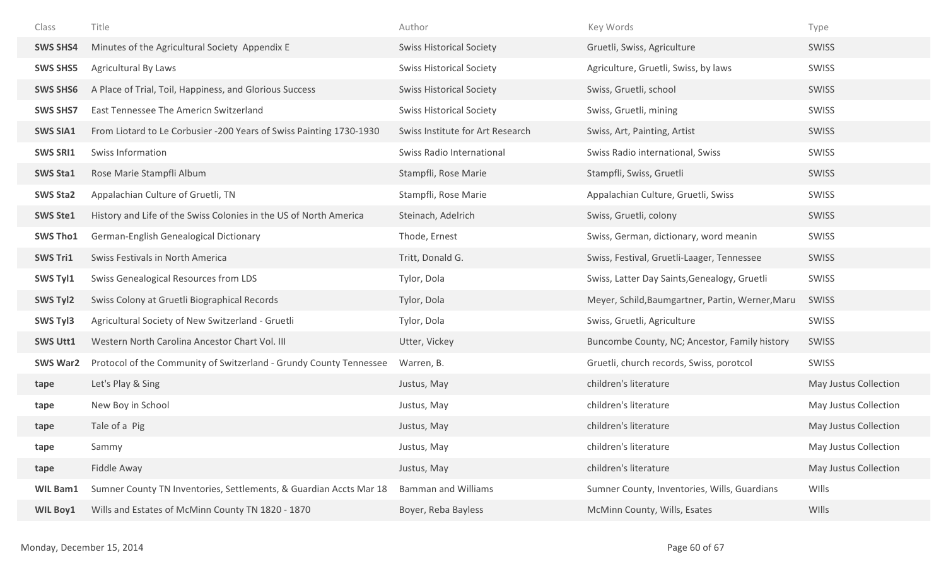| Class           | Title                                                               | Author                           | Key Words                                        | Type                  |
|-----------------|---------------------------------------------------------------------|----------------------------------|--------------------------------------------------|-----------------------|
| <b>SWS SHS4</b> | Minutes of the Agricultural Society Appendix E                      | <b>Swiss Historical Society</b>  | Gruetli, Swiss, Agriculture                      | SWISS                 |
| <b>SWS SHS5</b> | Agricultural By Laws                                                | <b>Swiss Historical Society</b>  | Agriculture, Gruetli, Swiss, by laws             | SWISS                 |
| <b>SWS SHS6</b> | A Place of Trial, Toil, Happiness, and Glorious Success             | <b>Swiss Historical Society</b>  | Swiss, Gruetli, school                           | <b>SWISS</b>          |
| <b>SWS SHS7</b> | East Tennessee The Americn Switzerland                              | <b>Swiss Historical Society</b>  | Swiss, Gruetli, mining                           | SWISS                 |
| <b>SWS SIA1</b> | From Liotard to Le Corbusier -200 Years of Swiss Painting 1730-1930 | Swiss Institute for Art Research | Swiss, Art, Painting, Artist                     | SWISS                 |
| <b>SWS SRI1</b> | Swiss Information                                                   | Swiss Radio International        | Swiss Radio international, Swiss                 | SWISS                 |
| <b>SWS Sta1</b> | Rose Marie Stampfli Album                                           | Stampfli, Rose Marie             | Stampfli, Swiss, Gruetli                         | <b>SWISS</b>          |
| <b>SWS Sta2</b> | Appalachian Culture of Gruetli, TN                                  | Stampfli, Rose Marie             | Appalachian Culture, Gruetli, Swiss              | SWISS                 |
| <b>SWS Ste1</b> | History and Life of the Swiss Colonies in the US of North America   | Steinach, Adelrich               | Swiss, Gruetli, colony                           | SWISS                 |
| <b>SWS Tho1</b> | German-English Genealogical Dictionary                              | Thode, Ernest                    | Swiss, German, dictionary, word meanin           | SWISS                 |
| <b>SWS Tri1</b> | Swiss Festivals in North America                                    | Tritt, Donald G.                 | Swiss, Festival, Gruetli-Laager, Tennessee       | <b>SWISS</b>          |
| SWS Tyl1        | Swiss Genealogical Resources from LDS                               | Tylor, Dola                      | Swiss, Latter Day Saints, Genealogy, Gruetli     | SWISS                 |
| SWS Tyl2        | Swiss Colony at Gruetli Biographical Records                        | Tylor, Dola                      | Meyer, Schild, Baumgartner, Partin, Werner, Maru | SWISS                 |
| <b>SWS Tyl3</b> | Agricultural Society of New Switzerland - Gruetli                   | Tylor, Dola                      | Swiss, Gruetli, Agriculture                      | SWISS                 |
| <b>SWS Utt1</b> | Western North Carolina Ancestor Chart Vol. III                      | Utter, Vickey                    | Buncombe County, NC; Ancestor, Family history    | <b>SWISS</b>          |
| <b>SWS War2</b> | Protocol of the Community of Switzerland - Grundy County Tennessee  | Warren, B.                       | Gruetli, church records, Swiss, porotcol         | SWISS                 |
| tape            | Let's Play & Sing                                                   | Justus, May                      | children's literature                            | May Justus Collection |
| tape            | New Boy in School                                                   | Justus, May                      | children's literature                            | May Justus Collection |
| tape            | Tale of a Pig                                                       | Justus, May                      | children's literature                            | May Justus Collection |
| tape            | Sammy                                                               | Justus, May                      | children's literature                            | May Justus Collection |
| tape            | Fiddle Away                                                         | Justus, May                      | children's literature                            | May Justus Collection |
| <b>WIL Bam1</b> | Sumner County TN Inventories, Settlements, & Guardian Accts Mar 18  | <b>Bamman and Williams</b>       | Sumner County, Inventories, Wills, Guardians     | WIlls                 |
| <b>WIL Boy1</b> | Wills and Estates of McMinn County TN 1820 - 1870                   | Boyer, Reba Bayless              | McMinn County, Wills, Esates                     | WIlls                 |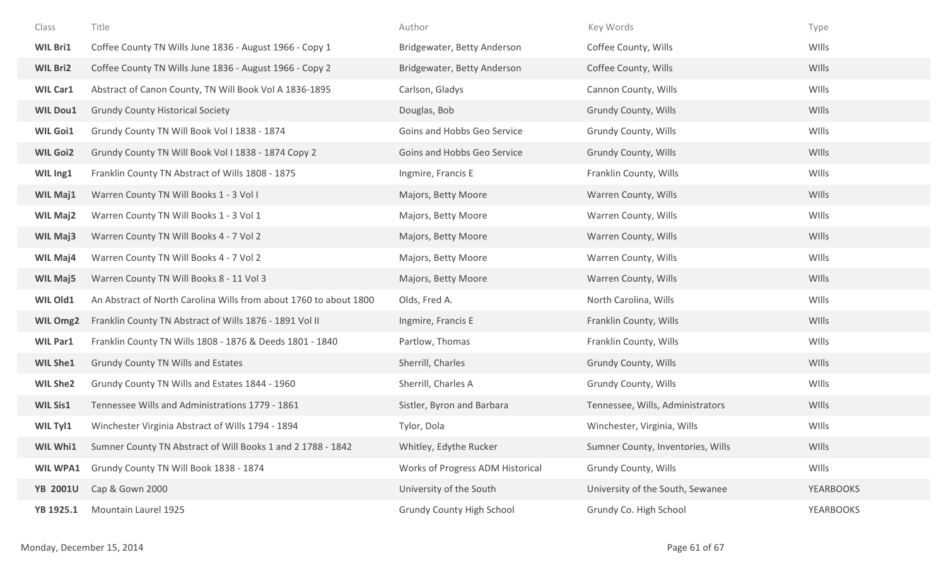| Class           | Title                                                             | Author                           | Key Words                         | Type             |
|-----------------|-------------------------------------------------------------------|----------------------------------|-----------------------------------|------------------|
| <b>WIL Bri1</b> | Coffee County TN Wills June 1836 - August 1966 - Copy 1           | Bridgewater, Betty Anderson      | Coffee County, Wills              | WIlls            |
| <b>WIL Bri2</b> | Coffee County TN Wills June 1836 - August 1966 - Copy 2           | Bridgewater, Betty Anderson      | Coffee County, Wills              | WIlls            |
| <b>WIL Car1</b> | Abstract of Canon County, TN Will Book Vol A 1836-1895            | Carlson, Gladys                  | Cannon County, Wills              | WIlls            |
| <b>WIL Dou1</b> | <b>Grundy County Historical Society</b>                           | Douglas, Bob                     | Grundy County, Wills              | WIlls            |
| <b>WIL Goi1</b> | Grundy County TN Will Book Vol I 1838 - 1874                      | Goins and Hobbs Geo Service      | Grundy County, Wills              | WIlls            |
| <b>WIL Goi2</b> | Grundy County TN Will Book Vol I 1838 - 1874 Copy 2               | Goins and Hobbs Geo Service      | Grundy County, Wills              | WIlls            |
| WIL Ing1        | Franklin County TN Abstract of Wills 1808 - 1875                  | Ingmire, Francis E               | Franklin County, Wills            | WIlls            |
| <b>WIL Maj1</b> | Warren County TN Will Books 1 - 3 Vol I                           | Majors, Betty Moore              | Warren County, Wills              | WIlls            |
| <b>WIL Maj2</b> | Warren County TN Will Books 1 - 3 Vol 1                           | Majors, Betty Moore              | Warren County, Wills              | WIlls            |
| <b>WIL Maj3</b> | Warren County TN Will Books 4 - 7 Vol 2                           | Majors, Betty Moore              | Warren County, Wills              | WIlls            |
| WIL Maj4        | Warren County TN Will Books 4 - 7 Vol 2                           | Majors, Betty Moore              | Warren County, Wills              | WIlls            |
| <b>WIL Maj5</b> | Warren County TN Will Books 8 - 11 Vol 3                          | Majors, Betty Moore              | Warren County, Wills              | WIlls            |
| WIL Old1        | An Abstract of North Carolina Wills from about 1760 to about 1800 | Olds, Fred A.                    | North Carolina, Wills             | WIlls            |
| WIL Omg2        | Franklin County TN Abstract of Wills 1876 - 1891 Vol II           | Ingmire, Francis E               | Franklin County, Wills            | WIlls            |
| <b>WIL Par1</b> | Franklin County TN Wills 1808 - 1876 & Deeds 1801 - 1840          | Partlow, Thomas                  | Franklin County, Wills            | WIlls            |
| <b>WIL She1</b> | Grundy County TN Wills and Estates                                | Sherrill, Charles                | Grundy County, Wills              | WIlls            |
| <b>WIL She2</b> | Grundy County TN Wills and Estates 1844 - 1960                    | Sherrill, Charles A              | Grundy County, Wills              | WIlls            |
| <b>WIL Sis1</b> | Tennessee Wills and Administrations 1779 - 1861                   | Sistler, Byron and Barbara       | Tennessee, Wills, Administrators  | <b>WIlls</b>     |
| WIL Tyl1        | Winchester Virginia Abstract of Wills 1794 - 1894                 | Tylor, Dola                      | Winchester, Virginia, Wills       | WIlls            |
| WIL Whi1        | Sumner County TN Abstract of Will Books 1 and 2 1788 - 1842       | Whitley, Edythe Rucker           | Sumner County, Inventories, Wills | WIlls            |
| <b>WIL WPA1</b> | Grundy County TN Will Book 1838 - 1874                            | Works of Progress ADM Historical | Grundy County, Wills              | WIlls            |
| <b>YB 2001U</b> | Cap & Gown 2000                                                   | University of the South          | University of the South, Sewanee  | <b>YEARBOOKS</b> |
| YB 1925.1       | Mountain Laurel 1925                                              | <b>Grundy County High School</b> | Grundy Co. High School            | <b>YEARBOOKS</b> |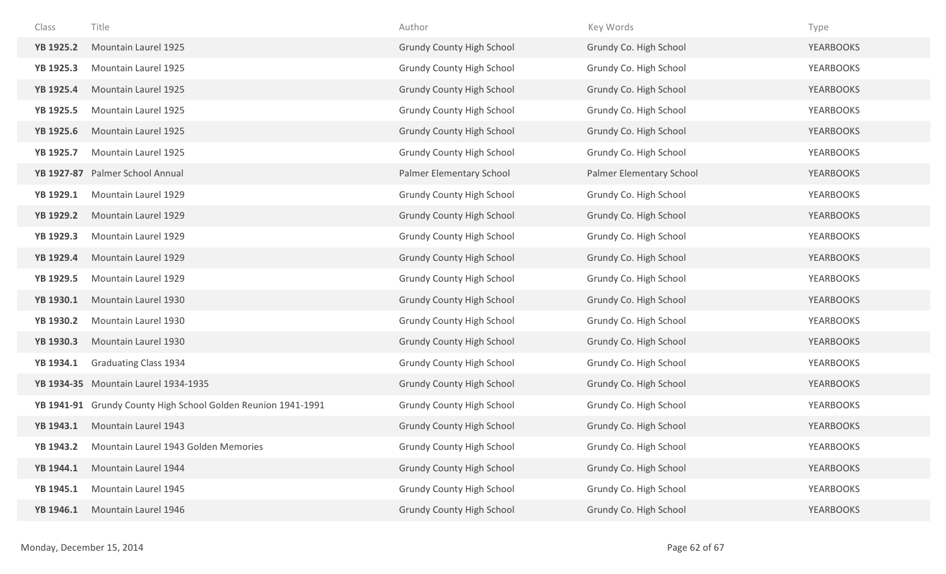| Class            | Title                                                         | Author                           | Key Words                | Type             |
|------------------|---------------------------------------------------------------|----------------------------------|--------------------------|------------------|
| <b>YB 1925.2</b> | Mountain Laurel 1925                                          | <b>Grundy County High School</b> | Grundy Co. High School   | <b>YEARBOOKS</b> |
| <b>YB 1925.3</b> | Mountain Laurel 1925                                          | <b>Grundy County High School</b> | Grundy Co. High School   | <b>YEARBOOKS</b> |
| <b>YB 1925.4</b> | Mountain Laurel 1925                                          | <b>Grundy County High School</b> | Grundy Co. High School   | <b>YEARBOOKS</b> |
| <b>YB 1925.5</b> | Mountain Laurel 1925                                          | <b>Grundy County High School</b> | Grundy Co. High School   | <b>YEARBOOKS</b> |
| <b>YB 1925.6</b> | Mountain Laurel 1925                                          | <b>Grundy County High School</b> | Grundy Co. High School   | <b>YEARBOOKS</b> |
| <b>YB 1925.7</b> | Mountain Laurel 1925                                          | <b>Grundy County High School</b> | Grundy Co. High School   | <b>YEARBOOKS</b> |
|                  | YB 1927-87 Palmer School Annual                               | Palmer Elementary School         | Palmer Elementary School | <b>YEARBOOKS</b> |
| YB 1929.1        | Mountain Laurel 1929                                          | <b>Grundy County High School</b> | Grundy Co. High School   | <b>YEARBOOKS</b> |
| <b>YB 1929.2</b> | Mountain Laurel 1929                                          | <b>Grundy County High School</b> | Grundy Co. High School   | <b>YEARBOOKS</b> |
| <b>YB 1929.3</b> | Mountain Laurel 1929                                          | <b>Grundy County High School</b> | Grundy Co. High School   | <b>YEARBOOKS</b> |
| <b>YB 1929.4</b> | Mountain Laurel 1929                                          | <b>Grundy County High School</b> | Grundy Co. High School   | <b>YEARBOOKS</b> |
| <b>YB 1929.5</b> | Mountain Laurel 1929                                          | <b>Grundy County High School</b> | Grundy Co. High School   | <b>YEARBOOKS</b> |
| YB 1930.1        | Mountain Laurel 1930                                          | <b>Grundy County High School</b> | Grundy Co. High School   | <b>YEARBOOKS</b> |
| <b>YB 1930.2</b> | Mountain Laurel 1930                                          | <b>Grundy County High School</b> | Grundy Co. High School   | <b>YEARBOOKS</b> |
| YB 1930.3        | Mountain Laurel 1930                                          | <b>Grundy County High School</b> | Grundy Co. High School   | <b>YEARBOOKS</b> |
| YB 1934.1        | <b>Graduating Class 1934</b>                                  | <b>Grundy County High School</b> | Grundy Co. High School   | <b>YEARBOOKS</b> |
|                  | YB 1934-35 Mountain Laurel 1934-1935                          | <b>Grundy County High School</b> | Grundy Co. High School   | <b>YEARBOOKS</b> |
|                  | YB 1941-91 Grundy County High School Golden Reunion 1941-1991 | <b>Grundy County High School</b> | Grundy Co. High School   | <b>YEARBOOKS</b> |
| YB 1943.1        | Mountain Laurel 1943                                          | <b>Grundy County High School</b> | Grundy Co. High School   | <b>YEARBOOKS</b> |
| <b>YB 1943.2</b> | Mountain Laurel 1943 Golden Memories                          | <b>Grundy County High School</b> | Grundy Co. High School   | <b>YEARBOOKS</b> |
| YB 1944.1        | Mountain Laurel 1944                                          | <b>Grundy County High School</b> | Grundy Co. High School   | <b>YEARBOOKS</b> |
| YB 1945.1        | Mountain Laurel 1945                                          | <b>Grundy County High School</b> | Grundy Co. High School   | <b>YEARBOOKS</b> |
| YB 1946.1        | Mountain Laurel 1946                                          | <b>Grundy County High School</b> | Grundy Co. High School   | <b>YEARBOOKS</b> |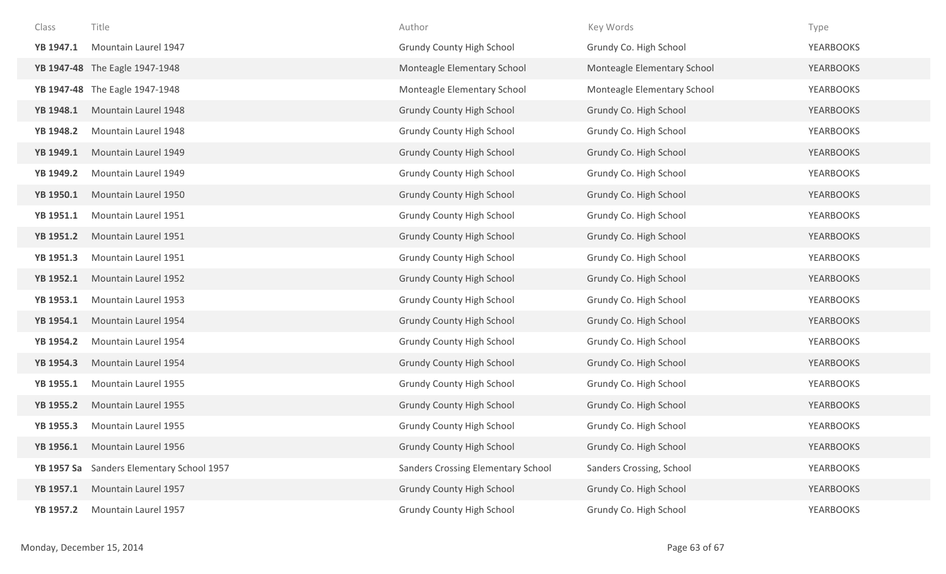| Class             | Title                          | Author                             | Key Words                   | Type             |
|-------------------|--------------------------------|------------------------------------|-----------------------------|------------------|
| YB 1947.1         | Mountain Laurel 1947           | <b>Grundy County High School</b>   | Grundy Co. High School      | <b>YEARBOOKS</b> |
|                   | YB 1947-48 The Eagle 1947-1948 | Monteagle Elementary School        | Monteagle Elementary School | <b>YEARBOOKS</b> |
|                   | YB 1947-48 The Eagle 1947-1948 | Monteagle Elementary School        | Monteagle Elementary School | YEARBOOKS        |
| YB 1948.1         | Mountain Laurel 1948           | <b>Grundy County High School</b>   | Grundy Co. High School      | <b>YEARBOOKS</b> |
| YB 1948.2         | Mountain Laurel 1948           | <b>Grundy County High School</b>   | Grundy Co. High School      | <b>YEARBOOKS</b> |
| YB 1949.1         | Mountain Laurel 1949           | <b>Grundy County High School</b>   | Grundy Co. High School      | YEARBOOKS        |
| YB 1949.2         | Mountain Laurel 1949           | <b>Grundy County High School</b>   | Grundy Co. High School      | YEARBOOKS        |
| YB 1950.1         | Mountain Laurel 1950           | <b>Grundy County High School</b>   | Grundy Co. High School      | <b>YEARBOOKS</b> |
| YB 1951.1         | Mountain Laurel 1951           | <b>Grundy County High School</b>   | Grundy Co. High School      | YEARBOOKS        |
| <b>YB 1951.2</b>  | Mountain Laurel 1951           | <b>Grundy County High School</b>   | Grundy Co. High School      | <b>YEARBOOKS</b> |
| <b>YB 1951.3</b>  | Mountain Laurel 1951           | <b>Grundy County High School</b>   | Grundy Co. High School      | YEARBOOKS        |
| <b>YB 1952.1</b>  | Mountain Laurel 1952           | <b>Grundy County High School</b>   | Grundy Co. High School      | <b>YEARBOOKS</b> |
| YB 1953.1         | Mountain Laurel 1953           | <b>Grundy County High School</b>   | Grundy Co. High School      | YEARBOOKS        |
| YB 1954.1         | Mountain Laurel 1954           | <b>Grundy County High School</b>   | Grundy Co. High School      | <b>YEARBOOKS</b> |
| <b>YB 1954.2</b>  | Mountain Laurel 1954           | <b>Grundy County High School</b>   | Grundy Co. High School      | YEARBOOKS        |
| YB 1954.3         | Mountain Laurel 1954           | <b>Grundy County High School</b>   | Grundy Co. High School      | <b>YEARBOOKS</b> |
| YB 1955.1         | Mountain Laurel 1955           | <b>Grundy County High School</b>   | Grundy Co. High School      | <b>YEARBOOKS</b> |
| <b>YB 1955.2</b>  | Mountain Laurel 1955           | <b>Grundy County High School</b>   | Grundy Co. High School      | <b>YEARBOOKS</b> |
| YB 1955.3         | Mountain Laurel 1955           | <b>Grundy County High School</b>   | Grundy Co. High School      | YEARBOOKS        |
| YB 1956.1         | Mountain Laurel 1956           | <b>Grundy County High School</b>   | Grundy Co. High School      | <b>YEARBOOKS</b> |
| <b>YB 1957 Sa</b> | Sanders Elementary School 1957 | Sanders Crossing Elementary School | Sanders Crossing, School    | <b>YEARBOOKS</b> |
| YB 1957.1         | Mountain Laurel 1957           | <b>Grundy County High School</b>   | Grundy Co. High School      | <b>YEARBOOKS</b> |
| <b>YB 1957.2</b>  | Mountain Laurel 1957           | <b>Grundy County High School</b>   | Grundy Co. High School      | YEARBOOKS        |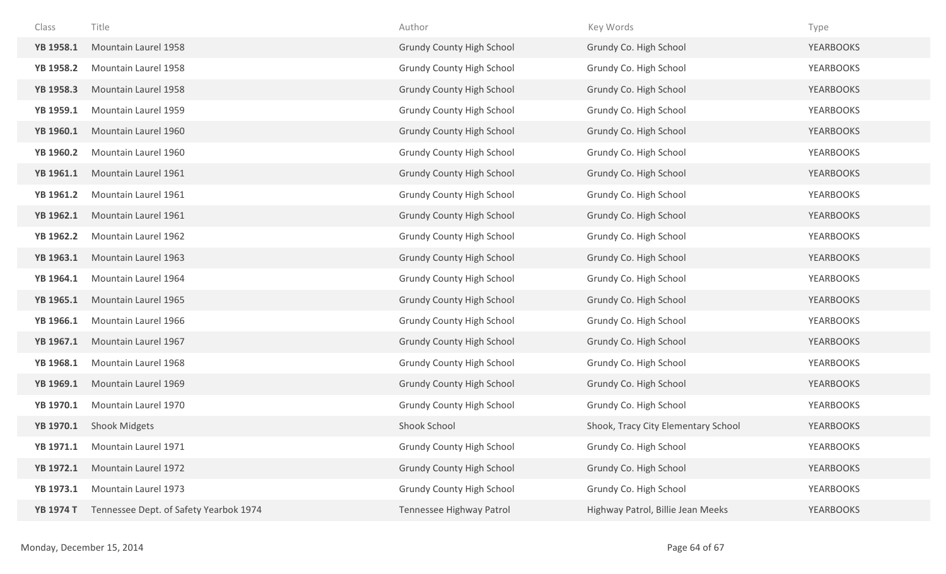| Class            | Title                                  | Author                           | Key Words                           | Type             |
|------------------|----------------------------------------|----------------------------------|-------------------------------------|------------------|
| YB 1958.1        | Mountain Laurel 1958                   | <b>Grundy County High School</b> | Grundy Co. High School              | <b>YEARBOOKS</b> |
| <b>YB 1958.2</b> | Mountain Laurel 1958                   | <b>Grundy County High School</b> | Grundy Co. High School              | <b>YEARBOOKS</b> |
| <b>YB 1958.3</b> | Mountain Laurel 1958                   | <b>Grundy County High School</b> | Grundy Co. High School              | <b>YEARBOOKS</b> |
| YB 1959.1        | Mountain Laurel 1959                   | <b>Grundy County High School</b> | Grundy Co. High School              | <b>YEARBOOKS</b> |
| YB 1960.1        | Mountain Laurel 1960                   | <b>Grundy County High School</b> | Grundy Co. High School              | <b>YEARBOOKS</b> |
| <b>YB 1960.2</b> | Mountain Laurel 1960                   | <b>Grundy County High School</b> | Grundy Co. High School              | <b>YEARBOOKS</b> |
| YB 1961.1        | Mountain Laurel 1961                   | <b>Grundy County High School</b> | Grundy Co. High School              | <b>YEARBOOKS</b> |
| YB 1961.2        | Mountain Laurel 1961                   | <b>Grundy County High School</b> | Grundy Co. High School              | <b>YEARBOOKS</b> |
| <b>YB 1962.1</b> | Mountain Laurel 1961                   | <b>Grundy County High School</b> | Grundy Co. High School              | <b>YEARBOOKS</b> |
| <b>YB 1962.2</b> | Mountain Laurel 1962                   | <b>Grundy County High School</b> | Grundy Co. High School              | <b>YEARBOOKS</b> |
| YB 1963.1        | Mountain Laurel 1963                   | <b>Grundy County High School</b> | Grundy Co. High School              | <b>YEARBOOKS</b> |
| YB 1964.1        | Mountain Laurel 1964                   | <b>Grundy County High School</b> | Grundy Co. High School              | <b>YEARBOOKS</b> |
| YB 1965.1        | Mountain Laurel 1965                   | <b>Grundy County High School</b> | Grundy Co. High School              | <b>YEARBOOKS</b> |
| YB 1966.1        | Mountain Laurel 1966                   | <b>Grundy County High School</b> | Grundy Co. High School              | <b>YEARBOOKS</b> |
| YB 1967.1        | Mountain Laurel 1967                   | <b>Grundy County High School</b> | Grundy Co. High School              | <b>YEARBOOKS</b> |
| YB 1968.1        | Mountain Laurel 1968                   | <b>Grundy County High School</b> | Grundy Co. High School              | <b>YEARBOOKS</b> |
| YB 1969.1        | Mountain Laurel 1969                   | <b>Grundy County High School</b> | Grundy Co. High School              | <b>YEARBOOKS</b> |
| <b>YB 1970.1</b> | Mountain Laurel 1970                   | <b>Grundy County High School</b> | Grundy Co. High School              | <b>YEARBOOKS</b> |
| YB 1970.1        | <b>Shook Midgets</b>                   | Shook School                     | Shook, Tracy City Elementary School | <b>YEARBOOKS</b> |
| YB 1971.1        | Mountain Laurel 1971                   | <b>Grundy County High School</b> | Grundy Co. High School              | <b>YEARBOOKS</b> |
| YB 1972.1        | Mountain Laurel 1972                   | <b>Grundy County High School</b> | Grundy Co. High School              | <b>YEARBOOKS</b> |
| YB 1973.1        | Mountain Laurel 1973                   | <b>Grundy County High School</b> | Grundy Co. High School              | <b>YEARBOOKS</b> |
| <b>YB 1974 T</b> | Tennessee Dept. of Safety Yearbok 1974 | Tennessee Highway Patrol         | Highway Patrol, Billie Jean Meeks   | <b>YEARBOOKS</b> |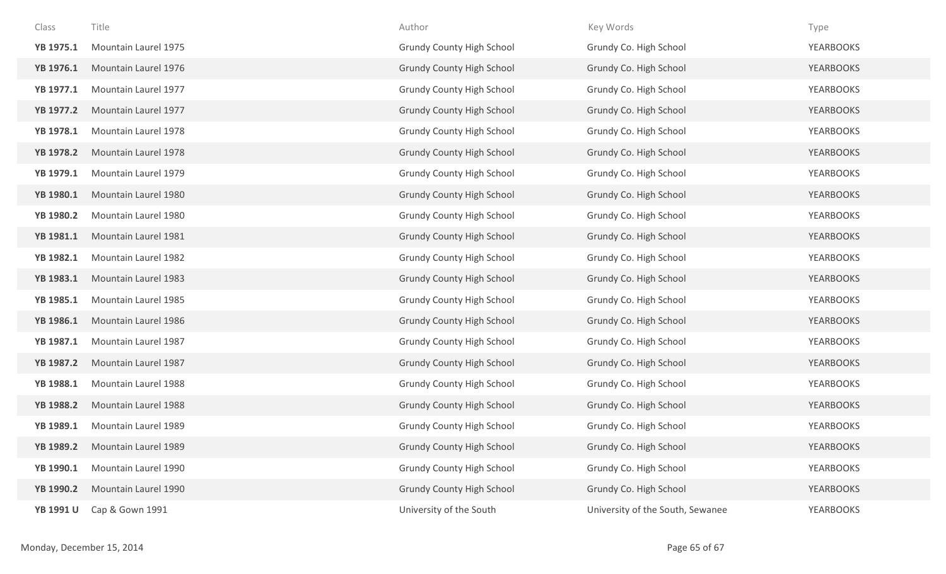| Class            | Title                | Author                           | Key Words                        | Type             |
|------------------|----------------------|----------------------------------|----------------------------------|------------------|
| YB 1975.1        | Mountain Laurel 1975 | <b>Grundy County High School</b> | Grundy Co. High School           | <b>YEARBOOKS</b> |
| YB 1976.1        | Mountain Laurel 1976 | <b>Grundy County High School</b> | Grundy Co. High School           | <b>YEARBOOKS</b> |
| YB 1977.1        | Mountain Laurel 1977 | <b>Grundy County High School</b> | Grundy Co. High School           | <b>YEARBOOKS</b> |
| <b>YB 1977.2</b> | Mountain Laurel 1977 | <b>Grundy County High School</b> | Grundy Co. High School           | <b>YEARBOOKS</b> |
| YB 1978.1        | Mountain Laurel 1978 | <b>Grundy County High School</b> | Grundy Co. High School           | <b>YEARBOOKS</b> |
| <b>YB 1978.2</b> | Mountain Laurel 1978 | <b>Grundy County High School</b> | Grundy Co. High School           | <b>YEARBOOKS</b> |
| YB 1979.1        | Mountain Laurel 1979 | <b>Grundy County High School</b> | Grundy Co. High School           | YEARBOOKS        |
| YB 1980.1        | Mountain Laurel 1980 | <b>Grundy County High School</b> | Grundy Co. High School           | <b>YEARBOOKS</b> |
| <b>YB 1980.2</b> | Mountain Laurel 1980 | <b>Grundy County High School</b> | Grundy Co. High School           | <b>YEARBOOKS</b> |
| <b>YB 1981.1</b> | Mountain Laurel 1981 | <b>Grundy County High School</b> | Grundy Co. High School           | <b>YEARBOOKS</b> |
| <b>YB 1982.1</b> | Mountain Laurel 1982 | <b>Grundy County High School</b> | Grundy Co. High School           | <b>YEARBOOKS</b> |
| YB 1983.1        | Mountain Laurel 1983 | <b>Grundy County High School</b> | Grundy Co. High School           | <b>YEARBOOKS</b> |
| YB 1985.1        | Mountain Laurel 1985 | <b>Grundy County High School</b> | Grundy Co. High School           | <b>YEARBOOKS</b> |
| YB 1986.1        | Mountain Laurel 1986 | <b>Grundy County High School</b> | Grundy Co. High School           | <b>YEARBOOKS</b> |
| YB 1987.1        | Mountain Laurel 1987 | <b>Grundy County High School</b> | Grundy Co. High School           | YEARBOOKS        |
| <b>YB 1987.2</b> | Mountain Laurel 1987 | <b>Grundy County High School</b> | Grundy Co. High School           | YEARBOOKS        |
| YB 1988.1        | Mountain Laurel 1988 | <b>Grundy County High School</b> | Grundy Co. High School           | YEARBOOKS        |
| <b>YB 1988.2</b> | Mountain Laurel 1988 | <b>Grundy County High School</b> | Grundy Co. High School           | <b>YEARBOOKS</b> |
| YB 1989.1        | Mountain Laurel 1989 | <b>Grundy County High School</b> | Grundy Co. High School           | <b>YEARBOOKS</b> |
| YB 1989.2        | Mountain Laurel 1989 | <b>Grundy County High School</b> | Grundy Co. High School           | <b>YEARBOOKS</b> |
| YB 1990.1        | Mountain Laurel 1990 | <b>Grundy County High School</b> | Grundy Co. High School           | <b>YEARBOOKS</b> |
| YB 1990.2        | Mountain Laurel 1990 | Grundy County High School        | Grundy Co. High School           | <b>YEARBOOKS</b> |
| <b>YB 1991 U</b> | Cap & Gown 1991      | University of the South          | University of the South, Sewanee | YEARBOOKS        |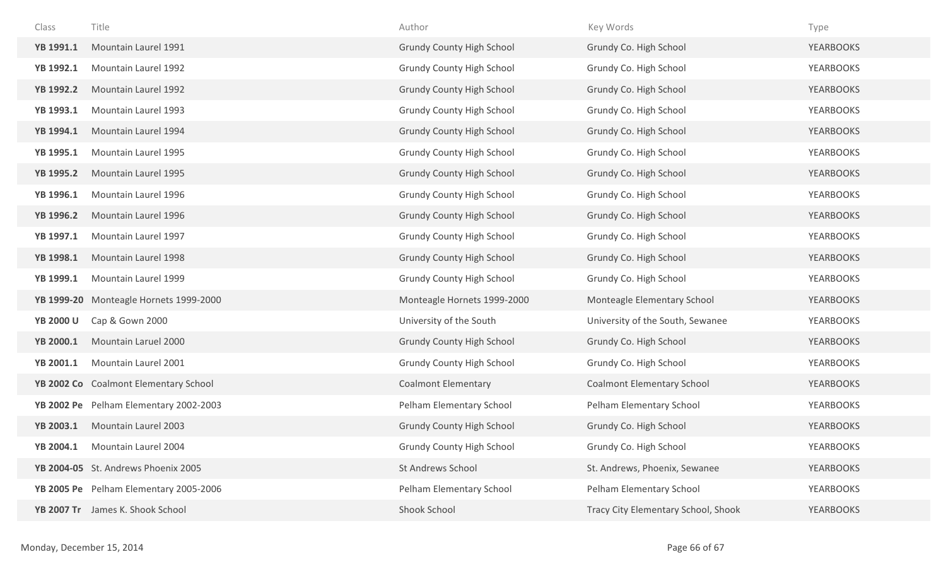| Class            | Title                                  | Author                           | Key Words                           | Type             |
|------------------|----------------------------------------|----------------------------------|-------------------------------------|------------------|
| YB 1991.1        | Mountain Laurel 1991                   | <b>Grundy County High School</b> | Grundy Co. High School              | <b>YEARBOOKS</b> |
| YB 1992.1        | Mountain Laurel 1992                   | <b>Grundy County High School</b> | Grundy Co. High School              | <b>YEARBOOKS</b> |
| <b>YB 1992.2</b> | Mountain Laurel 1992                   | <b>Grundy County High School</b> | Grundy Co. High School              | <b>YEARBOOKS</b> |
| YB 1993.1        | Mountain Laurel 1993                   | <b>Grundy County High School</b> | Grundy Co. High School              | <b>YEARBOOKS</b> |
| YB 1994.1        | Mountain Laurel 1994                   | <b>Grundy County High School</b> | Grundy Co. High School              | <b>YEARBOOKS</b> |
| YB 1995.1        | Mountain Laurel 1995                   | <b>Grundy County High School</b> | Grundy Co. High School              | <b>YEARBOOKS</b> |
| <b>YB 1995.2</b> | Mountain Laurel 1995                   | <b>Grundy County High School</b> | Grundy Co. High School              | <b>YEARBOOKS</b> |
| YB 1996.1        | Mountain Laurel 1996                   | <b>Grundy County High School</b> | Grundy Co. High School              | <b>YEARBOOKS</b> |
| <b>YB 1996.2</b> | Mountain Laurel 1996                   | <b>Grundy County High School</b> | Grundy Co. High School              | <b>YEARBOOKS</b> |
| YB 1997.1        | Mountain Laurel 1997                   | <b>Grundy County High School</b> | Grundy Co. High School              | <b>YEARBOOKS</b> |
| YB 1998.1        | Mountain Laurel 1998                   | <b>Grundy County High School</b> | Grundy Co. High School              | <b>YEARBOOKS</b> |
| YB 1999.1        | Mountain Laurel 1999                   | <b>Grundy County High School</b> | Grundy Co. High School              | <b>YEARBOOKS</b> |
| YB 1999-20       | Monteagle Hornets 1999-2000            | Monteagle Hornets 1999-2000      | Monteagle Elementary School         | <b>YEARBOOKS</b> |
| <b>YB 2000 U</b> | Cap & Gown 2000                        | University of the South          | University of the South, Sewanee    | YEARBOOKS        |
| YB 2000.1        | Mountain Laruel 2000                   | <b>Grundy County High School</b> | Grundy Co. High School              | YEARBOOKS        |
| YB 2001.1        | Mountain Laurel 2001                   | <b>Grundy County High School</b> | Grundy Co. High School              | <b>YEARBOOKS</b> |
|                  | YB 2002 Co Coalmont Elementary School  | <b>Coalmont Elementary</b>       | <b>Coalmont Elementary School</b>   | <b>YEARBOOKS</b> |
|                  | YB 2002 Pe Pelham Elementary 2002-2003 | Pelham Elementary School         | Pelham Elementary School            | <b>YEARBOOKS</b> |
| <b>YB 2003.1</b> | Mountain Laurel 2003                   | <b>Grundy County High School</b> | Grundy Co. High School              | <b>YEARBOOKS</b> |
| <b>YB 2004.1</b> | Mountain Laurel 2004                   | <b>Grundy County High School</b> | Grundy Co. High School              | <b>YEARBOOKS</b> |
|                  | YB 2004-05 St. Andrews Phoenix 2005    | St Andrews School                | St. Andrews, Phoenix, Sewanee       | <b>YEARBOOKS</b> |
|                  | YB 2005 Pe Pelham Elementary 2005-2006 | Pelham Elementary School         | Pelham Elementary School            | <b>YEARBOOKS</b> |
|                  | YB 2007 Tr James K. Shook School       | Shook School                     | Tracy City Elementary School, Shook | <b>YEARBOOKS</b> |